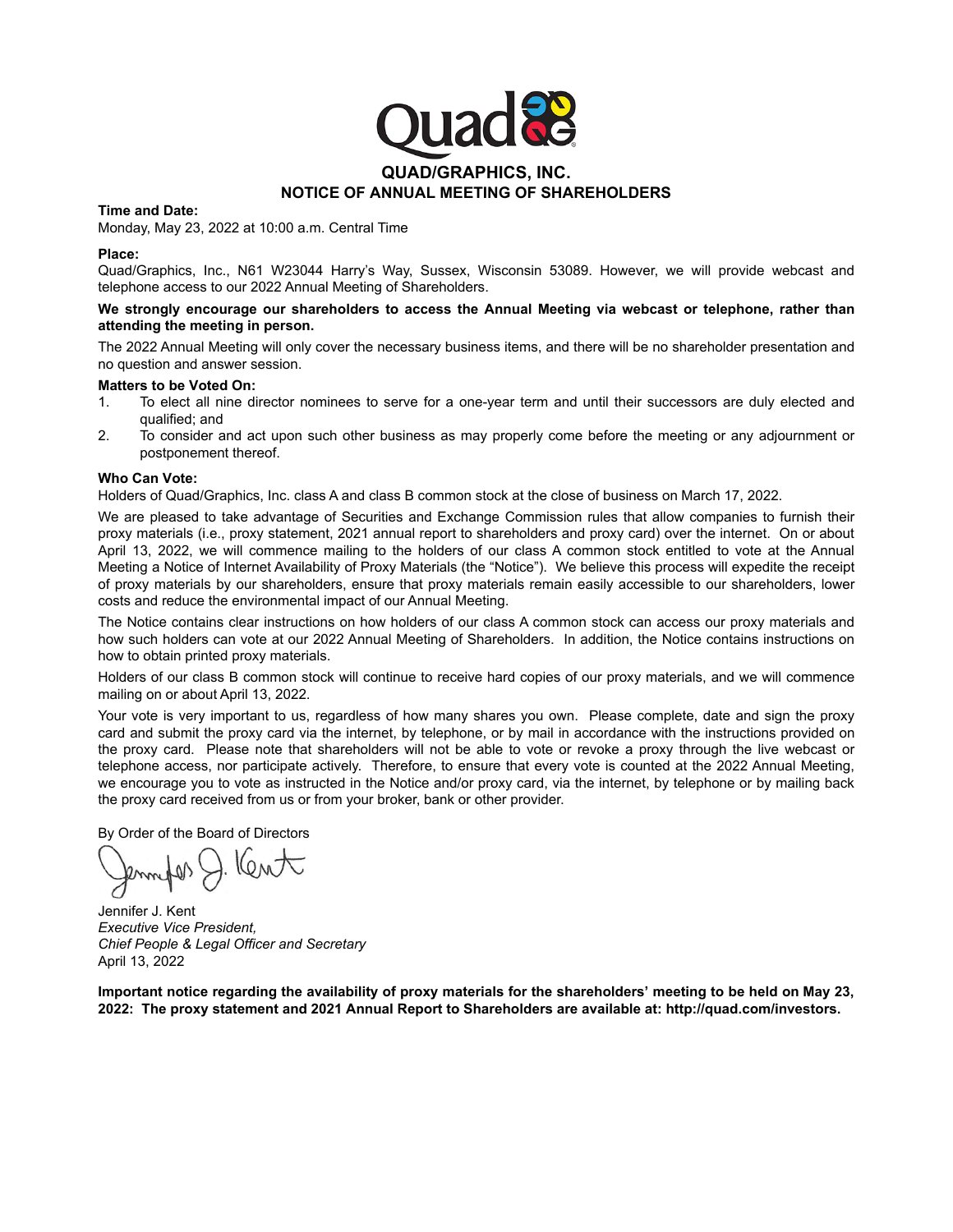

#### **Time and Date:**

Monday, May 23, 2022 at 10:00 a.m. Central Time

#### **Place:**

Quad/Graphics, Inc., N61 W23044 Harry's Way, Sussex, Wisconsin 53089. However, we will provide webcast and telephone access to our 2022 Annual Meeting of Shareholders.

#### **We strongly encourage our shareholders to access the Annual Meeting via webcast or telephone, rather than attending the meeting in person.**

The 2022 Annual Meeting will only cover the necessary business items, and there will be no shareholder presentation and no question and answer session.

#### **Matters to be Voted On:**

- 1. To elect all nine director nominees to serve for a one-year term and until their successors are duly elected and qualified; and
- 2. To consider and act upon such other business as may properly come before the meeting or any adjournment or postponement thereof.

#### **Who Can Vote:**

Holders of Quad/Graphics, Inc. class A and class B common stock at the close of business on March 17, 2022.

We are pleased to take advantage of Securities and Exchange Commission rules that allow companies to furnish their proxy materials (i.e., proxy statement, 2021 annual report to shareholders and proxy card) over the internet. On or about April 13, 2022, we will commence mailing to the holders of our class A common stock entitled to vote at the Annual Meeting a Notice of Internet Availability of Proxy Materials (the "Notice"). We believe this process will expedite the receipt of proxy materials by our shareholders, ensure that proxy materials remain easily accessible to our shareholders, lower costs and reduce the environmental impact of our Annual Meeting.

The Notice contains clear instructions on how holders of our class A common stock can access our proxy materials and how such holders can vote at our 2022 Annual Meeting of Shareholders. In addition, the Notice contains instructions on how to obtain printed proxy materials.

Holders of our class B common stock will continue to receive hard copies of our proxy materials, and we will commence mailing on or about April 13, 2022.

Your vote is very important to us, regardless of how many shares you own. Please complete, date and sign the proxy card and submit the proxy card via the internet, by telephone, or by mail in accordance with the instructions provided on the proxy card. Please note that shareholders will not be able to vote or revoke a proxy through the live webcast or telephone access, nor participate actively. Therefore, to ensure that every vote is counted at the 2022 Annual Meeting, we encourage you to vote as instructed in the Notice and/or proxy card, via the internet, by telephone or by mailing back the proxy card received from us or from your broker, bank or other provider.

By Order of the Board of Directors

 $10M$ 

Jennifer J. Kent *Executive Vice President, Chief People & Legal Officer and Secretary* April 13, 2022

**Important notice regarding the availability of proxy materials for the shareholders' meeting to be held on May 23, 2022: The proxy statement and 2021 Annual Report to Shareholders are available at: http://quad.com/investors.**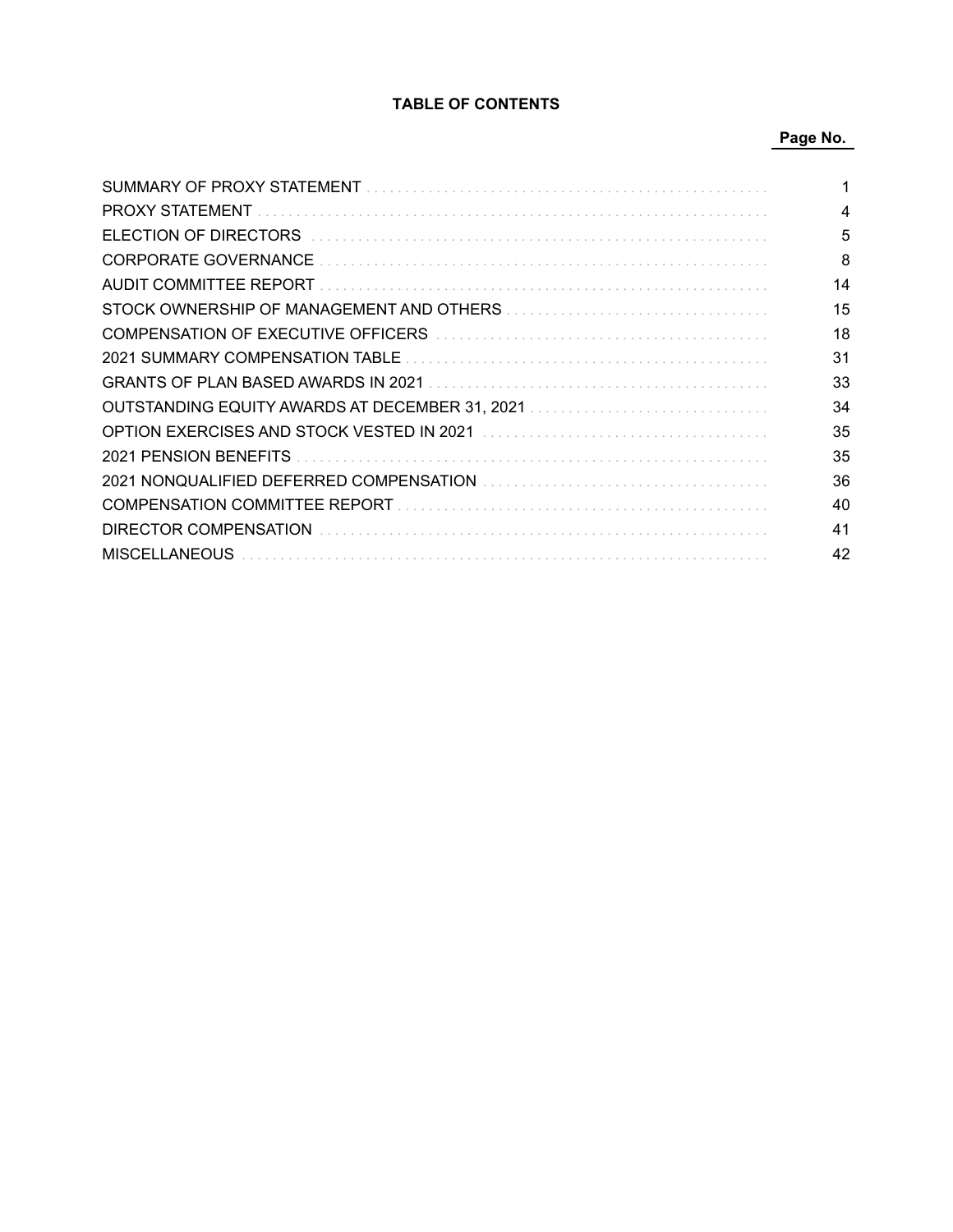# **TABLE OF CONTENTS**

# **Page No.**

| <b>PROXY STATEMENT</b>                         | 4  |
|------------------------------------------------|----|
| ELECTION OF DIRECTORS                          | 5  |
| <b>CORPORATE GOVERNANCE</b>                    | 8  |
| AUDIT COMMITTEE REPORT                         | 14 |
| STOCK OWNERSHIP OF MANAGEMENT AND OTHERS       | 15 |
| COMPENSATION OF EXECUTIVE OFFICERS             | 18 |
| 2021 SUMMARY COMPENSATION TABLE                | 31 |
| <b>GRANTS OF PLAN BASED AWARDS IN 2021</b>     | 33 |
| OUTSTANDING EQUITY AWARDS AT DECEMBER 31, 2021 | 34 |
| OPTION EXERCISES AND STOCK VESTED IN 2021      | 35 |
| 2021 PENSION BENEFITS                          | 35 |
|                                                | 36 |
|                                                | 40 |
| DIRECTOR COMPENSATION                          | 41 |
| <b>MISCELLANEOUS</b>                           | 42 |
|                                                |    |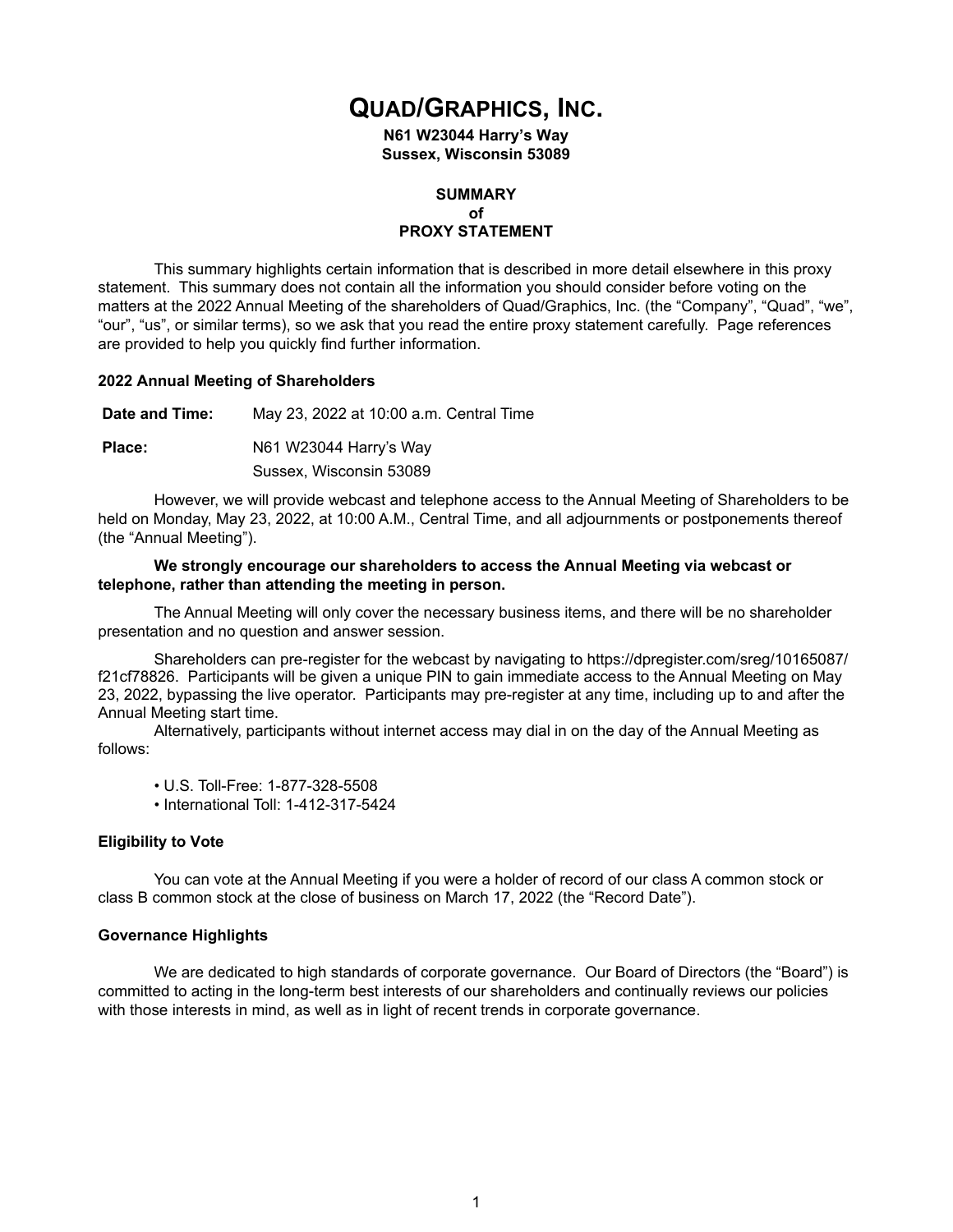# **QUAD/GRAPHICS, INC.**

**N61 W23044 Harry's Way Sussex, Wisconsin 53089**

# **SUMMARY of PROXY STATEMENT**

This summary highlights certain information that is described in more detail elsewhere in this proxy statement. This summary does not contain all the information you should consider before voting on the matters at the 2022 Annual Meeting of the shareholders of Quad/Graphics, Inc. (the "Company", "Quad", "we", "our", "us", or similar terms), so we ask that you read the entire proxy statement carefully. Page references are provided to help you quickly find further information.

## **2022 Annual Meeting of Shareholders**

**Date and Time:** May 23, 2022 at 10:00 a.m. Central Time **Place:** N61 W23044 Harry's Way Sussex, Wisconsin 53089

However, we will provide webcast and telephone access to the Annual Meeting of Shareholders to be held on Monday, May 23, 2022, at 10:00 A.M., Central Time, and all adjournments or postponements thereof (the "Annual Meeting").

#### **We strongly encourage our shareholders to access the Annual Meeting via webcast or telephone, rather than attending the meeting in person.**

The Annual Meeting will only cover the necessary business items, and there will be no shareholder presentation and no question and answer session.

Shareholders can pre-register for the webcast by navigating to https://dpregister.com/sreg/10165087/ f21cf78826. Participants will be given a unique PIN to gain immediate access to the Annual Meeting on May 23, 2022, bypassing the live operator. Participants may pre-register at any time, including up to and after the Annual Meeting start time.

Alternatively, participants without internet access may dial in on the day of the Annual Meeting as follows:

- U.S. Toll-Free: 1-877-328-5508
- International Toll: 1-412-317-5424

## **Eligibility to Vote**

You can vote at the Annual Meeting if you were a holder of record of our class A common stock or class B common stock at the close of business on March 17, 2022 (the "Record Date").

#### **Governance Highlights**

We are dedicated to high standards of corporate governance. Our Board of Directors (the "Board") is committed to acting in the long-term best interests of our shareholders and continually reviews our policies with those interests in mind, as well as in light of recent trends in corporate governance.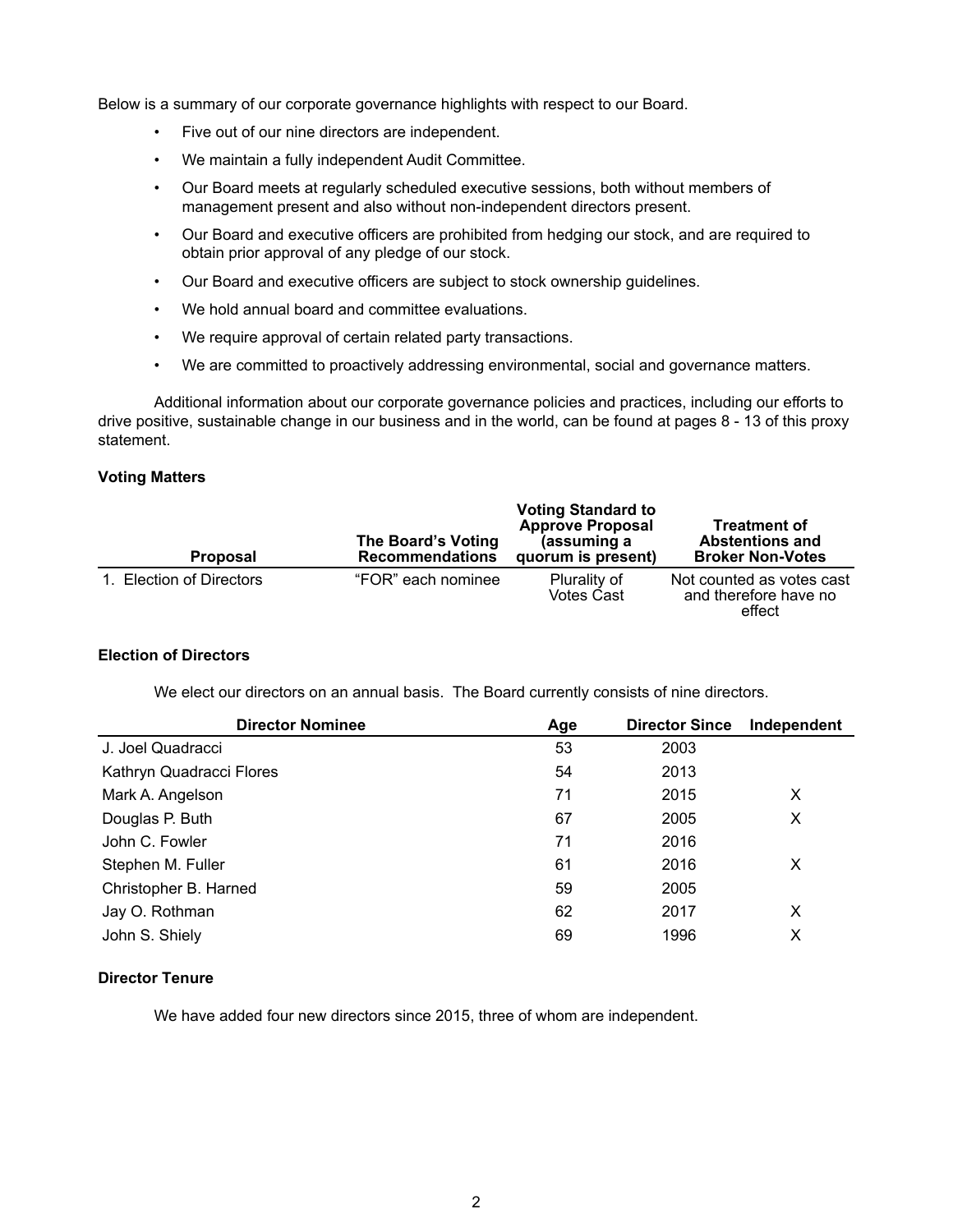Below is a summary of our corporate governance highlights with respect to our Board.

- Five out of our nine directors are independent.
- We maintain a fully independent Audit Committee.
- Our Board meets at regularly scheduled executive sessions, both without members of management present and also without non-independent directors present.
- Our Board and executive officers are prohibited from hedging our stock, and are required to obtain prior approval of any pledge of our stock.
- Our Board and executive officers are subject to stock ownership guidelines.
- We hold annual board and committee evaluations.
- We require approval of certain related party transactions.
- We are committed to proactively addressing environmental, social and governance matters.

Additional information about our corporate governance policies and practices, including our efforts to drive positive, sustainable change in our business and in the world, can be found at pages 8 - 13 of this proxy statement.

#### **Voting Matters**

| <b>Proposal</b>          | The Board's Voting<br><b>Recommendations</b> | <b>Voting Standard to</b><br><b>Approve Proposal</b><br>(assuming a<br>quorum is present) | <b>Treatment of</b><br><b>Abstentions and</b><br><b>Broker Non-Votes</b> |
|--------------------------|----------------------------------------------|-------------------------------------------------------------------------------------------|--------------------------------------------------------------------------|
| 1. Election of Directors | "FOR" each nominee                           | Plurality of<br><b>Votes Cast</b>                                                         | Not counted as votes cast<br>and therefore have no<br>effect             |

# **Election of Directors**

We elect our directors on an annual basis. The Board currently consists of nine directors.

| <b>Director Nominee</b>  | Age | <b>Director Since</b> | Independent |
|--------------------------|-----|-----------------------|-------------|
| J. Joel Quadracci        | 53  | 2003                  |             |
| Kathryn Quadracci Flores | 54  | 2013                  |             |
| Mark A. Angelson         | 71  | 2015                  | X           |
| Douglas P. Buth          | 67  | 2005                  | X           |
| John C. Fowler           | 71  | 2016                  |             |
| Stephen M. Fuller        | 61  | 2016                  | х           |
| Christopher B. Harned    | 59  | 2005                  |             |
| Jay O. Rothman           | 62  | 2017                  | X           |
| John S. Shiely           | 69  | 1996                  | х           |

## **Director Tenure**

We have added four new directors since 2015, three of whom are independent.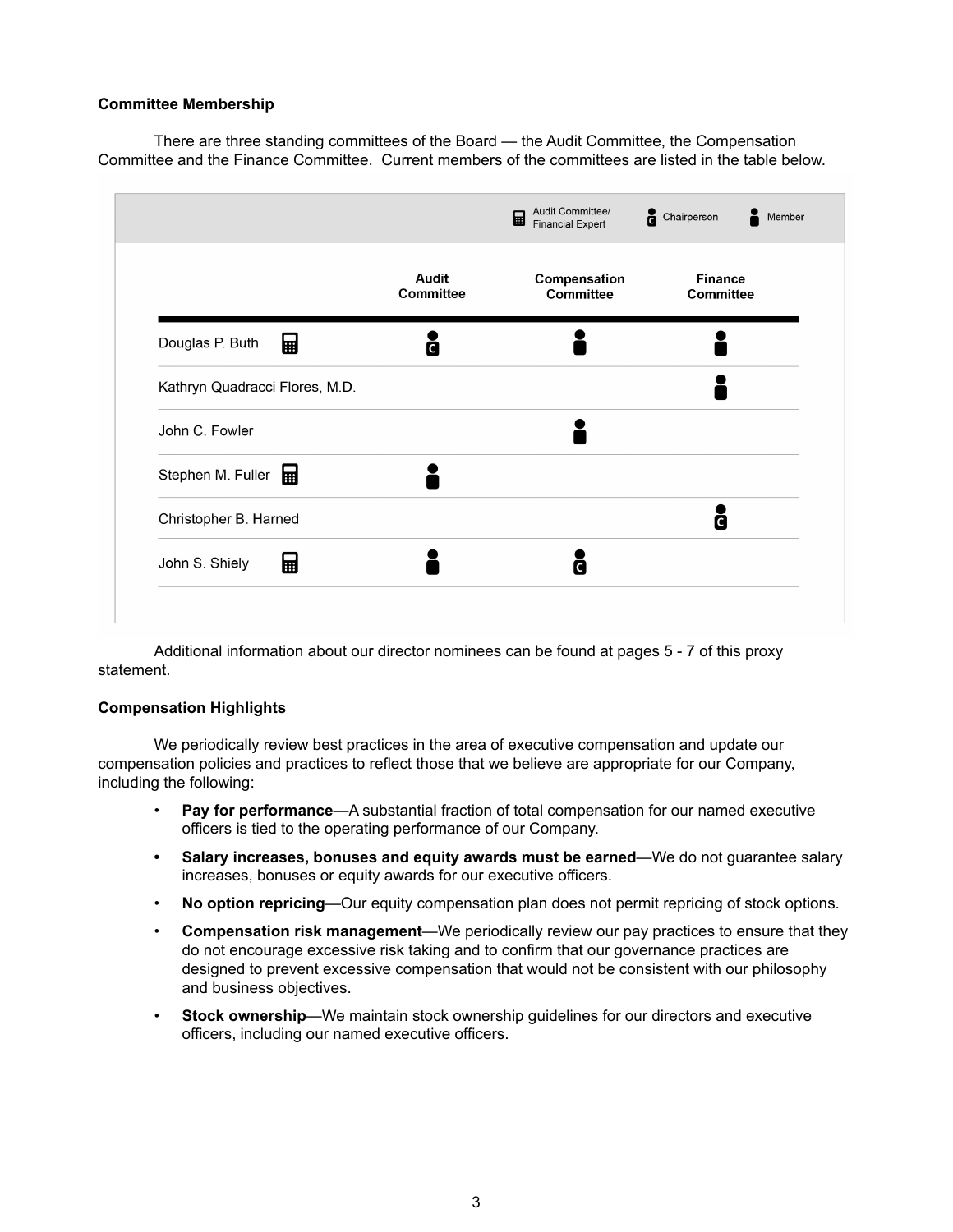## **Committee Membership**

There are three standing committees of the Board — the Audit Committee, the Compensation Committee and the Finance Committee. Current members of the committees are listed in the table below.

|                                |                    | 圖<br><b>Financial Expert</b> | Chairperson<br>Member |
|--------------------------------|--------------------|------------------------------|-----------------------|
|                                | Audit<br>Committee | Compensation<br>Committee    | Finance<br>Committee  |
| Douglas P. Buth<br>團           | C                  |                              |                       |
| Kathryn Quadracci Flores, M.D. |                    |                              |                       |
| John C. Fowler                 |                    |                              |                       |
| Stephen M. Fuller              |                    |                              |                       |
| Christopher B. Harned          |                    |                              | C                     |
| 團<br>John S. Shiely            |                    | C                            |                       |
|                                |                    |                              |                       |

Additional information about our director nominees can be found at pages 5 - 7 of this proxy statement.

## **Compensation Highlights**

We periodically review best practices in the area of executive compensation and update our compensation policies and practices to reflect those that we believe are appropriate for our Company, including the following:

- **Pay for performance**—A substantial fraction of total compensation for our named executive officers is tied to the operating performance of our Company.
- **Salary increases, bonuses and equity awards must be earned**—We do not guarantee salary increases, bonuses or equity awards for our executive officers.
- **No option repricing**—Our equity compensation plan does not permit repricing of stock options.
- **Compensation risk management**—We periodically review our pay practices to ensure that they do not encourage excessive risk taking and to confirm that our governance practices are designed to prevent excessive compensation that would not be consistent with our philosophy and business objectives.
- **Stock ownership**—We maintain stock ownership guidelines for our directors and executive officers, including our named executive officers.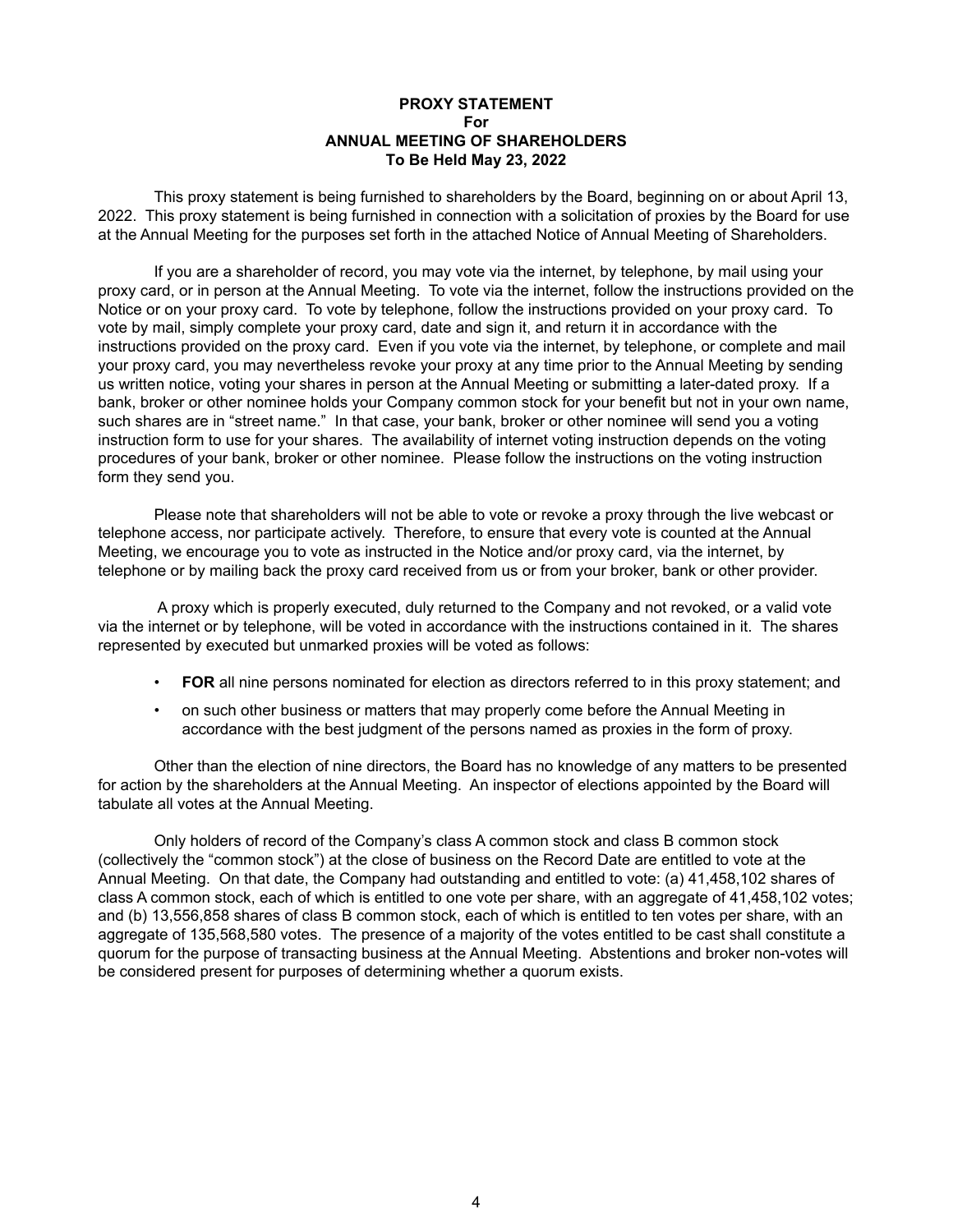## **PROXY STATEMENT For ANNUAL MEETING OF SHAREHOLDERS To Be Held May 23, 2022**

This proxy statement is being furnished to shareholders by the Board, beginning on or about April 13, 2022. This proxy statement is being furnished in connection with a solicitation of proxies by the Board for use at the Annual Meeting for the purposes set forth in the attached Notice of Annual Meeting of Shareholders.

If you are a shareholder of record, you may vote via the internet, by telephone, by mail using your proxy card, or in person at the Annual Meeting. To vote via the internet, follow the instructions provided on the Notice or on your proxy card. To vote by telephone, follow the instructions provided on your proxy card. To vote by mail, simply complete your proxy card, date and sign it, and return it in accordance with the instructions provided on the proxy card. Even if you vote via the internet, by telephone, or complete and mail your proxy card, you may nevertheless revoke your proxy at any time prior to the Annual Meeting by sending us written notice, voting your shares in person at the Annual Meeting or submitting a later-dated proxy. If a bank, broker or other nominee holds your Company common stock for your benefit but not in your own name, such shares are in "street name." In that case, your bank, broker or other nominee will send you a voting instruction form to use for your shares. The availability of internet voting instruction depends on the voting procedures of your bank, broker or other nominee. Please follow the instructions on the voting instruction form they send you.

Please note that shareholders will not be able to vote or revoke a proxy through the live webcast or telephone access, nor participate actively. Therefore, to ensure that every vote is counted at the Annual Meeting, we encourage you to vote as instructed in the Notice and/or proxy card, via the internet, by telephone or by mailing back the proxy card received from us or from your broker, bank or other provider.

 A proxy which is properly executed, duly returned to the Company and not revoked, or a valid vote via the internet or by telephone, will be voted in accordance with the instructions contained in it. The shares represented by executed but unmarked proxies will be voted as follows:

- **FOR** all nine persons nominated for election as directors referred to in this proxy statement; and
- on such other business or matters that may properly come before the Annual Meeting in accordance with the best judgment of the persons named as proxies in the form of proxy.

Other than the election of nine directors, the Board has no knowledge of any matters to be presented for action by the shareholders at the Annual Meeting. An inspector of elections appointed by the Board will tabulate all votes at the Annual Meeting.

Only holders of record of the Company's class A common stock and class B common stock (collectively the "common stock") at the close of business on the Record Date are entitled to vote at the Annual Meeting. On that date, the Company had outstanding and entitled to vote: (a) 41,458,102 shares of class A common stock, each of which is entitled to one vote per share, with an aggregate of 41,458,102 votes; and (b) 13,556,858 shares of class B common stock, each of which is entitled to ten votes per share, with an aggregate of 135,568,580 votes. The presence of a majority of the votes entitled to be cast shall constitute a quorum for the purpose of transacting business at the Annual Meeting. Abstentions and broker non-votes will be considered present for purposes of determining whether a quorum exists.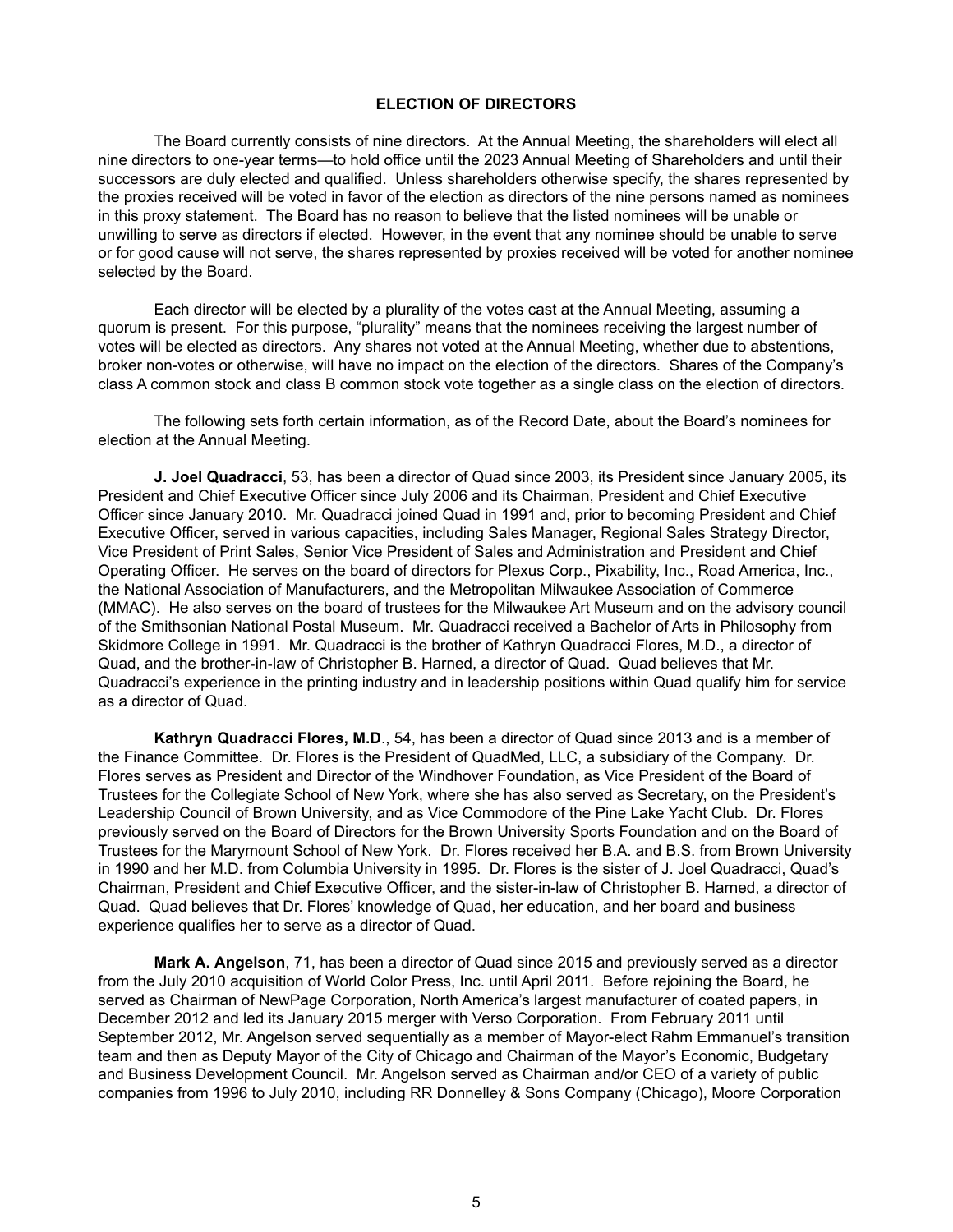## **ELECTION OF DIRECTORS**

The Board currently consists of nine directors. At the Annual Meeting, the shareholders will elect all nine directors to one-year terms—to hold office until the 2023 Annual Meeting of Shareholders and until their successors are duly elected and qualified. Unless shareholders otherwise specify, the shares represented by the proxies received will be voted in favor of the election as directors of the nine persons named as nominees in this proxy statement. The Board has no reason to believe that the listed nominees will be unable or unwilling to serve as directors if elected. However, in the event that any nominee should be unable to serve or for good cause will not serve, the shares represented by proxies received will be voted for another nominee selected by the Board.

Each director will be elected by a plurality of the votes cast at the Annual Meeting, assuming a quorum is present. For this purpose, "plurality" means that the nominees receiving the largest number of votes will be elected as directors. Any shares not voted at the Annual Meeting, whether due to abstentions, broker non-votes or otherwise, will have no impact on the election of the directors. Shares of the Company's class A common stock and class B common stock vote together as a single class on the election of directors.

The following sets forth certain information, as of the Record Date, about the Board's nominees for election at the Annual Meeting.

**J. Joel Quadracci**, 53, has been a director of Quad since 2003, its President since January 2005, its President and Chief Executive Officer since July 2006 and its Chairman, President and Chief Executive Officer since January 2010. Mr. Quadracci joined Quad in 1991 and, prior to becoming President and Chief Executive Officer, served in various capacities, including Sales Manager, Regional Sales Strategy Director, Vice President of Print Sales, Senior Vice President of Sales and Administration and President and Chief Operating Officer. He serves on the board of directors for Plexus Corp., Pixability, Inc., Road America, Inc., the National Association of Manufacturers, and the Metropolitan Milwaukee Association of Commerce (MMAC). He also serves on the board of trustees for the Milwaukee Art Museum and on the advisory council of the Smithsonian National Postal Museum. Mr. Quadracci received a Bachelor of Arts in Philosophy from Skidmore College in 1991. Mr. Quadracci is the brother of Kathryn Quadracci Flores, M.D., a director of Quad, and the brother‑in‑law of Christopher B. Harned, a director of Quad. Quad believes that Mr. Quadracci's experience in the printing industry and in leadership positions within Quad qualify him for service as a director of Quad.

**Kathryn Quadracci Flores, M.D**., 54, has been a director of Quad since 2013 and is a member of the Finance Committee. Dr. Flores is the President of QuadMed, LLC, a subsidiary of the Company. Dr. Flores serves as President and Director of the Windhover Foundation, as Vice President of the Board of Trustees for the Collegiate School of New York, where she has also served as Secretary, on the President's Leadership Council of Brown University, and as Vice Commodore of the Pine Lake Yacht Club. Dr. Flores previously served on the Board of Directors for the Brown University Sports Foundation and on the Board of Trustees for the Marymount School of New York. Dr. Flores received her B.A. and B.S. from Brown University in 1990 and her M.D. from Columbia University in 1995. Dr. Flores is the sister of J. Joel Quadracci, Quad's Chairman, President and Chief Executive Officer, and the sister-in-law of Christopher B. Harned, a director of Quad. Quad believes that Dr. Flores' knowledge of Quad, her education, and her board and business experience qualifies her to serve as a director of Quad.

**Mark A. Angelson**, 71, has been a director of Quad since 2015 and previously served as a director from the July 2010 acquisition of World Color Press, Inc. until April 2011. Before rejoining the Board, he served as Chairman of NewPage Corporation, North America's largest manufacturer of coated papers, in December 2012 and led its January 2015 merger with Verso Corporation. From February 2011 until September 2012, Mr. Angelson served sequentially as a member of Mayor-elect Rahm Emmanuel's transition team and then as Deputy Mayor of the City of Chicago and Chairman of the Mayor's Economic, Budgetary and Business Development Council. Mr. Angelson served as Chairman and/or CEO of a variety of public companies from 1996 to July 2010, including RR Donnelley & Sons Company (Chicago), Moore Corporation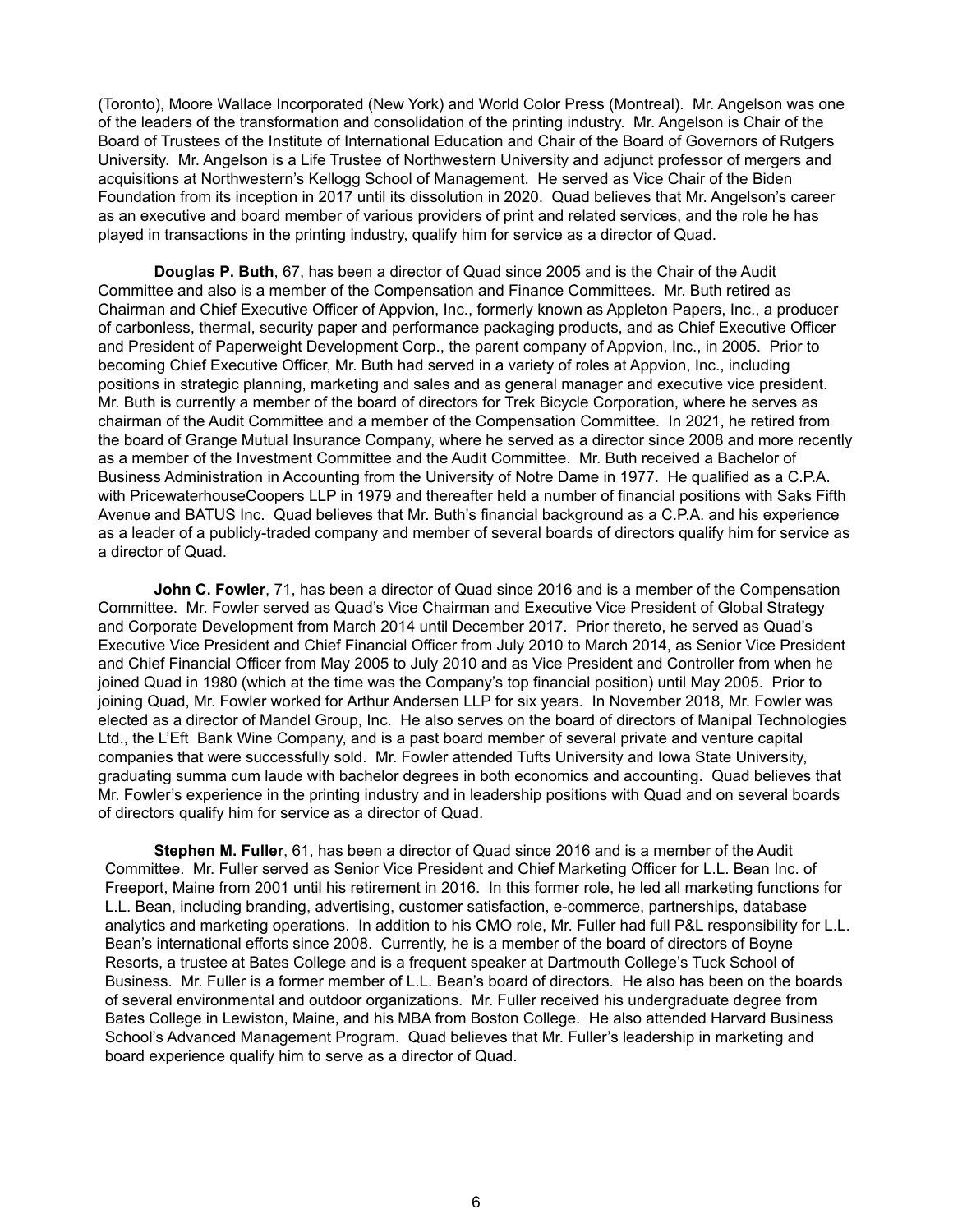(Toronto), Moore Wallace Incorporated (New York) and World Color Press (Montreal). Mr. Angelson was one of the leaders of the transformation and consolidation of the printing industry. Mr. Angelson is Chair of the Board of Trustees of the Institute of International Education and Chair of the Board of Governors of Rutgers University. Mr. Angelson is a Life Trustee of Northwestern University and adjunct professor of mergers and acquisitions at Northwestern's Kellogg School of Management. He served as Vice Chair of the Biden Foundation from its inception in 2017 until its dissolution in 2020. Quad believes that Mr. Angelson's career as an executive and board member of various providers of print and related services, and the role he has played in transactions in the printing industry, qualify him for service as a director of Quad.

**Douglas P. Buth**, 67, has been a director of Quad since 2005 and is the Chair of the Audit Committee and also is a member of the Compensation and Finance Committees. Mr. Buth retired as Chairman and Chief Executive Officer of Appvion, Inc., formerly known as Appleton Papers, Inc., a producer of carbonless, thermal, security paper and performance packaging products, and as Chief Executive Officer and President of Paperweight Development Corp., the parent company of Appvion, Inc., in 2005. Prior to becoming Chief Executive Officer, Mr. Buth had served in a variety of roles at Appvion, Inc., including positions in strategic planning, marketing and sales and as general manager and executive vice president. Mr. Buth is currently a member of the board of directors for Trek Bicycle Corporation, where he serves as chairman of the Audit Committee and a member of the Compensation Committee. In 2021, he retired from the board of Grange Mutual Insurance Company, where he served as a director since 2008 and more recently as a member of the Investment Committee and the Audit Committee. Mr. Buth received a Bachelor of Business Administration in Accounting from the University of Notre Dame in 1977. He qualified as a C.P.A. with PricewaterhouseCoopers LLP in 1979 and thereafter held a number of financial positions with Saks Fifth Avenue and BATUS Inc. Quad believes that Mr. Buth's financial background as a C.P.A. and his experience as a leader of a publicly-traded company and member of several boards of directors qualify him for service as a director of Quad.

**John C. Fowler**, 71, has been a director of Quad since 2016 and is a member of the Compensation Committee. Mr. Fowler served as Quad's Vice Chairman and Executive Vice President of Global Strategy and Corporate Development from March 2014 until December 2017. Prior thereto, he served as Quad's Executive Vice President and Chief Financial Officer from July 2010 to March 2014, as Senior Vice President and Chief Financial Officer from May 2005 to July 2010 and as Vice President and Controller from when he joined Quad in 1980 (which at the time was the Company's top financial position) until May 2005. Prior to joining Quad, Mr. Fowler worked for Arthur Andersen LLP for six years. In November 2018, Mr. Fowler was elected as a director of Mandel Group, Inc. He also serves on the board of directors of Manipal Technologies Ltd., the L'Eft Bank Wine Company, and is a past board member of several private and venture capital companies that were successfully sold. Mr. Fowler attended Tufts University and Iowa State University, graduating summa cum laude with bachelor degrees in both economics and accounting. Quad believes that Mr. Fowler's experience in the printing industry and in leadership positions with Quad and on several boards of directors qualify him for service as a director of Quad.

**Stephen M. Fuller**, 61, has been a director of Quad since 2016 and is a member of the Audit Committee. Mr. Fuller served as Senior Vice President and Chief Marketing Officer for L.L. Bean Inc. of Freeport, Maine from 2001 until his retirement in 2016. In this former role, he led all marketing functions for L.L. Bean, including branding, advertising, customer satisfaction, e-commerce, partnerships, database analytics and marketing operations. In addition to his CMO role, Mr. Fuller had full P&L responsibility for L.L. Bean's international efforts since 2008. Currently, he is a member of the board of directors of Boyne Resorts, a trustee at Bates College and is a frequent speaker at Dartmouth College's Tuck School of Business. Mr. Fuller is a former member of L.L. Bean's board of directors. He also has been on the boards of several environmental and outdoor organizations. Mr. Fuller received his undergraduate degree from Bates College in Lewiston, Maine, and his MBA from Boston College. He also attended Harvard Business School's Advanced Management Program. Quad believes that Mr. Fuller's leadership in marketing and board experience qualify him to serve as a director of Quad.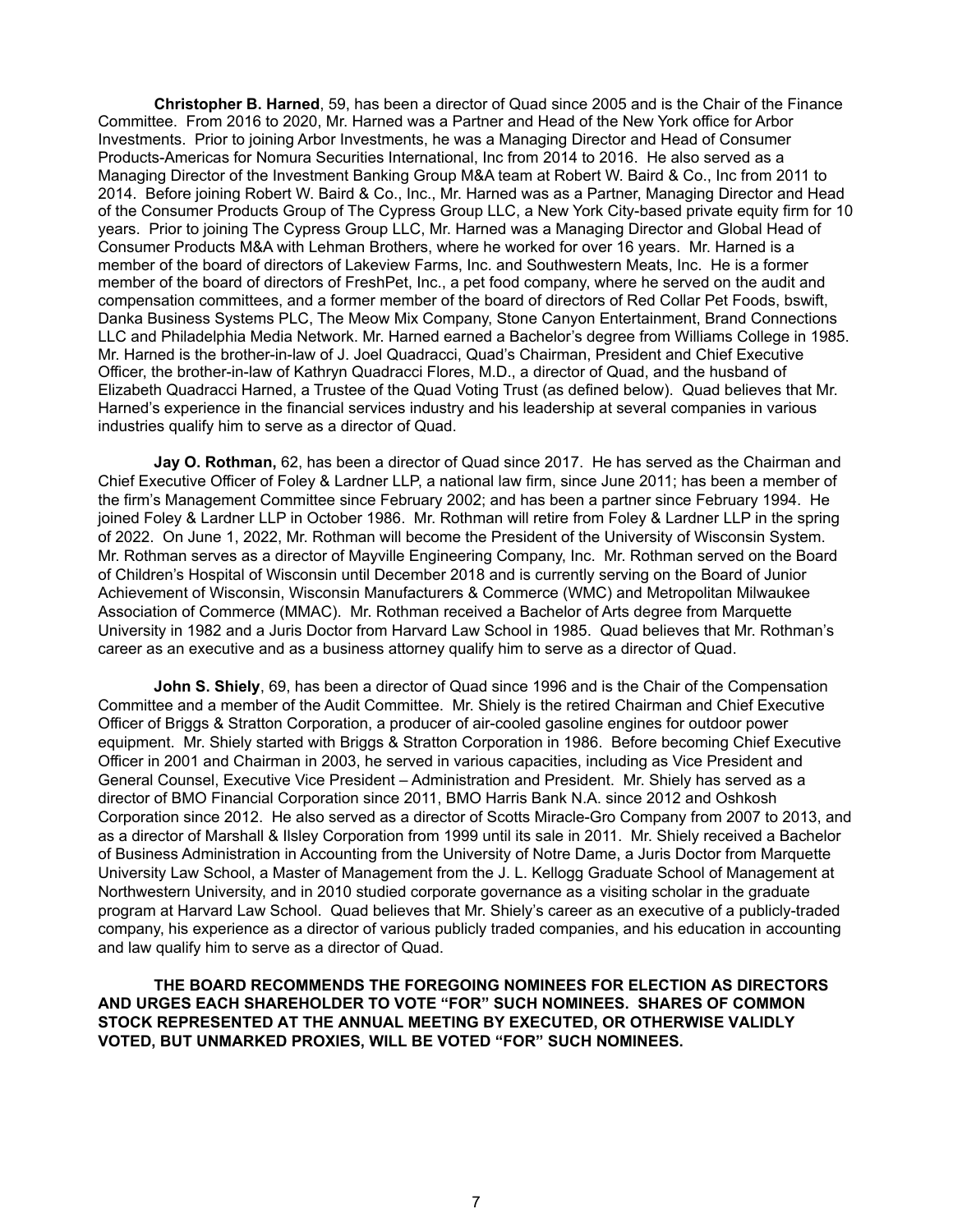**Christopher B. Harned**, 59, has been a director of Quad since 2005 and is the Chair of the Finance Committee. From 2016 to 2020, Mr. Harned was a Partner and Head of the New York office for Arbor Investments. Prior to joining Arbor Investments, he was a Managing Director and Head of Consumer Products-Americas for Nomura Securities International, Inc from 2014 to 2016. He also served as a Managing Director of the Investment Banking Group M&A team at Robert W. Baird & Co., Inc from 2011 to 2014. Before joining Robert W. Baird & Co., Inc., Mr. Harned was as a Partner, Managing Director and Head of the Consumer Products Group of The Cypress Group LLC, a New York City-based private equity firm for 10 years. Prior to joining The Cypress Group LLC, Mr. Harned was a Managing Director and Global Head of Consumer Products M&A with Lehman Brothers, where he worked for over 16 years. Mr. Harned is a member of the board of directors of Lakeview Farms, Inc. and Southwestern Meats, Inc. He is a former member of the board of directors of FreshPet, Inc., a pet food company, where he served on the audit and compensation committees, and a former member of the board of directors of Red Collar Pet Foods, bswift, Danka Business Systems PLC, The Meow Mix Company, Stone Canyon Entertainment, Brand Connections LLC and Philadelphia Media Network. Mr. Harned earned a Bachelor's degree from Williams College in 1985. Mr. Harned is the brother-in-law of J. Joel Quadracci, Quad's Chairman, President and Chief Executive Officer, the brother-in-law of Kathryn Quadracci Flores, M.D., a director of Quad, and the husband of Elizabeth Quadracci Harned, a Trustee of the Quad Voting Trust (as defined below). Quad believes that Mr. Harned's experience in the financial services industry and his leadership at several companies in various industries qualify him to serve as a director of Quad.

**Jay O. Rothman,** 62, has been a director of Quad since 2017. He has served as the Chairman and Chief Executive Officer of Foley & Lardner LLP, a national law firm, since June 2011; has been a member of the firm's Management Committee since February 2002; and has been a partner since February 1994. He joined Foley & Lardner LLP in October 1986. Mr. Rothman will retire from Foley & Lardner LLP in the spring of 2022. On June 1, 2022, Mr. Rothman will become the President of the University of Wisconsin System. Mr. Rothman serves as a director of Mayville Engineering Company, Inc. Mr. Rothman served on the Board of Children's Hospital of Wisconsin until December 2018 and is currently serving on the Board of Junior Achievement of Wisconsin, Wisconsin Manufacturers & Commerce (WMC) and Metropolitan Milwaukee Association of Commerce (MMAC). Mr. Rothman received a Bachelor of Arts degree from Marquette University in 1982 and a Juris Doctor from Harvard Law School in 1985. Quad believes that Mr. Rothman's career as an executive and as a business attorney qualify him to serve as a director of Quad.

**John S. Shiely**, 69, has been a director of Quad since 1996 and is the Chair of the Compensation Committee and a member of the Audit Committee. Mr. Shiely is the retired Chairman and Chief Executive Officer of Briggs & Stratton Corporation, a producer of air-cooled gasoline engines for outdoor power equipment. Mr. Shiely started with Briggs & Stratton Corporation in 1986. Before becoming Chief Executive Officer in 2001 and Chairman in 2003, he served in various capacities, including as Vice President and General Counsel, Executive Vice President – Administration and President. Mr. Shiely has served as a director of BMO Financial Corporation since 2011, BMO Harris Bank N.A. since 2012 and Oshkosh Corporation since 2012. He also served as a director of Scotts Miracle-Gro Company from 2007 to 2013, and as a director of Marshall & Ilsley Corporation from 1999 until its sale in 2011. Mr. Shiely received a Bachelor of Business Administration in Accounting from the University of Notre Dame, a Juris Doctor from Marquette University Law School, a Master of Management from the J. L. Kellogg Graduate School of Management at Northwestern University, and in 2010 studied corporate governance as a visiting scholar in the graduate program at Harvard Law School. Quad believes that Mr. Shiely's career as an executive of a publicly-traded company, his experience as a director of various publicly traded companies, and his education in accounting and law qualify him to serve as a director of Quad.

**THE BOARD RECOMMENDS THE FOREGOING NOMINEES FOR ELECTION AS DIRECTORS AND URGES EACH SHAREHOLDER TO VOTE "FOR" SUCH NOMINEES. SHARES OF COMMON STOCK REPRESENTED AT THE ANNUAL MEETING BY EXECUTED, OR OTHERWISE VALIDLY VOTED, BUT UNMARKED PROXIES, WILL BE VOTED "FOR" SUCH NOMINEES.**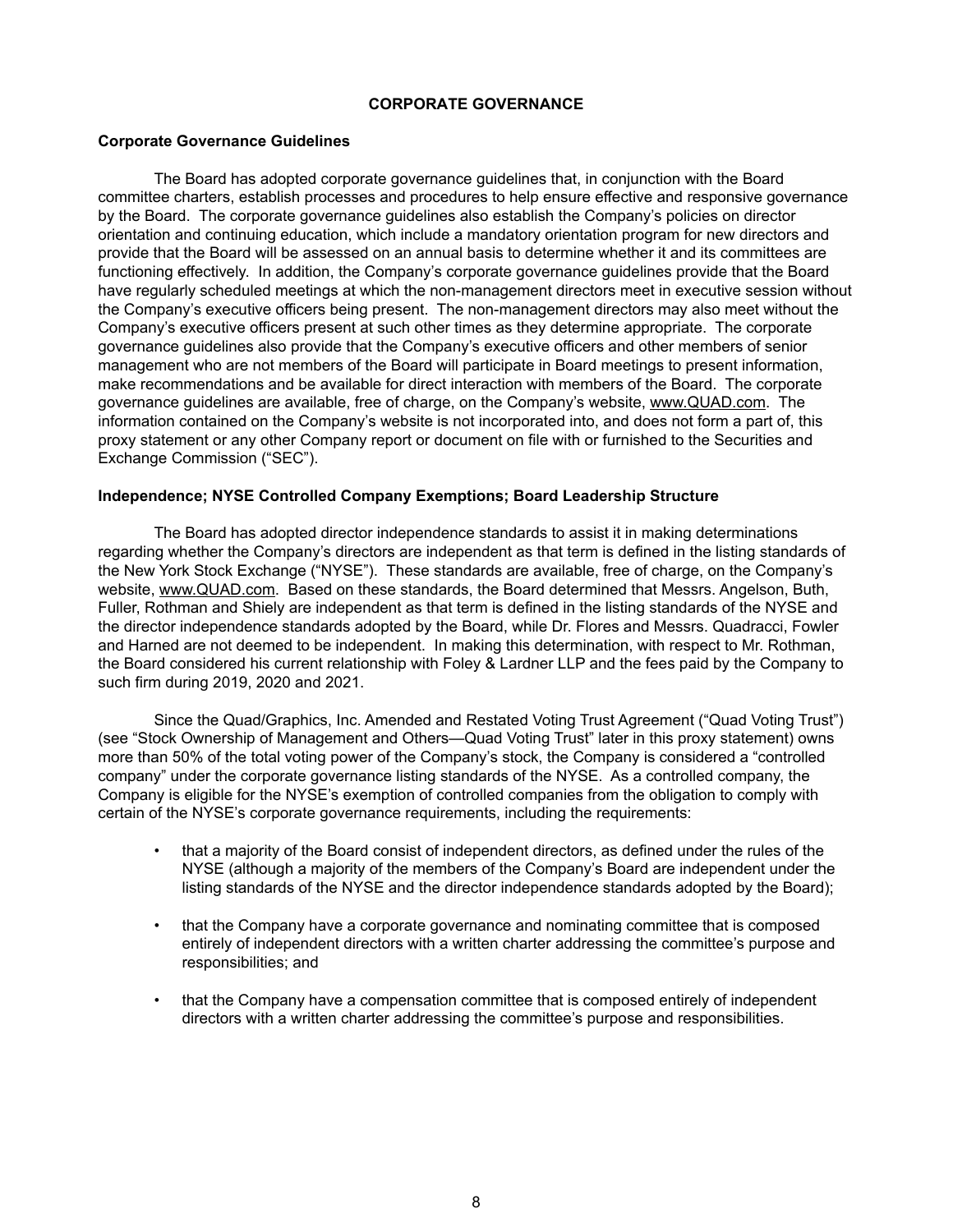## **CORPORATE GOVERNANCE**

#### **Corporate Governance Guidelines**

The Board has adopted corporate governance guidelines that, in conjunction with the Board committee charters, establish processes and procedures to help ensure effective and responsive governance by the Board. The corporate governance guidelines also establish the Company's policies on director orientation and continuing education, which include a mandatory orientation program for new directors and provide that the Board will be assessed on an annual basis to determine whether it and its committees are functioning effectively. In addition, the Company's corporate governance guidelines provide that the Board have regularly scheduled meetings at which the non-management directors meet in executive session without the Company's executive officers being present. The non-management directors may also meet without the Company's executive officers present at such other times as they determine appropriate. The corporate governance guidelines also provide that the Company's executive officers and other members of senior management who are not members of the Board will participate in Board meetings to present information, make recommendations and be available for direct interaction with members of the Board. The corporate governance guidelines are available, free of charge, on the Company's website, www.QUAD.com. The information contained on the Company's website is not incorporated into, and does not form a part of, this proxy statement or any other Company report or document on file with or furnished to the Securities and Exchange Commission ("SEC").

#### **Independence; NYSE Controlled Company Exemptions; Board Leadership Structure**

The Board has adopted director independence standards to assist it in making determinations regarding whether the Company's directors are independent as that term is defined in the listing standards of the New York Stock Exchange ("NYSE"). These standards are available, free of charge, on the Company's website, www.QUAD.com. Based on these standards, the Board determined that Messrs. Angelson, Buth, Fuller, Rothman and Shiely are independent as that term is defined in the listing standards of the NYSE and the director independence standards adopted by the Board, while Dr. Flores and Messrs. Quadracci, Fowler and Harned are not deemed to be independent. In making this determination, with respect to Mr. Rothman, the Board considered his current relationship with Foley & Lardner LLP and the fees paid by the Company to such firm during 2019, 2020 and 2021.

Since the Quad/Graphics, Inc. Amended and Restated Voting Trust Agreement ("Quad Voting Trust") (see "Stock Ownership of Management and Others—Quad Voting Trust" later in this proxy statement) owns more than 50% of the total voting power of the Company's stock, the Company is considered a "controlled company" under the corporate governance listing standards of the NYSE. As a controlled company, the Company is eligible for the NYSE's exemption of controlled companies from the obligation to comply with certain of the NYSE's corporate governance requirements, including the requirements:

- that a majority of the Board consist of independent directors, as defined under the rules of the NYSE (although a majority of the members of the Company's Board are independent under the listing standards of the NYSE and the director independence standards adopted by the Board);
- that the Company have a corporate governance and nominating committee that is composed entirely of independent directors with a written charter addressing the committee's purpose and responsibilities; and
- that the Company have a compensation committee that is composed entirely of independent directors with a written charter addressing the committee's purpose and responsibilities.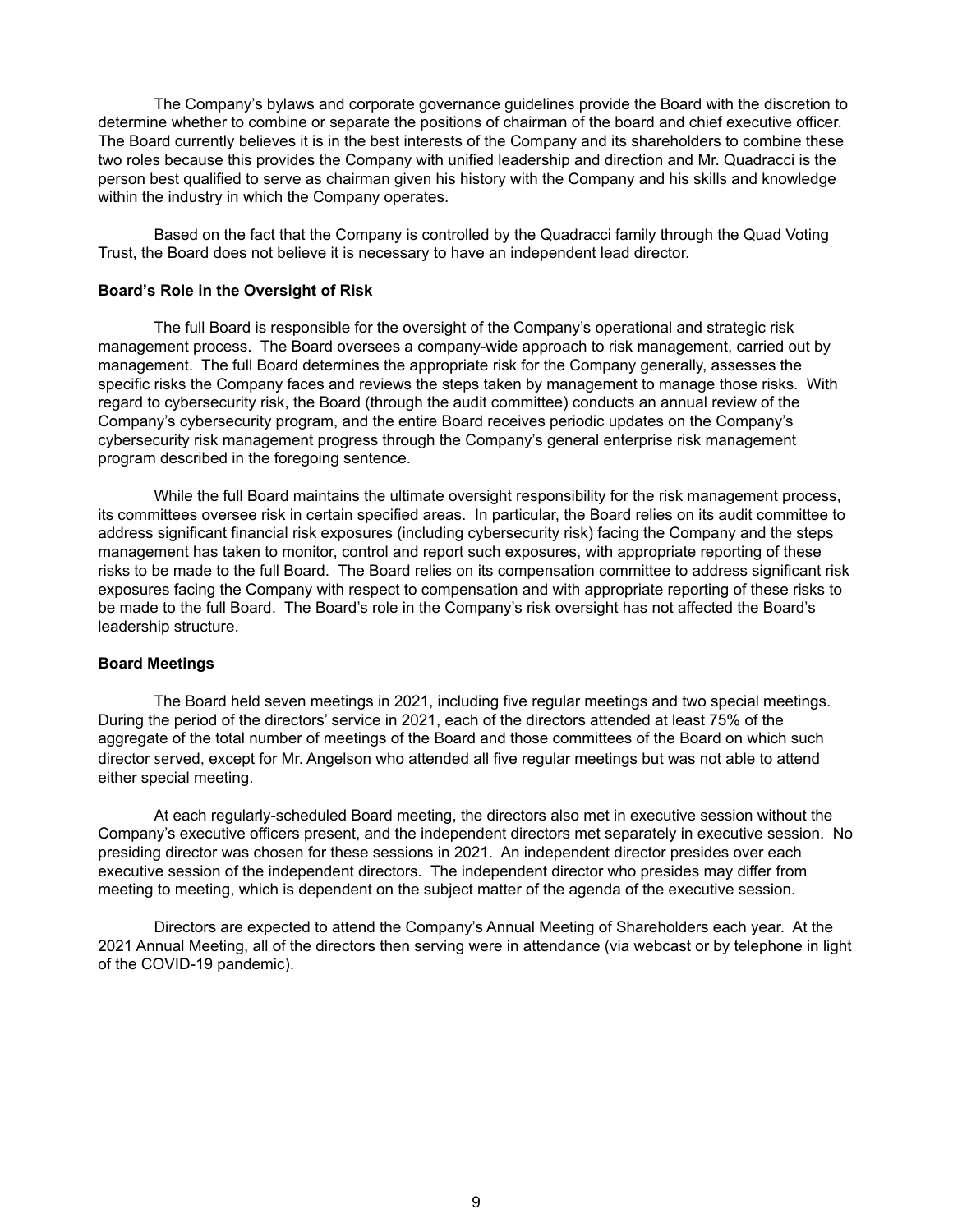The Company's bylaws and corporate governance guidelines provide the Board with the discretion to determine whether to combine or separate the positions of chairman of the board and chief executive officer. The Board currently believes it is in the best interests of the Company and its shareholders to combine these two roles because this provides the Company with unified leadership and direction and Mr. Quadracci is the person best qualified to serve as chairman given his history with the Company and his skills and knowledge within the industry in which the Company operates.

Based on the fact that the Company is controlled by the Quadracci family through the Quad Voting Trust, the Board does not believe it is necessary to have an independent lead director.

#### **Board's Role in the Oversight of Risk**

The full Board is responsible for the oversight of the Company's operational and strategic risk management process. The Board oversees a company-wide approach to risk management, carried out by management. The full Board determines the appropriate risk for the Company generally, assesses the specific risks the Company faces and reviews the steps taken by management to manage those risks. With regard to cybersecurity risk, the Board (through the audit committee) conducts an annual review of the Company's cybersecurity program, and the entire Board receives periodic updates on the Company's cybersecurity risk management progress through the Company's general enterprise risk management program described in the foregoing sentence.

While the full Board maintains the ultimate oversight responsibility for the risk management process, its committees oversee risk in certain specified areas. In particular, the Board relies on its audit committee to address significant financial risk exposures (including cybersecurity risk) facing the Company and the steps management has taken to monitor, control and report such exposures, with appropriate reporting of these risks to be made to the full Board. The Board relies on its compensation committee to address significant risk exposures facing the Company with respect to compensation and with appropriate reporting of these risks to be made to the full Board. The Board's role in the Company's risk oversight has not affected the Board's leadership structure.

#### **Board Meetings**

The Board held seven meetings in 2021, including five regular meetings and two special meetings. During the period of the directors' service in 2021, each of the directors attended at least 75% of the aggregate of the total number of meetings of the Board and those committees of the Board on which such director served, except for Mr. Angelson who attended all five regular meetings but was not able to attend either special meeting.

At each regularly-scheduled Board meeting, the directors also met in executive session without the Company's executive officers present, and the independent directors met separately in executive session. No presiding director was chosen for these sessions in 2021. An independent director presides over each executive session of the independent directors. The independent director who presides may differ from meeting to meeting, which is dependent on the subject matter of the agenda of the executive session.

Directors are expected to attend the Company's Annual Meeting of Shareholders each year. At the 2021 Annual Meeting, all of the directors then serving were in attendance (via webcast or by telephone in light of the COVID-19 pandemic).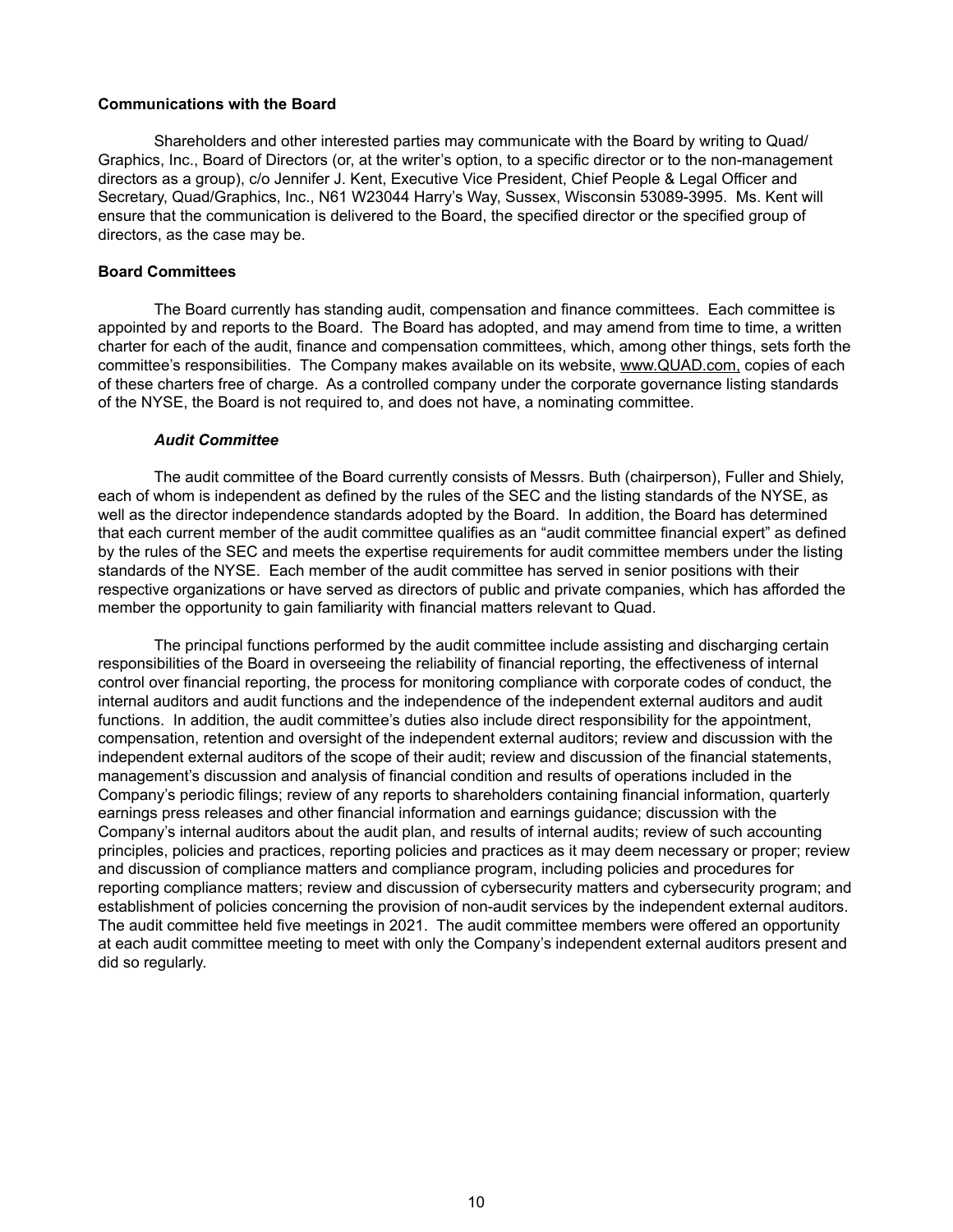## **Communications with the Board**

Shareholders and other interested parties may communicate with the Board by writing to Quad/ Graphics, Inc., Board of Directors (or, at the writer's option, to a specific director or to the non-management directors as a group), c/o Jennifer J. Kent, Executive Vice President, Chief People & Legal Officer and Secretary, Quad/Graphics, Inc., N61 W23044 Harry's Way, Sussex, Wisconsin 53089-3995. Ms. Kent will ensure that the communication is delivered to the Board, the specified director or the specified group of directors, as the case may be.

#### **Board Committees**

The Board currently has standing audit, compensation and finance committees. Each committee is appointed by and reports to the Board. The Board has adopted, and may amend from time to time, a written charter for each of the audit, finance and compensation committees, which, among other things, sets forth the committee's responsibilities. The Company makes available on its website, www.QUAD.com, copies of each of these charters free of charge. As a controlled company under the corporate governance listing standards of the NYSE, the Board is not required to, and does not have, a nominating committee.

#### *Audit Committee*

The audit committee of the Board currently consists of Messrs. Buth (chairperson), Fuller and Shiely, each of whom is independent as defined by the rules of the SEC and the listing standards of the NYSE, as well as the director independence standards adopted by the Board. In addition, the Board has determined that each current member of the audit committee qualifies as an "audit committee financial expert" as defined by the rules of the SEC and meets the expertise requirements for audit committee members under the listing standards of the NYSE. Each member of the audit committee has served in senior positions with their respective organizations or have served as directors of public and private companies, which has afforded the member the opportunity to gain familiarity with financial matters relevant to Quad.

The principal functions performed by the audit committee include assisting and discharging certain responsibilities of the Board in overseeing the reliability of financial reporting, the effectiveness of internal control over financial reporting, the process for monitoring compliance with corporate codes of conduct, the internal auditors and audit functions and the independence of the independent external auditors and audit functions. In addition, the audit committee's duties also include direct responsibility for the appointment, compensation, retention and oversight of the independent external auditors; review and discussion with the independent external auditors of the scope of their audit; review and discussion of the financial statements, management's discussion and analysis of financial condition and results of operations included in the Company's periodic filings; review of any reports to shareholders containing financial information, quarterly earnings press releases and other financial information and earnings guidance; discussion with the Company's internal auditors about the audit plan, and results of internal audits; review of such accounting principles, policies and practices, reporting policies and practices as it may deem necessary or proper; review and discussion of compliance matters and compliance program, including policies and procedures for reporting compliance matters; review and discussion of cybersecurity matters and cybersecurity program; and establishment of policies concerning the provision of non-audit services by the independent external auditors. The audit committee held five meetings in 2021. The audit committee members were offered an opportunity at each audit committee meeting to meet with only the Company's independent external auditors present and did so regularly.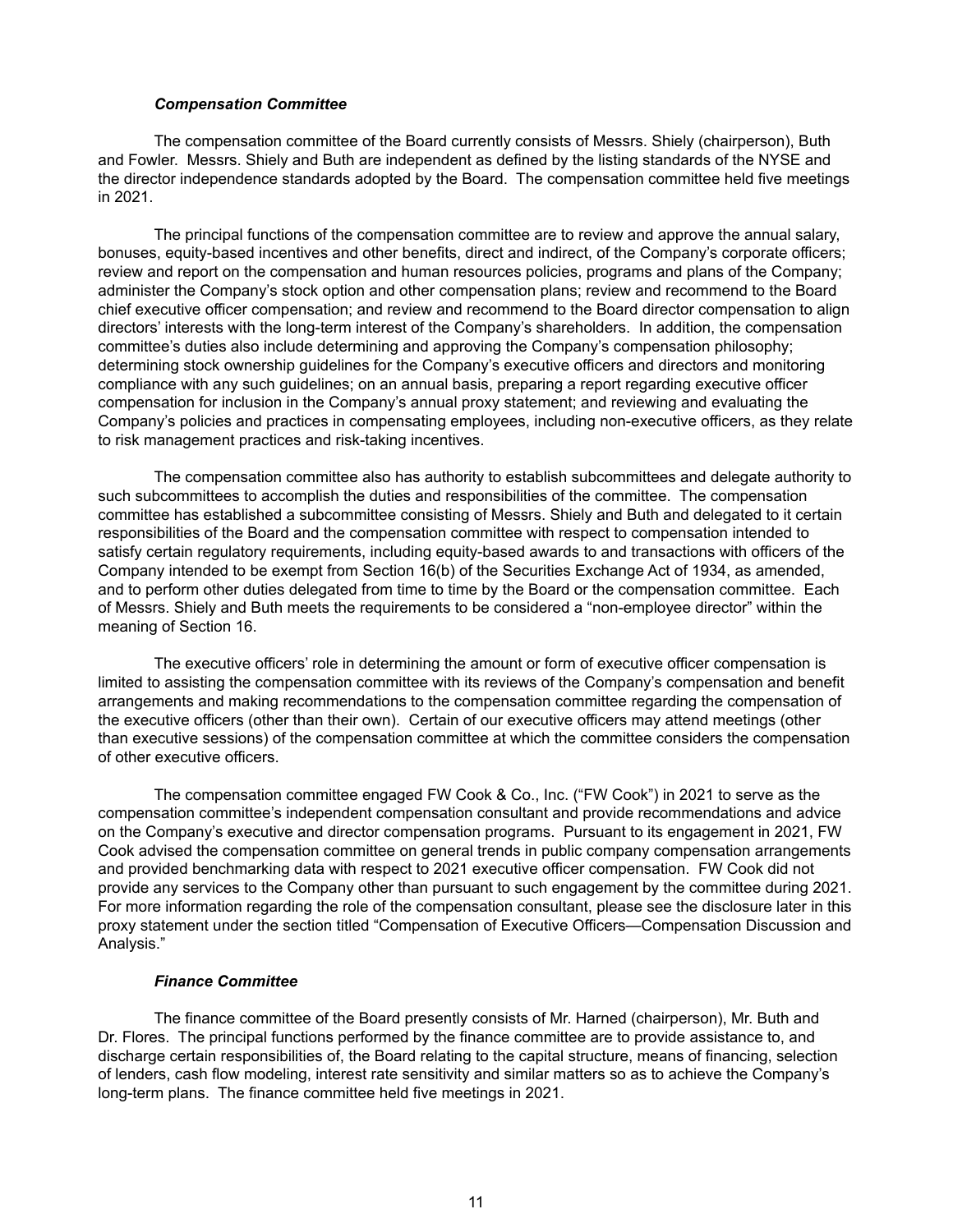#### *Compensation Committee*

The compensation committee of the Board currently consists of Messrs. Shiely (chairperson), Buth and Fowler. Messrs. Shiely and Buth are independent as defined by the listing standards of the NYSE and the director independence standards adopted by the Board. The compensation committee held five meetings in 2021.

The principal functions of the compensation committee are to review and approve the annual salary, bonuses, equity-based incentives and other benefits, direct and indirect, of the Company's corporate officers; review and report on the compensation and human resources policies, programs and plans of the Company; administer the Company's stock option and other compensation plans; review and recommend to the Board chief executive officer compensation; and review and recommend to the Board director compensation to align directors' interests with the long-term interest of the Company's shareholders. In addition, the compensation committee's duties also include determining and approving the Company's compensation philosophy; determining stock ownership guidelines for the Company's executive officers and directors and monitoring compliance with any such guidelines; on an annual basis, preparing a report regarding executive officer compensation for inclusion in the Company's annual proxy statement; and reviewing and evaluating the Company's policies and practices in compensating employees, including non-executive officers, as they relate to risk management practices and risk-taking incentives.

The compensation committee also has authority to establish subcommittees and delegate authority to such subcommittees to accomplish the duties and responsibilities of the committee. The compensation committee has established a subcommittee consisting of Messrs. Shiely and Buth and delegated to it certain responsibilities of the Board and the compensation committee with respect to compensation intended to satisfy certain regulatory requirements, including equity-based awards to and transactions with officers of the Company intended to be exempt from Section 16(b) of the Securities Exchange Act of 1934, as amended, and to perform other duties delegated from time to time by the Board or the compensation committee. Each of Messrs. Shiely and Buth meets the requirements to be considered a "non-employee director" within the meaning of Section 16.

The executive officers' role in determining the amount or form of executive officer compensation is limited to assisting the compensation committee with its reviews of the Company's compensation and benefit arrangements and making recommendations to the compensation committee regarding the compensation of the executive officers (other than their own). Certain of our executive officers may attend meetings (other than executive sessions) of the compensation committee at which the committee considers the compensation of other executive officers.

The compensation committee engaged FW Cook & Co., Inc. ("FW Cook") in 2021 to serve as the compensation committee's independent compensation consultant and provide recommendations and advice on the Company's executive and director compensation programs. Pursuant to its engagement in 2021, FW Cook advised the compensation committee on general trends in public company compensation arrangements and provided benchmarking data with respect to 2021 executive officer compensation. FW Cook did not provide any services to the Company other than pursuant to such engagement by the committee during 2021. For more information regarding the role of the compensation consultant, please see the disclosure later in this proxy statement under the section titled "Compensation of Executive Officers—Compensation Discussion and Analysis."

#### *Finance Committee*

The finance committee of the Board presently consists of Mr. Harned (chairperson), Mr. Buth and Dr. Flores. The principal functions performed by the finance committee are to provide assistance to, and discharge certain responsibilities of, the Board relating to the capital structure, means of financing, selection of lenders, cash flow modeling, interest rate sensitivity and similar matters so as to achieve the Company's long-term plans. The finance committee held five meetings in 2021.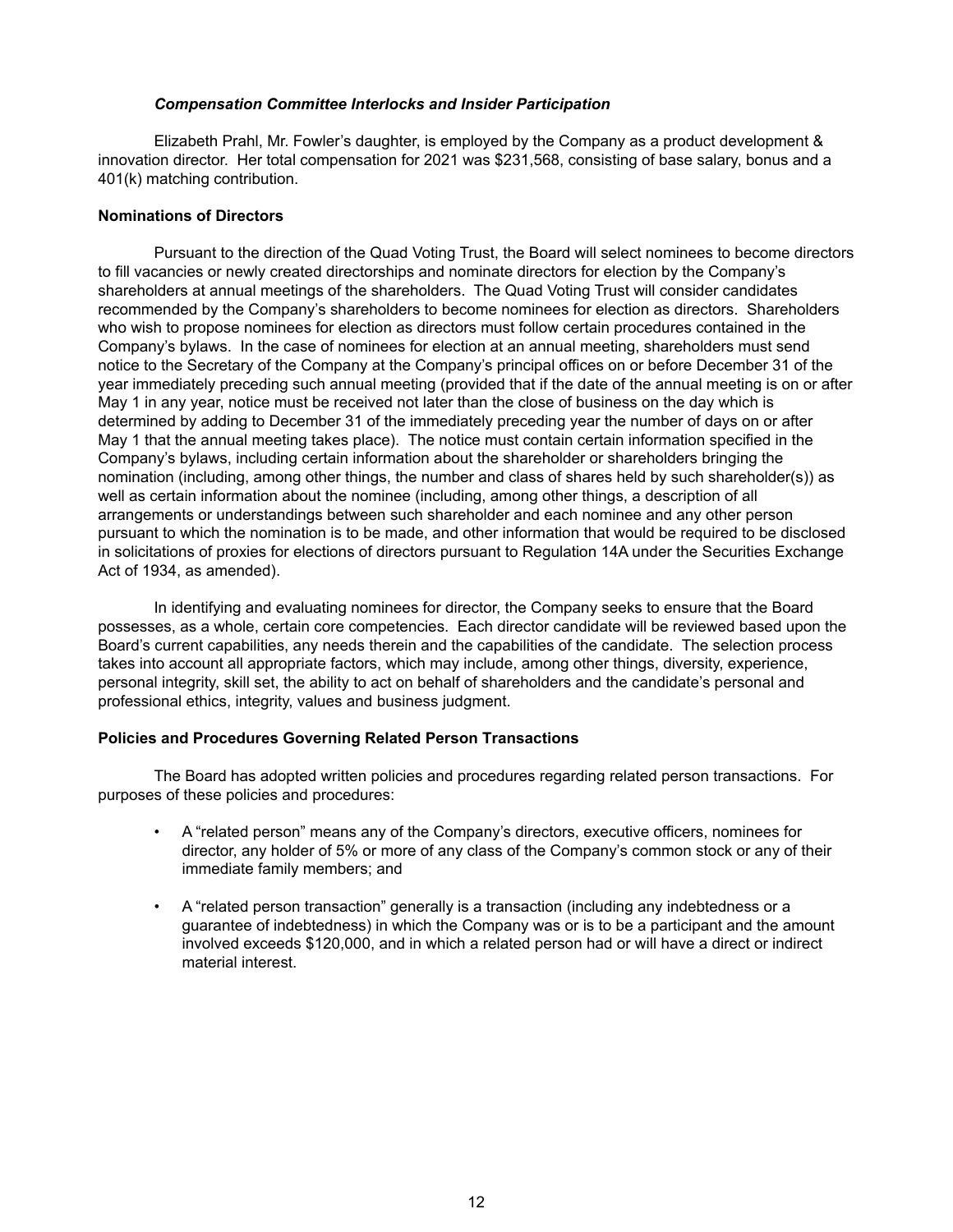#### *Compensation Committee Interlocks and Insider Participation*

Elizabeth Prahl, Mr. Fowler's daughter, is employed by the Company as a product development & innovation director. Her total compensation for 2021 was \$231,568, consisting of base salary, bonus and a 401(k) matching contribution.

## **Nominations of Directors**

Pursuant to the direction of the Quad Voting Trust, the Board will select nominees to become directors to fill vacancies or newly created directorships and nominate directors for election by the Company's shareholders at annual meetings of the shareholders. The Quad Voting Trust will consider candidates recommended by the Company's shareholders to become nominees for election as directors. Shareholders who wish to propose nominees for election as directors must follow certain procedures contained in the Company's bylaws. In the case of nominees for election at an annual meeting, shareholders must send notice to the Secretary of the Company at the Company's principal offices on or before December 31 of the year immediately preceding such annual meeting (provided that if the date of the annual meeting is on or after May 1 in any year, notice must be received not later than the close of business on the day which is determined by adding to December 31 of the immediately preceding year the number of days on or after May 1 that the annual meeting takes place). The notice must contain certain information specified in the Company's bylaws, including certain information about the shareholder or shareholders bringing the nomination (including, among other things, the number and class of shares held by such shareholder(s)) as well as certain information about the nominee (including, among other things, a description of all arrangements or understandings between such shareholder and each nominee and any other person pursuant to which the nomination is to be made, and other information that would be required to be disclosed in solicitations of proxies for elections of directors pursuant to Regulation 14A under the Securities Exchange Act of 1934, as amended).

In identifying and evaluating nominees for director, the Company seeks to ensure that the Board possesses, as a whole, certain core competencies. Each director candidate will be reviewed based upon the Board's current capabilities, any needs therein and the capabilities of the candidate. The selection process takes into account all appropriate factors, which may include, among other things, diversity, experience, personal integrity, skill set, the ability to act on behalf of shareholders and the candidate's personal and professional ethics, integrity, values and business judgment.

## **Policies and Procedures Governing Related Person Transactions**

The Board has adopted written policies and procedures regarding related person transactions. For purposes of these policies and procedures:

- A "related person" means any of the Company's directors, executive officers, nominees for director, any holder of 5% or more of any class of the Company's common stock or any of their immediate family members; and
- A "related person transaction" generally is a transaction (including any indebtedness or a guarantee of indebtedness) in which the Company was or is to be a participant and the amount involved exceeds \$120,000, and in which a related person had or will have a direct or indirect material interest.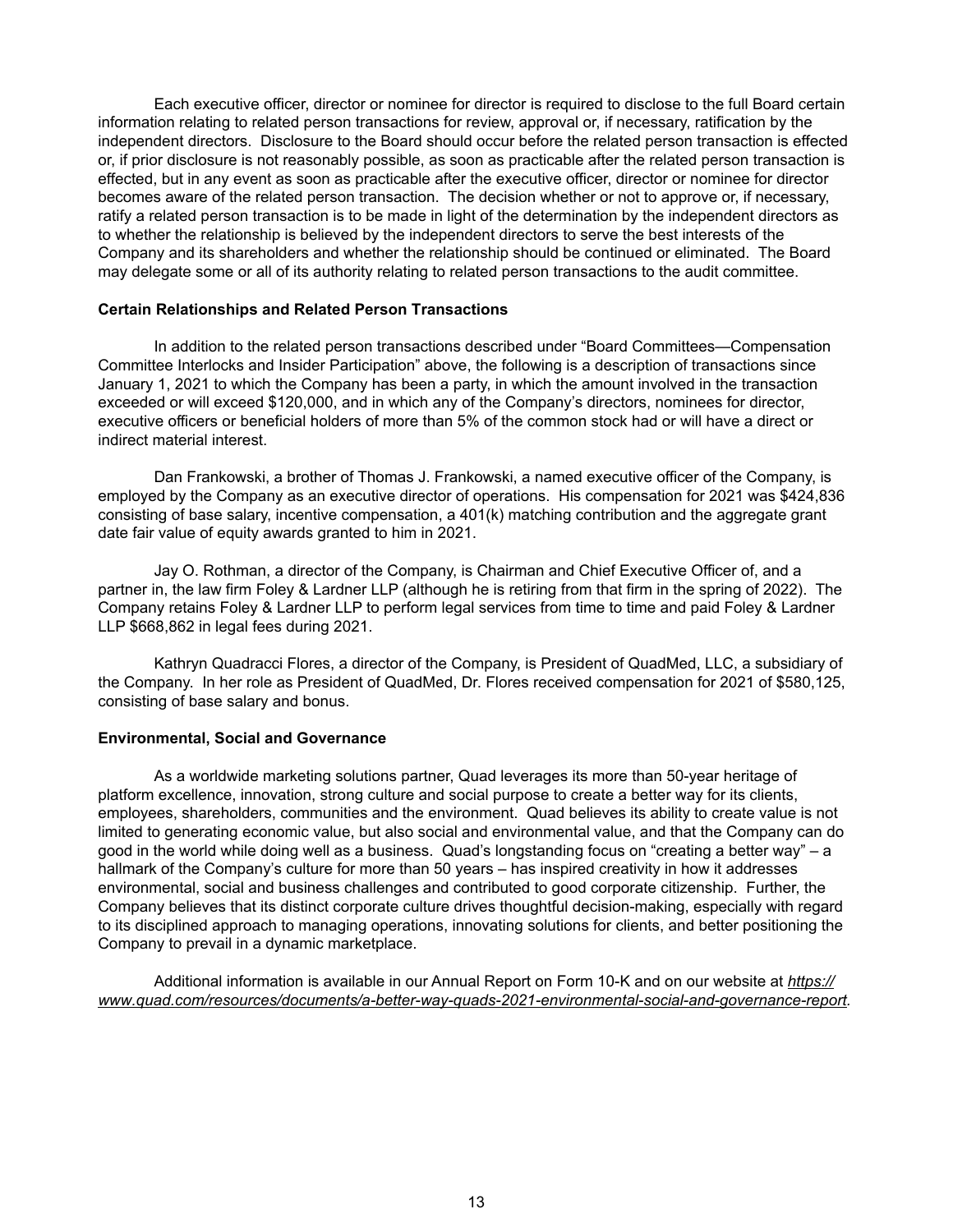Each executive officer, director or nominee for director is required to disclose to the full Board certain information relating to related person transactions for review, approval or, if necessary, ratification by the independent directors. Disclosure to the Board should occur before the related person transaction is effected or, if prior disclosure is not reasonably possible, as soon as practicable after the related person transaction is effected, but in any event as soon as practicable after the executive officer, director or nominee for director becomes aware of the related person transaction. The decision whether or not to approve or, if necessary, ratify a related person transaction is to be made in light of the determination by the independent directors as to whether the relationship is believed by the independent directors to serve the best interests of the Company and its shareholders and whether the relationship should be continued or eliminated. The Board may delegate some or all of its authority relating to related person transactions to the audit committee.

#### **Certain Relationships and Related Person Transactions**

In addition to the related person transactions described under "Board Committees—Compensation Committee Interlocks and Insider Participation" above, the following is a description of transactions since January 1, 2021 to which the Company has been a party, in which the amount involved in the transaction exceeded or will exceed \$120,000, and in which any of the Company's directors, nominees for director, executive officers or beneficial holders of more than 5% of the common stock had or will have a direct or indirect material interest.

Dan Frankowski, a brother of Thomas J. Frankowski, a named executive officer of the Company, is employed by the Company as an executive director of operations. His compensation for 2021 was \$424,836 consisting of base salary, incentive compensation, a 401(k) matching contribution and the aggregate grant date fair value of equity awards granted to him in 2021.

Jay O. Rothman, a director of the Company, is Chairman and Chief Executive Officer of, and a partner in, the law firm Foley & Lardner LLP (although he is retiring from that firm in the spring of 2022). The Company retains Foley & Lardner LLP to perform legal services from time to time and paid Foley & Lardner LLP \$668,862 in legal fees during 2021.

Kathryn Quadracci Flores, a director of the Company, is President of QuadMed, LLC, a subsidiary of the Company. In her role as President of QuadMed, Dr. Flores received compensation for 2021 of \$580,125, consisting of base salary and bonus.

## **Environmental, Social and Governance**

As a worldwide marketing solutions partner, Quad leverages its more than 50-year heritage of platform excellence, innovation, strong culture and social purpose to create a better way for its clients, employees, shareholders, communities and the environment. Quad believes its ability to create value is not limited to generating economic value, but also social and environmental value, and that the Company can do good in the world while doing well as a business. Quad's longstanding focus on "creating a better way" – a hallmark of the Company's culture for more than 50 years – has inspired creativity in how it addresses environmental, social and business challenges and contributed to good corporate citizenship. Further, the Company believes that its distinct corporate culture drives thoughtful decision-making, especially with regard to its disciplined approach to managing operations, innovating solutions for clients, and better positioning the Company to prevail in a dynamic marketplace.

Additional information is available in our Annual Report on Form 10-K and on our website at *https:// www.quad.com/resources/documents/a-better-way-quads-2021-environmental-social-and-governance-report.*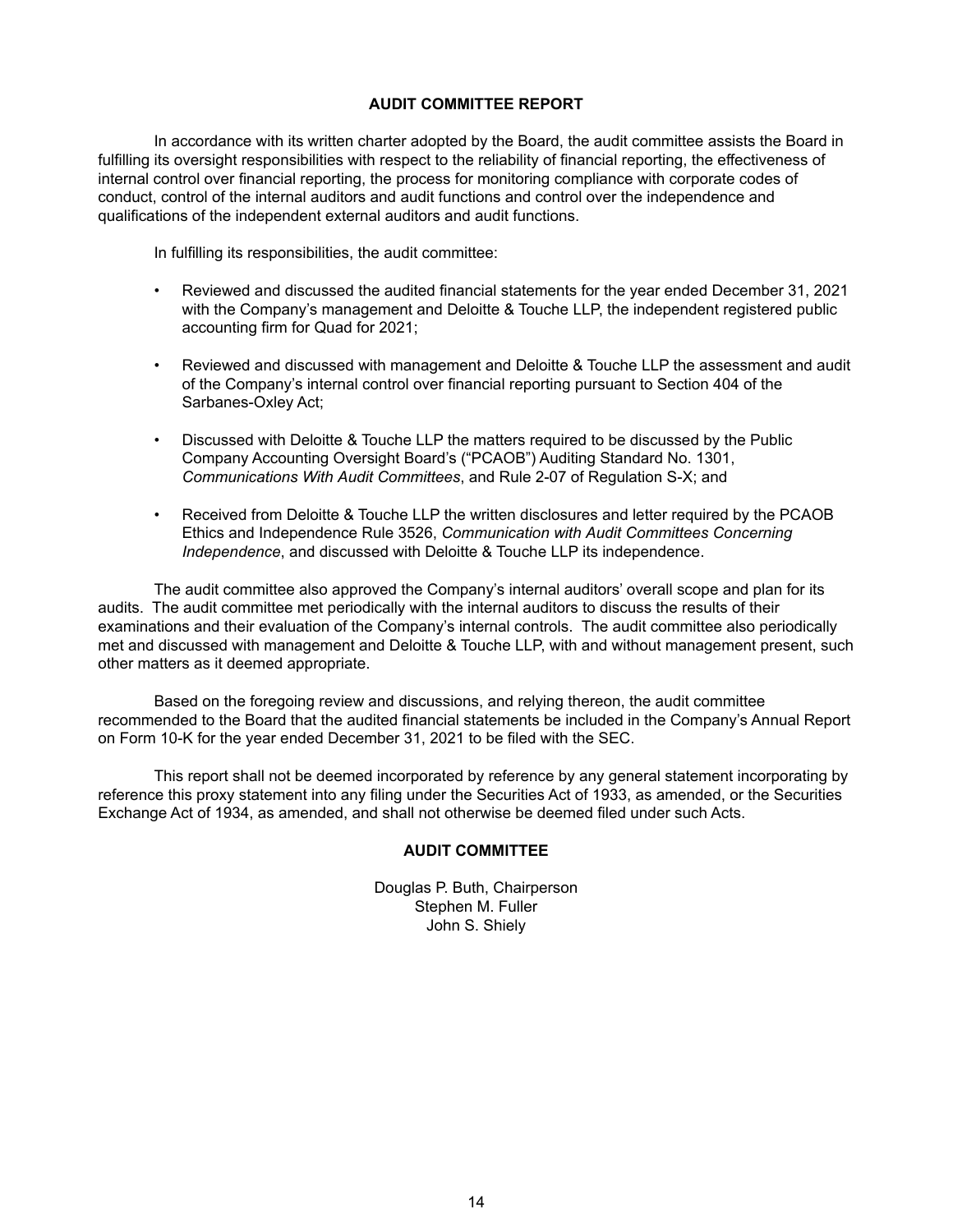## **AUDIT COMMITTEE REPORT**

In accordance with its written charter adopted by the Board, the audit committee assists the Board in fulfilling its oversight responsibilities with respect to the reliability of financial reporting, the effectiveness of internal control over financial reporting, the process for monitoring compliance with corporate codes of conduct, control of the internal auditors and audit functions and control over the independence and qualifications of the independent external auditors and audit functions.

In fulfilling its responsibilities, the audit committee:

- Reviewed and discussed the audited financial statements for the year ended December 31, 2021 with the Company's management and Deloitte & Touche LLP, the independent registered public accounting firm for Quad for 2021;
- Reviewed and discussed with management and Deloitte & Touche LLP the assessment and audit of the Company's internal control over financial reporting pursuant to Section 404 of the Sarbanes-Oxley Act;
- Discussed with Deloitte & Touche LLP the matters required to be discussed by the Public Company Accounting Oversight Board's ("PCAOB") Auditing Standard No. 1301, *Communications With Audit Committees*, and Rule 2-07 of Regulation S-X; and
- Received from Deloitte & Touche LLP the written disclosures and letter required by the PCAOB Ethics and Independence Rule 3526, *Communication with Audit Committees Concerning Independence*, and discussed with Deloitte & Touche LLP its independence.

The audit committee also approved the Company's internal auditors' overall scope and plan for its audits. The audit committee met periodically with the internal auditors to discuss the results of their examinations and their evaluation of the Company's internal controls. The audit committee also periodically met and discussed with management and Deloitte & Touche LLP, with and without management present, such other matters as it deemed appropriate.

Based on the foregoing review and discussions, and relying thereon, the audit committee recommended to the Board that the audited financial statements be included in the Company's Annual Report on Form 10-K for the year ended December 31, 2021 to be filed with the SEC.

This report shall not be deemed incorporated by reference by any general statement incorporating by reference this proxy statement into any filing under the Securities Act of 1933, as amended, or the Securities Exchange Act of 1934, as amended, and shall not otherwise be deemed filed under such Acts.

## **AUDIT COMMITTEE**

Douglas P. Buth, Chairperson Stephen M. Fuller John S. Shiely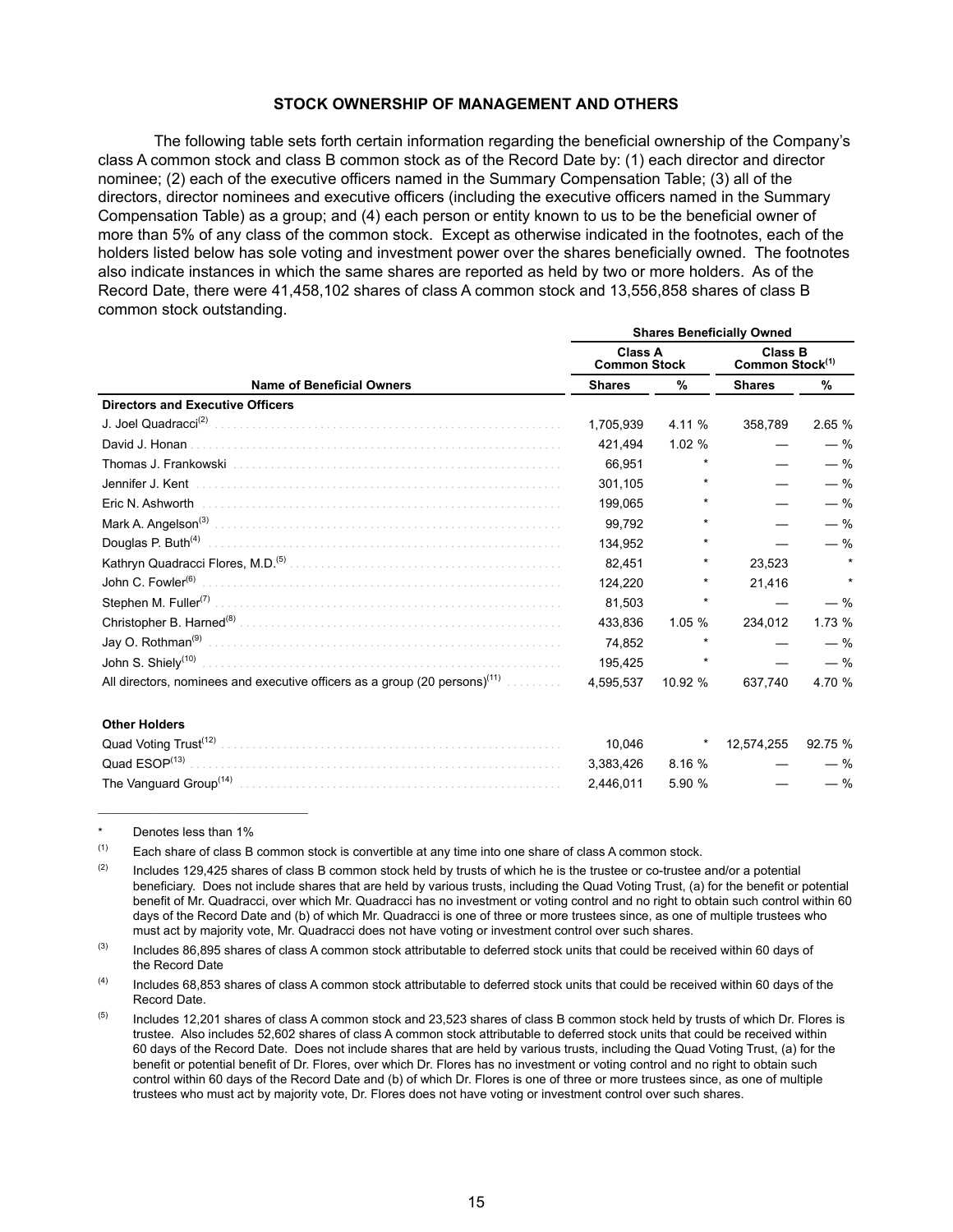## **STOCK OWNERSHIP OF MANAGEMENT AND OTHERS**

The following table sets forth certain information regarding the beneficial ownership of the Company's class A common stock and class B common stock as of the Record Date by: (1) each director and director nominee; (2) each of the executive officers named in the Summary Compensation Table; (3) all of the directors, director nominees and executive officers (including the executive officers named in the Summary Compensation Table) as a group; and (4) each person or entity known to us to be the beneficial owner of more than 5% of any class of the common stock. Except as otherwise indicated in the footnotes, each of the holders listed below has sole voting and investment power over the shares beneficially owned. The footnotes also indicate instances in which the same shares are reported as held by two or more holders. As of the Record Date, there were 41,458,102 shares of class A common stock and 13,556,858 shares of class B common stock outstanding.

|                                                                                        | <b>Shares Beneficially Owned</b>      |         |                                               |         |  |  |
|----------------------------------------------------------------------------------------|---------------------------------------|---------|-----------------------------------------------|---------|--|--|
|                                                                                        | <b>Class A</b><br><b>Common Stock</b> |         | <b>Class B</b><br>Common Stock <sup>(1)</sup> |         |  |  |
| <b>Name of Beneficial Owners</b>                                                       | <b>Shares</b>                         | %       | <b>Shares</b>                                 | ℅       |  |  |
| <b>Directors and Executive Officers</b>                                                |                                       |         |                                               |         |  |  |
|                                                                                        | 1.705.939                             | 4.11 %  | 358.789                                       | 2.65 %  |  |  |
| David J. Honan                                                                         | 421.494                               | 1.02%   |                                               | $-$ %   |  |  |
|                                                                                        | 66.951                                |         |                                               | $-$ %   |  |  |
| Jennifer J. Kent                                                                       | 301,105                               | $\star$ |                                               | $-$ %   |  |  |
| Eric N. Ashworth                                                                       | 199,065                               |         |                                               | $-$ %   |  |  |
|                                                                                        | 99,792                                |         |                                               | $-$ %   |  |  |
| Douglas P. Buth <sup>(4)</sup>                                                         | 134,952                               |         |                                               | $-$ %   |  |  |
|                                                                                        | 82,451                                |         | 23,523                                        |         |  |  |
| John C. Fowler <sup>(6)</sup>                                                          | 124,220                               |         | 21,416                                        | $\star$ |  |  |
| Stephen M. Fuller <sup>(7)</sup> .                                                     | 81,503                                |         |                                               | $-$ %   |  |  |
|                                                                                        | 433,836                               | 1.05%   | 234,012                                       | 1.73%   |  |  |
| Jay O. Rothman <sup>(9)</sup>                                                          | 74,852                                | $\ast$  |                                               | $-$ %   |  |  |
| John S. Shiely <sup>(10)</sup>                                                         | 195.425                               | *       |                                               | $-$ %   |  |  |
| All directors, nominees and executive officers as a group (20 persons) <sup>(11)</sup> | 4.595.537                             | 10.92 % | 637.740                                       | 4.70 %  |  |  |
| <b>Other Holders</b>                                                                   |                                       |         |                                               |         |  |  |
|                                                                                        | 10.046                                |         | 12,574,255                                    | 92.75 % |  |  |
| Quad ESOP <sup>(13)</sup>                                                              | 3.383.426                             | 8.16 %  |                                               | $-$ %   |  |  |
|                                                                                        | 2.446.011                             | 5.90 %  |                                               | $-$ %   |  |  |

Denotes less than 1%

 $(1)$  Each share of class B common stock is convertible at any time into one share of class A common stock.

 $(2)$  Includes 129,425 shares of class B common stock held by trusts of which he is the trustee or co-trustee and/or a potential beneficiary. Does not include shares that are held by various trusts, including the Quad Voting Trust, (a) for the benefit or potential benefit of Mr. Quadracci, over which Mr. Quadracci has no investment or voting control and no right to obtain such control within 60 days of the Record Date and (b) of which Mr. Quadracci is one of three or more trustees since, as one of multiple trustees who must act by majority vote, Mr. Quadracci does not have voting or investment control over such shares.

 $(3)$  Includes 86,895 shares of class A common stock attributable to deferred stock units that could be received within 60 days of the Record Date

<sup>(4)</sup> Includes 68,853 shares of class A common stock attributable to deferred stock units that could be received within 60 days of the Record Date.

 $^{(5)}$  Includes 12,201 shares of class A common stock and 23,523 shares of class B common stock held by trusts of which Dr. Flores is trustee. Also includes 52,602 shares of class A common stock attributable to deferred stock units that could be received within 60 days of the Record Date. Does not include shares that are held by various trusts, including the Quad Voting Trust, (a) for the benefit or potential benefit of Dr. Flores, over which Dr. Flores has no investment or voting control and no right to obtain such control within 60 days of the Record Date and (b) of which Dr. Flores is one of three or more trustees since, as one of multiple trustees who must act by majority vote, Dr. Flores does not have voting or investment control over such shares.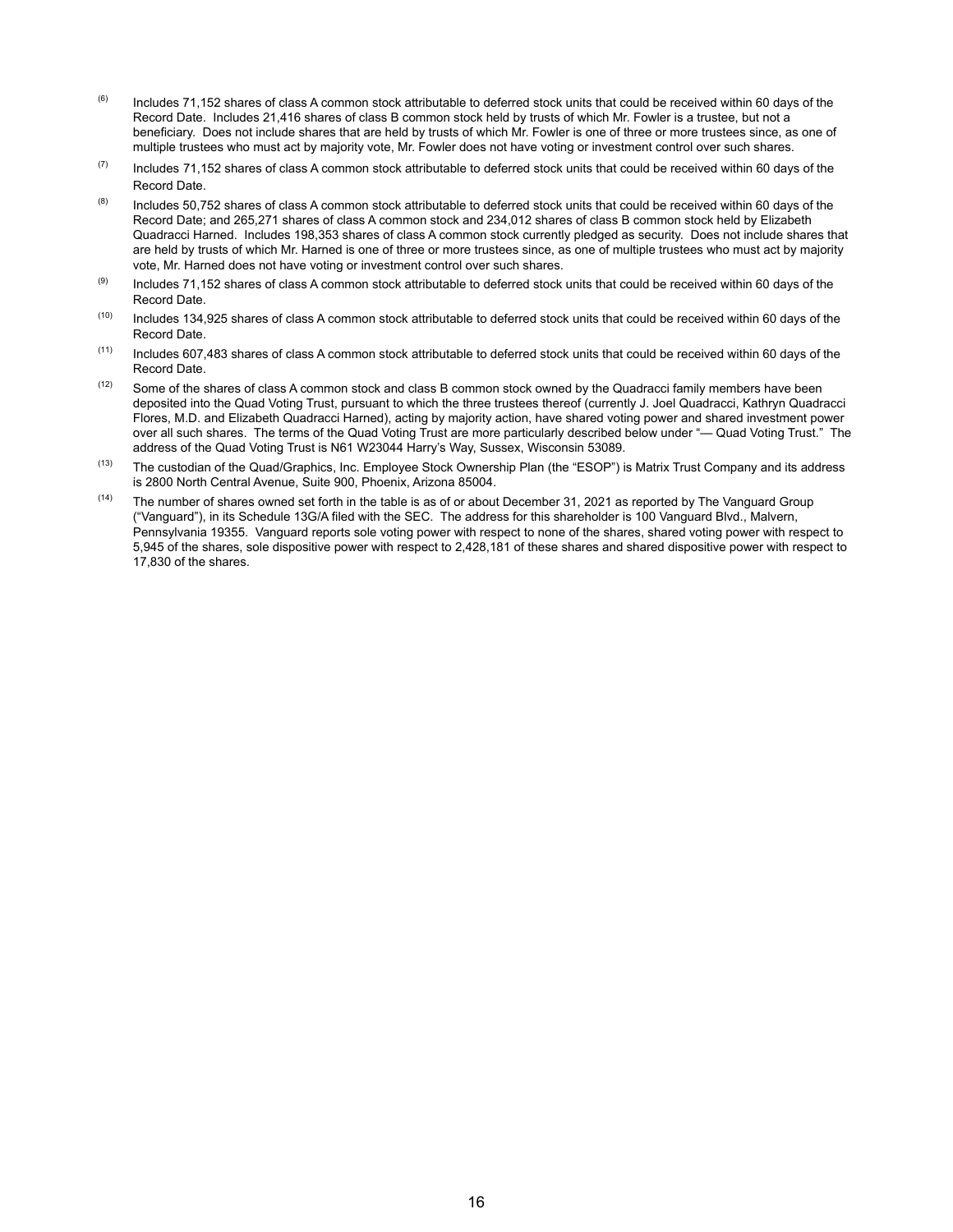- $(6)$  Includes 71,152 shares of class A common stock attributable to deferred stock units that could be received within 60 days of the Record Date. Includes 21,416 shares of class B common stock held by trusts of which Mr. Fowler is a trustee, but not a beneficiary. Does not include shares that are held by trusts of which Mr. Fowler is one of three or more trustees since, as one of multiple trustees who must act by majority vote, Mr. Fowler does not have voting or investment control over such shares.
- $(7)$  Includes 71,152 shares of class A common stock attributable to deferred stock units that could be received within 60 days of the Record Date.
- $(8)$  Includes 50,752 shares of class A common stock attributable to deferred stock units that could be received within 60 days of the Record Date; and 265,271 shares of class A common stock and 234,012 shares of class B common stock held by Elizabeth Quadracci Harned. Includes 198,353 shares of class A common stock currently pledged as security. Does not include shares that are held by trusts of which Mr. Harned is one of three or more trustees since, as one of multiple trustees who must act by majority vote, Mr. Harned does not have voting or investment control over such shares.
- $(9)$  Includes 71,152 shares of class A common stock attributable to deferred stock units that could be received within 60 days of the Record Date.
- $(10)$  Includes 134,925 shares of class A common stock attributable to deferred stock units that could be received within 60 days of the Record Date.
- $(11)$  Includes 607,483 shares of class A common stock attributable to deferred stock units that could be received within 60 days of the Record Date.
- $(12)$  Some of the shares of class A common stock and class B common stock owned by the Quadracci family members have been deposited into the Quad Voting Trust, pursuant to which the three trustees thereof (currently J. Joel Quadracci, Kathryn Quadracci Flores, M.D. and Elizabeth Quadracci Harned), acting by majority action, have shared voting power and shared investment power over all such shares. The terms of the Quad Voting Trust are more particularly described below under "— Quad Voting Trust." The address of the Quad Voting Trust is N61 W23044 Harry's Way, Sussex, Wisconsin 53089.
- (13) The custodian of the Quad/Graphics, Inc. Employee Stock Ownership Plan (the "ESOP") is Matrix Trust Company and its address is 2800 North Central Avenue, Suite 900, Phoenix, Arizona 85004.
- $(14)$  The number of shares owned set forth in the table is as of or about December 31, 2021 as reported by The Vanguard Group ("Vanguard"), in its Schedule 13G/A filed with the SEC. The address for this shareholder is 100 Vanguard Blvd., Malvern, Pennsylvania 19355. Vanguard reports sole voting power with respect to none of the shares, shared voting power with respect to 5,945 of the shares, sole dispositive power with respect to 2,428,181 of these shares and shared dispositive power with respect to 17,830 of the shares.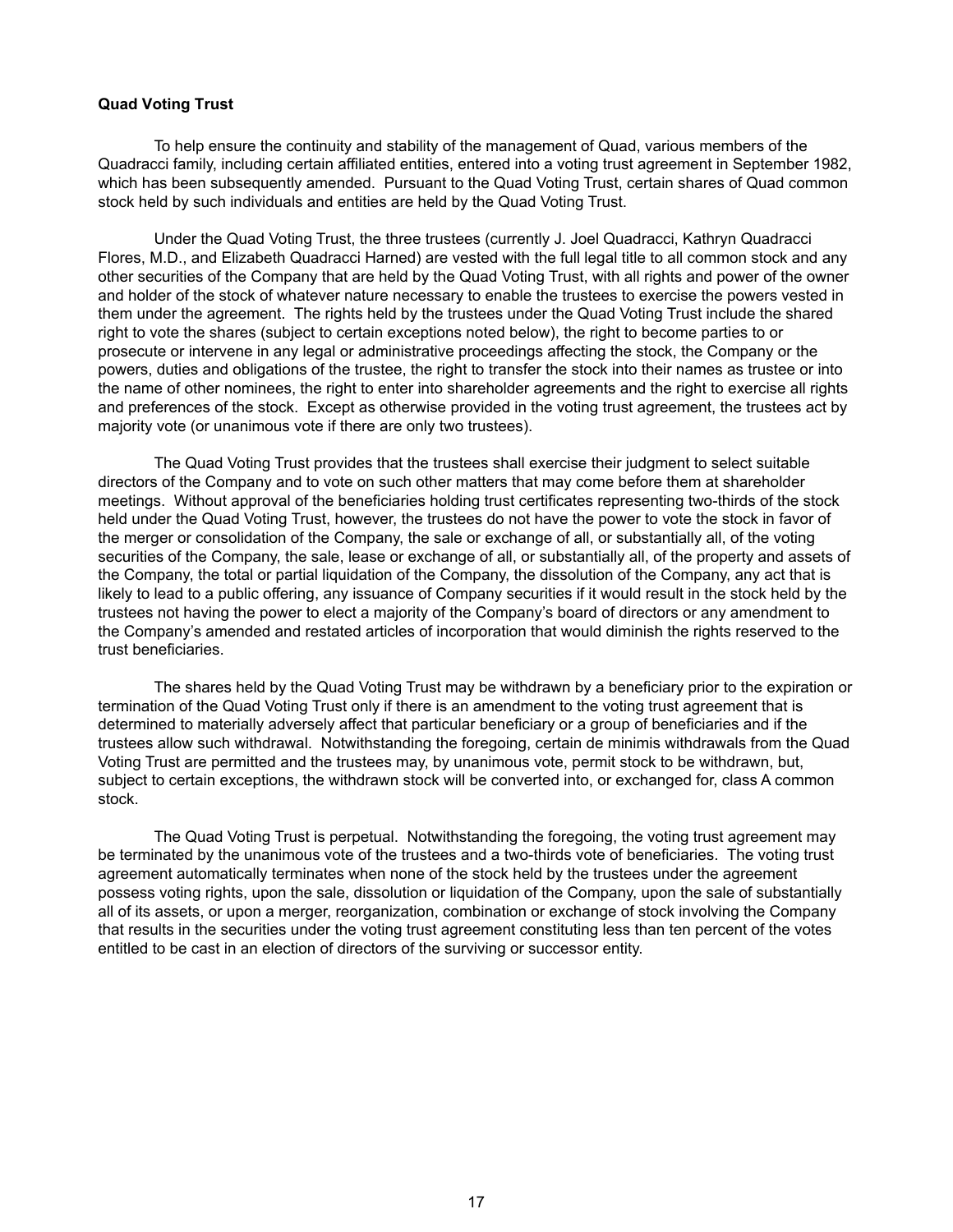#### **Quad Voting Trust**

To help ensure the continuity and stability of the management of Quad, various members of the Quadracci family, including certain affiliated entities, entered into a voting trust agreement in September 1982, which has been subsequently amended. Pursuant to the Quad Voting Trust, certain shares of Quad common stock held by such individuals and entities are held by the Quad Voting Trust.

Under the Quad Voting Trust, the three trustees (currently J. Joel Quadracci, Kathryn Quadracci Flores, M.D., and Elizabeth Quadracci Harned) are vested with the full legal title to all common stock and any other securities of the Company that are held by the Quad Voting Trust, with all rights and power of the owner and holder of the stock of whatever nature necessary to enable the trustees to exercise the powers vested in them under the agreement. The rights held by the trustees under the Quad Voting Trust include the shared right to vote the shares (subject to certain exceptions noted below), the right to become parties to or prosecute or intervene in any legal or administrative proceedings affecting the stock, the Company or the powers, duties and obligations of the trustee, the right to transfer the stock into their names as trustee or into the name of other nominees, the right to enter into shareholder agreements and the right to exercise all rights and preferences of the stock. Except as otherwise provided in the voting trust agreement, the trustees act by majority vote (or unanimous vote if there are only two trustees).

The Quad Voting Trust provides that the trustees shall exercise their judgment to select suitable directors of the Company and to vote on such other matters that may come before them at shareholder meetings. Without approval of the beneficiaries holding trust certificates representing two-thirds of the stock held under the Quad Voting Trust, however, the trustees do not have the power to vote the stock in favor of the merger or consolidation of the Company, the sale or exchange of all, or substantially all, of the voting securities of the Company, the sale, lease or exchange of all, or substantially all, of the property and assets of the Company, the total or partial liquidation of the Company, the dissolution of the Company, any act that is likely to lead to a public offering, any issuance of Company securities if it would result in the stock held by the trustees not having the power to elect a majority of the Company's board of directors or any amendment to the Company's amended and restated articles of incorporation that would diminish the rights reserved to the trust beneficiaries.

The shares held by the Quad Voting Trust may be withdrawn by a beneficiary prior to the expiration or termination of the Quad Voting Trust only if there is an amendment to the voting trust agreement that is determined to materially adversely affect that particular beneficiary or a group of beneficiaries and if the trustees allow such withdrawal. Notwithstanding the foregoing, certain de minimis withdrawals from the Quad Voting Trust are permitted and the trustees may, by unanimous vote, permit stock to be withdrawn, but, subject to certain exceptions, the withdrawn stock will be converted into, or exchanged for, class A common stock.

The Quad Voting Trust is perpetual. Notwithstanding the foregoing, the voting trust agreement may be terminated by the unanimous vote of the trustees and a two-thirds vote of beneficiaries. The voting trust agreement automatically terminates when none of the stock held by the trustees under the agreement possess voting rights, upon the sale, dissolution or liquidation of the Company, upon the sale of substantially all of its assets, or upon a merger, reorganization, combination or exchange of stock involving the Company that results in the securities under the voting trust agreement constituting less than ten percent of the votes entitled to be cast in an election of directors of the surviving or successor entity.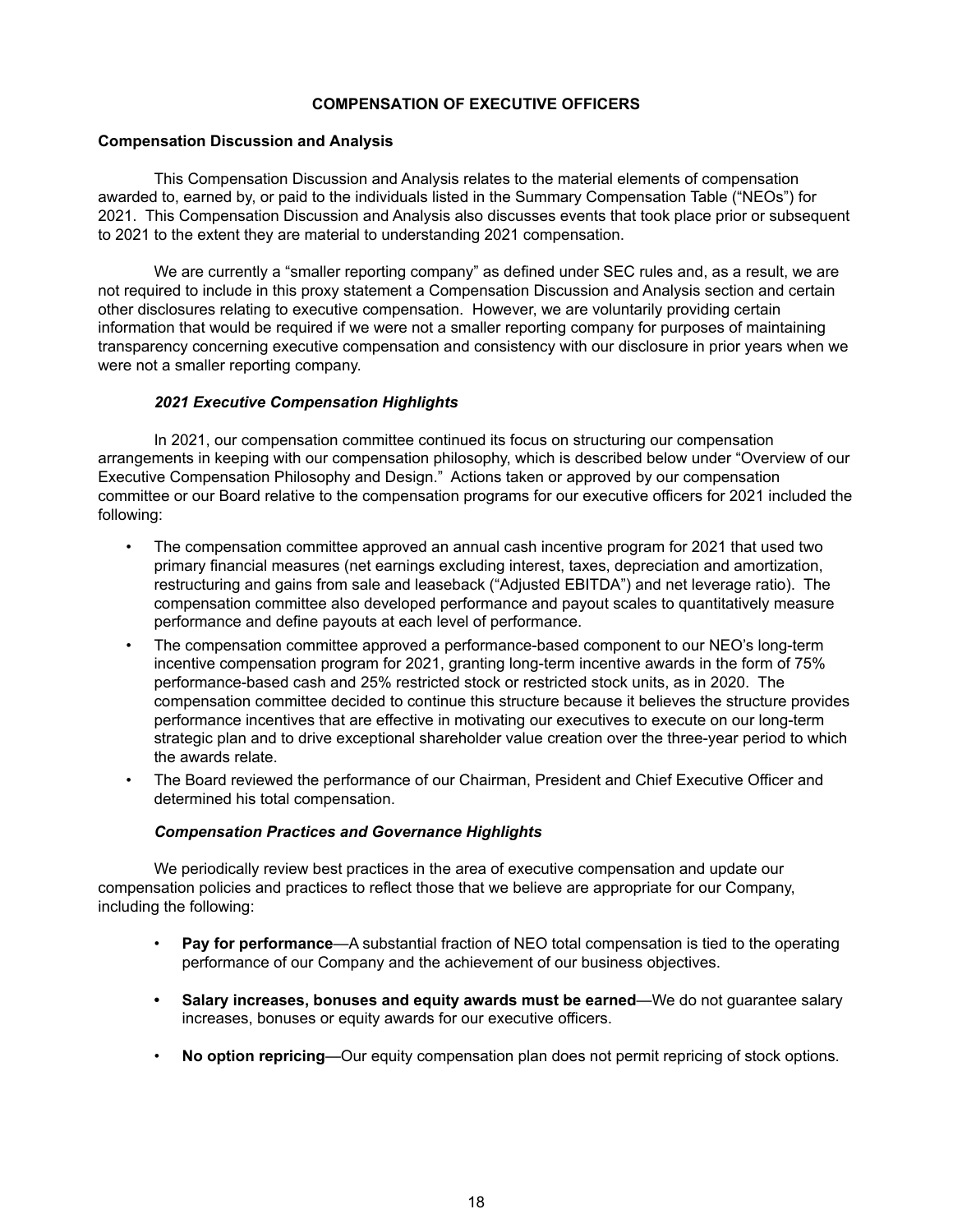# **COMPENSATION OF EXECUTIVE OFFICERS**

## **Compensation Discussion and Analysis**

This Compensation Discussion and Analysis relates to the material elements of compensation awarded to, earned by, or paid to the individuals listed in the Summary Compensation Table ("NEOs") for 2021. This Compensation Discussion and Analysis also discusses events that took place prior or subsequent to 2021 to the extent they are material to understanding 2021 compensation.

We are currently a "smaller reporting company" as defined under SEC rules and, as a result, we are not required to include in this proxy statement a Compensation Discussion and Analysis section and certain other disclosures relating to executive compensation. However, we are voluntarily providing certain information that would be required if we were not a smaller reporting company for purposes of maintaining transparency concerning executive compensation and consistency with our disclosure in prior years when we were not a smaller reporting company.

## *2021 Executive Compensation Highlights*

In 2021, our compensation committee continued its focus on structuring our compensation arrangements in keeping with our compensation philosophy, which is described below under "Overview of our Executive Compensation Philosophy and Design." Actions taken or approved by our compensation committee or our Board relative to the compensation programs for our executive officers for 2021 included the following:

- The compensation committee approved an annual cash incentive program for 2021 that used two primary financial measures (net earnings excluding interest, taxes, depreciation and amortization, restructuring and gains from sale and leaseback ("Adjusted EBITDA") and net leverage ratio). The compensation committee also developed performance and payout scales to quantitatively measure performance and define payouts at each level of performance.
- The compensation committee approved a performance-based component to our NEO's long-term incentive compensation program for 2021, granting long-term incentive awards in the form of 75% performance-based cash and 25% restricted stock or restricted stock units, as in 2020. The compensation committee decided to continue this structure because it believes the structure provides performance incentives that are effective in motivating our executives to execute on our long-term strategic plan and to drive exceptional shareholder value creation over the three-year period to which the awards relate.
- The Board reviewed the performance of our Chairman, President and Chief Executive Officer and determined his total compensation.

## *Compensation Practices and Governance Highlights*

We periodically review best practices in the area of executive compensation and update our compensation policies and practices to reflect those that we believe are appropriate for our Company, including the following:

- **Pay for performance**—A substantial fraction of NEO total compensation is tied to the operating performance of our Company and the achievement of our business objectives.
- **Salary increases, bonuses and equity awards must be earned**—We do not guarantee salary increases, bonuses or equity awards for our executive officers.
- **No option repricing**—Our equity compensation plan does not permit repricing of stock options.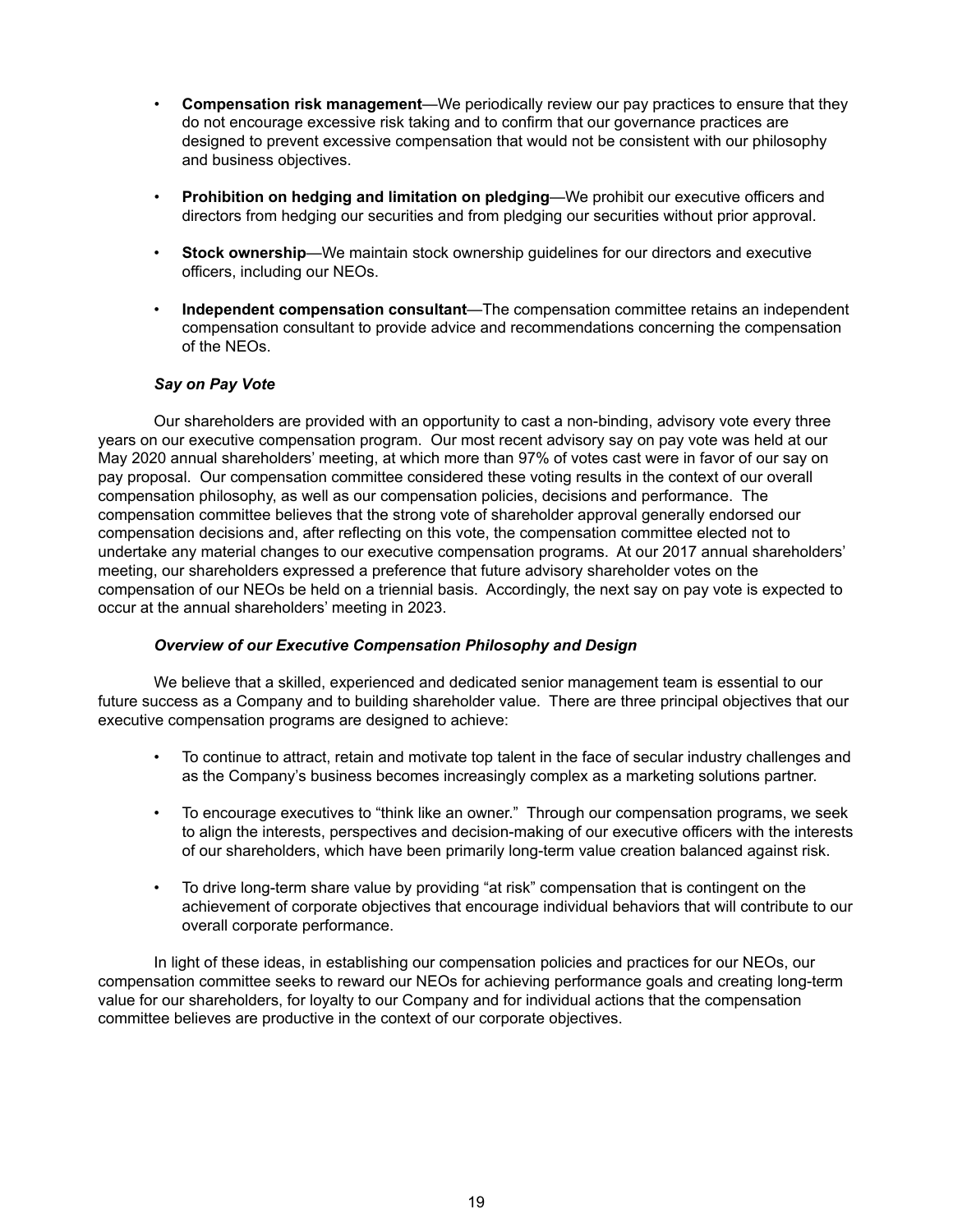- **Compensation risk management**—We periodically review our pay practices to ensure that they do not encourage excessive risk taking and to confirm that our governance practices are designed to prevent excessive compensation that would not be consistent with our philosophy and business objectives.
- **Prohibition on hedging and limitation on pledging**—We prohibit our executive officers and directors from hedging our securities and from pledging our securities without prior approval.
- **Stock ownership**—We maintain stock ownership guidelines for our directors and executive officers, including our NEOs.
- **Independent compensation consultant**—The compensation committee retains an independent compensation consultant to provide advice and recommendations concerning the compensation of the NEOs.

## *Say on Pay Vote*

Our shareholders are provided with an opportunity to cast a non-binding, advisory vote every three years on our executive compensation program. Our most recent advisory say on pay vote was held at our May 2020 annual shareholders' meeting, at which more than 97% of votes cast were in favor of our say on pay proposal. Our compensation committee considered these voting results in the context of our overall compensation philosophy, as well as our compensation policies, decisions and performance. The compensation committee believes that the strong vote of shareholder approval generally endorsed our compensation decisions and, after reflecting on this vote, the compensation committee elected not to undertake any material changes to our executive compensation programs. At our 2017 annual shareholders' meeting, our shareholders expressed a preference that future advisory shareholder votes on the compensation of our NEOs be held on a triennial basis. Accordingly, the next say on pay vote is expected to occur at the annual shareholders' meeting in 2023.

## *Overview of our Executive Compensation Philosophy and Design*

We believe that a skilled, experienced and dedicated senior management team is essential to our future success as a Company and to building shareholder value. There are three principal objectives that our executive compensation programs are designed to achieve:

- To continue to attract, retain and motivate top talent in the face of secular industry challenges and as the Company's business becomes increasingly complex as a marketing solutions partner.
- To encourage executives to "think like an owner." Through our compensation programs, we seek to align the interests, perspectives and decision-making of our executive officers with the interests of our shareholders, which have been primarily long-term value creation balanced against risk.
- To drive long-term share value by providing "at risk" compensation that is contingent on the achievement of corporate objectives that encourage individual behaviors that will contribute to our overall corporate performance.

In light of these ideas, in establishing our compensation policies and practices for our NEOs, our compensation committee seeks to reward our NEOs for achieving performance goals and creating long-term value for our shareholders, for loyalty to our Company and for individual actions that the compensation committee believes are productive in the context of our corporate objectives.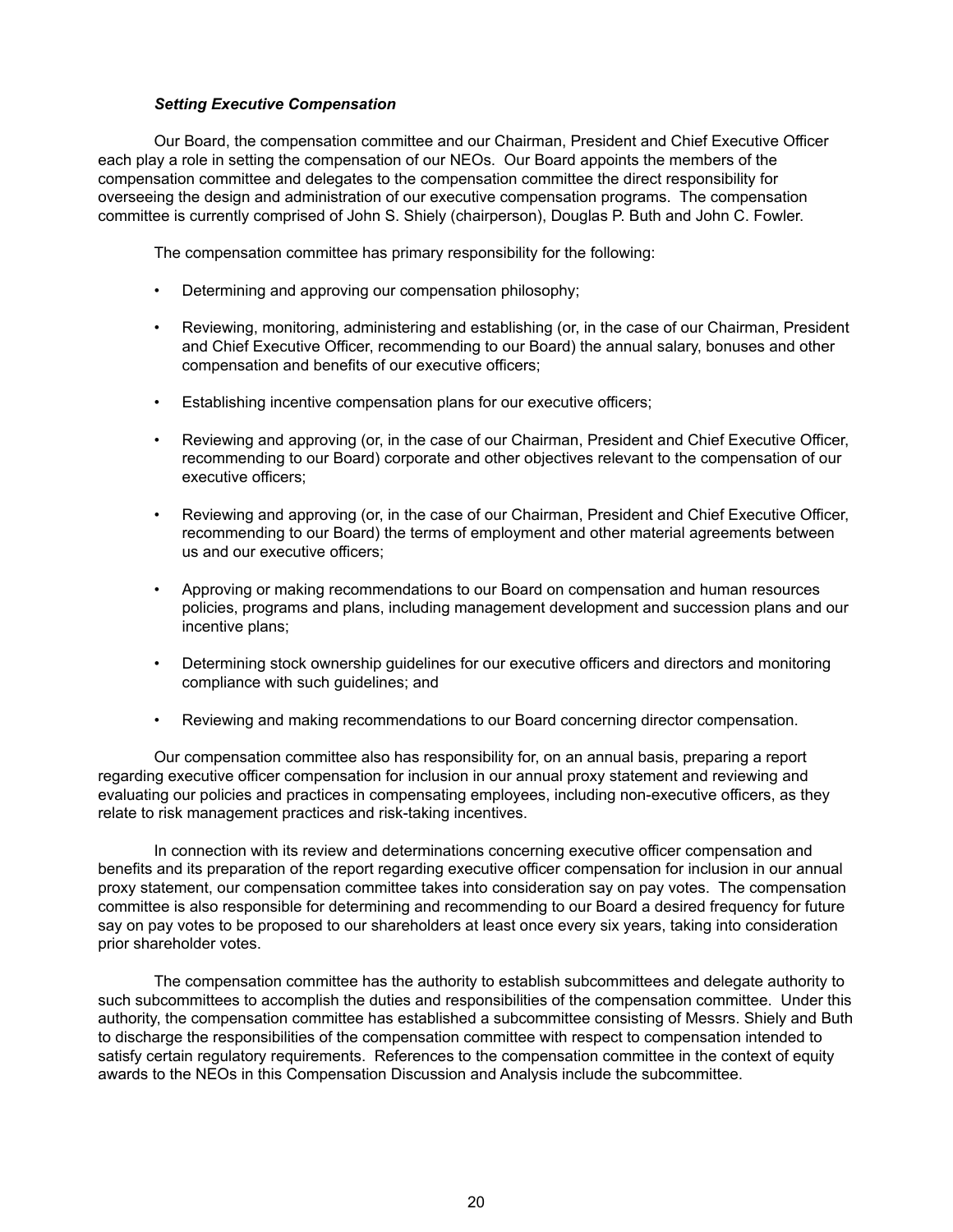## *Setting Executive Compensation*

Our Board, the compensation committee and our Chairman, President and Chief Executive Officer each play a role in setting the compensation of our NEOs. Our Board appoints the members of the compensation committee and delegates to the compensation committee the direct responsibility for overseeing the design and administration of our executive compensation programs. The compensation committee is currently comprised of John S. Shiely (chairperson), Douglas P. Buth and John C. Fowler.

The compensation committee has primary responsibility for the following:

- Determining and approving our compensation philosophy;
- Reviewing, monitoring, administering and establishing (or, in the case of our Chairman, President and Chief Executive Officer, recommending to our Board) the annual salary, bonuses and other compensation and benefits of our executive officers;
- Establishing incentive compensation plans for our executive officers;
- Reviewing and approving (or, in the case of our Chairman, President and Chief Executive Officer, recommending to our Board) corporate and other objectives relevant to the compensation of our executive officers;
- Reviewing and approving (or, in the case of our Chairman, President and Chief Executive Officer, recommending to our Board) the terms of employment and other material agreements between us and our executive officers;
- Approving or making recommendations to our Board on compensation and human resources policies, programs and plans, including management development and succession plans and our incentive plans;
- Determining stock ownership guidelines for our executive officers and directors and monitoring compliance with such guidelines; and
- Reviewing and making recommendations to our Board concerning director compensation.

Our compensation committee also has responsibility for, on an annual basis, preparing a report regarding executive officer compensation for inclusion in our annual proxy statement and reviewing and evaluating our policies and practices in compensating employees, including non-executive officers, as they relate to risk management practices and risk-taking incentives.

In connection with its review and determinations concerning executive officer compensation and benefits and its preparation of the report regarding executive officer compensation for inclusion in our annual proxy statement, our compensation committee takes into consideration say on pay votes. The compensation committee is also responsible for determining and recommending to our Board a desired frequency for future say on pay votes to be proposed to our shareholders at least once every six years, taking into consideration prior shareholder votes.

The compensation committee has the authority to establish subcommittees and delegate authority to such subcommittees to accomplish the duties and responsibilities of the compensation committee. Under this authority, the compensation committee has established a subcommittee consisting of Messrs. Shiely and Buth to discharge the responsibilities of the compensation committee with respect to compensation intended to satisfy certain regulatory requirements. References to the compensation committee in the context of equity awards to the NEOs in this Compensation Discussion and Analysis include the subcommittee.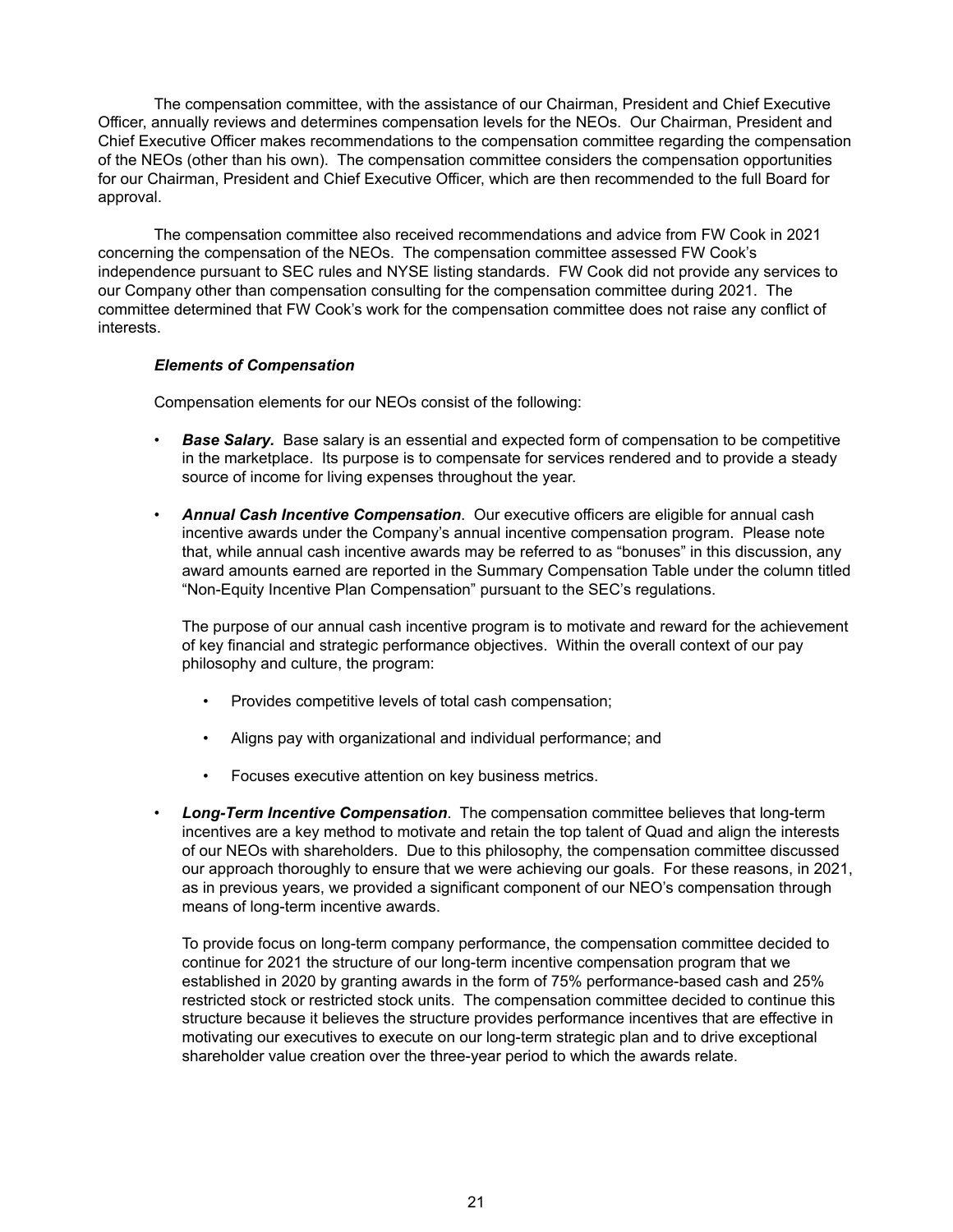The compensation committee, with the assistance of our Chairman, President and Chief Executive Officer, annually reviews and determines compensation levels for the NEOs. Our Chairman, President and Chief Executive Officer makes recommendations to the compensation committee regarding the compensation of the NEOs (other than his own). The compensation committee considers the compensation opportunities for our Chairman, President and Chief Executive Officer, which are then recommended to the full Board for approval.

The compensation committee also received recommendations and advice from FW Cook in 2021 concerning the compensation of the NEOs. The compensation committee assessed FW Cook's independence pursuant to SEC rules and NYSE listing standards. FW Cook did not provide any services to our Company other than compensation consulting for the compensation committee during 2021. The committee determined that FW Cook's work for the compensation committee does not raise any conflict of interests.

## *Elements of Compensation*

Compensation elements for our NEOs consist of the following:

- **Base Salary.** Base salary is an essential and expected form of compensation to be competitive in the marketplace. Its purpose is to compensate for services rendered and to provide a steady source of income for living expenses throughout the year.
- *Annual Cash Incentive Compensation*. Our executive officers are eligible for annual cash incentive awards under the Company's annual incentive compensation program. Please note that, while annual cash incentive awards may be referred to as "bonuses" in this discussion, any award amounts earned are reported in the Summary Compensation Table under the column titled "Non-Equity Incentive Plan Compensation" pursuant to the SEC's regulations.

The purpose of our annual cash incentive program is to motivate and reward for the achievement of key financial and strategic performance objectives. Within the overall context of our pay philosophy and culture, the program:

- Provides competitive levels of total cash compensation;
- Aligns pay with organizational and individual performance; and
- Focuses executive attention on key business metrics.
- *Long-Term Incentive Compensation*. The compensation committee believes that long-term incentives are a key method to motivate and retain the top talent of Quad and align the interests of our NEOs with shareholders. Due to this philosophy, the compensation committee discussed our approach thoroughly to ensure that we were achieving our goals. For these reasons, in 2021, as in previous years, we provided a significant component of our NEO's compensation through means of long-term incentive awards.

To provide focus on long-term company performance, the compensation committee decided to continue for 2021 the structure of our long-term incentive compensation program that we established in 2020 by granting awards in the form of 75% performance-based cash and 25% restricted stock or restricted stock units. The compensation committee decided to continue this structure because it believes the structure provides performance incentives that are effective in motivating our executives to execute on our long-term strategic plan and to drive exceptional shareholder value creation over the three-year period to which the awards relate.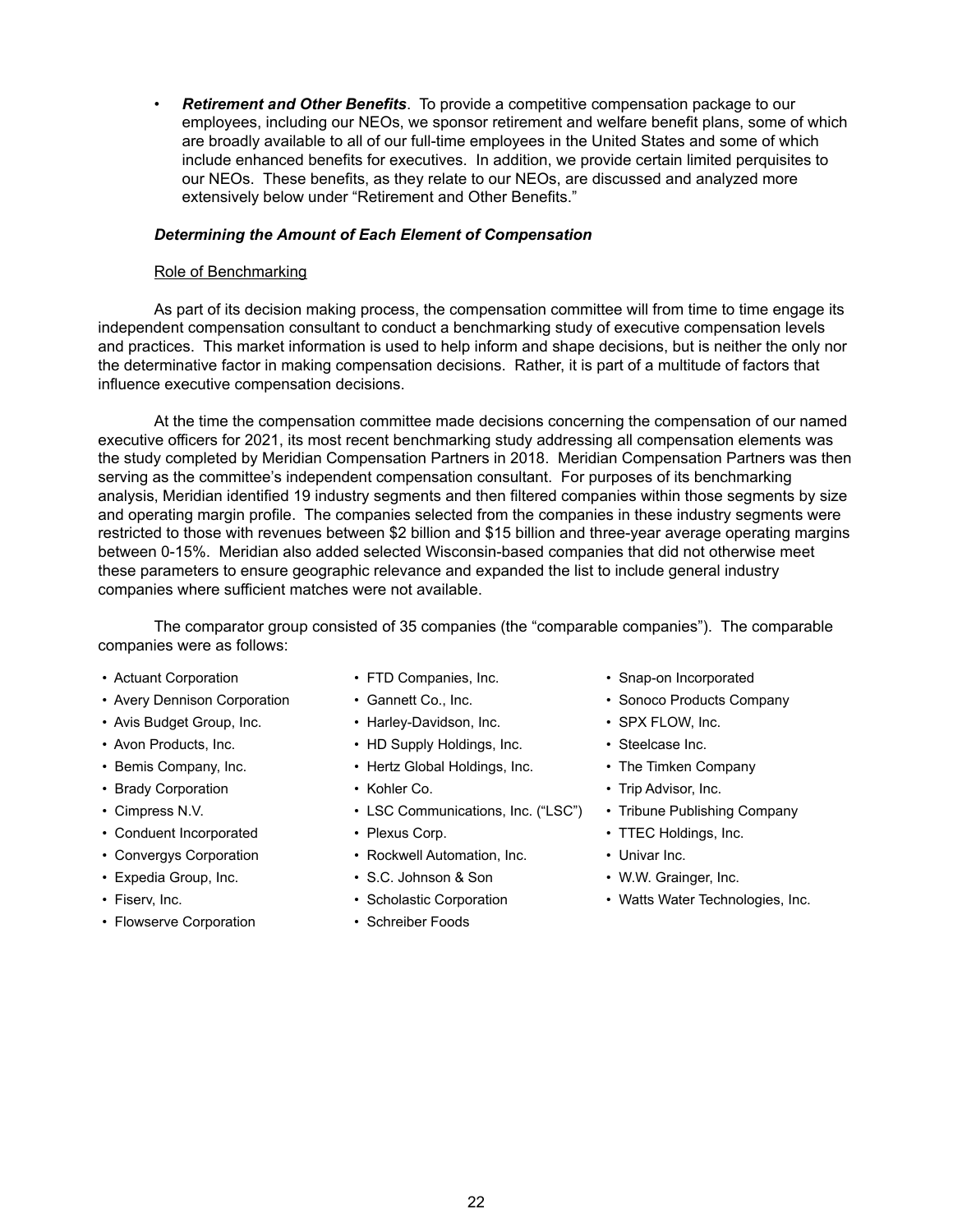• *Retirement and Other Benefits*. To provide a competitive compensation package to our employees, including our NEOs, we sponsor retirement and welfare benefit plans, some of which are broadly available to all of our full-time employees in the United States and some of which include enhanced benefits for executives. In addition, we provide certain limited perquisites to our NEOs. These benefits, as they relate to our NEOs, are discussed and analyzed more extensively below under "Retirement and Other Benefits."

## *Determining the Amount of Each Element of Compensation*

## Role of Benchmarking

As part of its decision making process, the compensation committee will from time to time engage its independent compensation consultant to conduct a benchmarking study of executive compensation levels and practices. This market information is used to help inform and shape decisions, but is neither the only nor the determinative factor in making compensation decisions. Rather, it is part of a multitude of factors that influence executive compensation decisions.

At the time the compensation committee made decisions concerning the compensation of our named executive officers for 2021, its most recent benchmarking study addressing all compensation elements was the study completed by Meridian Compensation Partners in 2018. Meridian Compensation Partners was then serving as the committee's independent compensation consultant. For purposes of its benchmarking analysis, Meridian identified 19 industry segments and then filtered companies within those segments by size and operating margin profile. The companies selected from the companies in these industry segments were restricted to those with revenues between \$2 billion and \$15 billion and three-year average operating margins between 0-15%. Meridian also added selected Wisconsin-based companies that did not otherwise meet these parameters to ensure geographic relevance and expanded the list to include general industry companies where sufficient matches were not available.

The comparator group consisted of 35 companies (the "comparable companies"). The comparable companies were as follows:

- 
- Avery Dennison Corporation Gannett Co., Inc. Sonoco Products Company
- Avis Budget Group, Inc. Harley-Davidson, Inc. • • SPX FLOW, Inc.
- 
- 
- Brady Corporation Cohler Co. Trip Advisor, Inc.
- 
- Conduent Incorporated Plexus Corp. • TTEC Holdings, Inc.
- 
- 
- 
- Flowserve Corporation Schreiber Foods
- 
- 
- 
- Avon Products, Inc. • HD Supply Holdings, Inc. • Steelcase Inc.
- Bemis Company, Inc. • Hertz Global Holdings, Inc. • The Timken Company
	-
- Cimpress N.V. Cimpress N.V. Cimpress N.V. Cimpress N.V. LSC Communications, Inc. ("LSC") Tribune Publishing Company
	-
- Convergys Corporation Rockwell Automation, Inc. Univar Inc.
- Expedia Group, Inc. S.C. Johnson & Son W.W. Grainger, Inc.
	-
	-
- Actuant Corporation FTD Companies, Inc. Snap-on Incorporated
	-
	-
	-
	-
	-
	-
	-
	-
	-
- Fiserv, Inc.  **• Scholastic Corporation** Watts Water Technologies, Inc.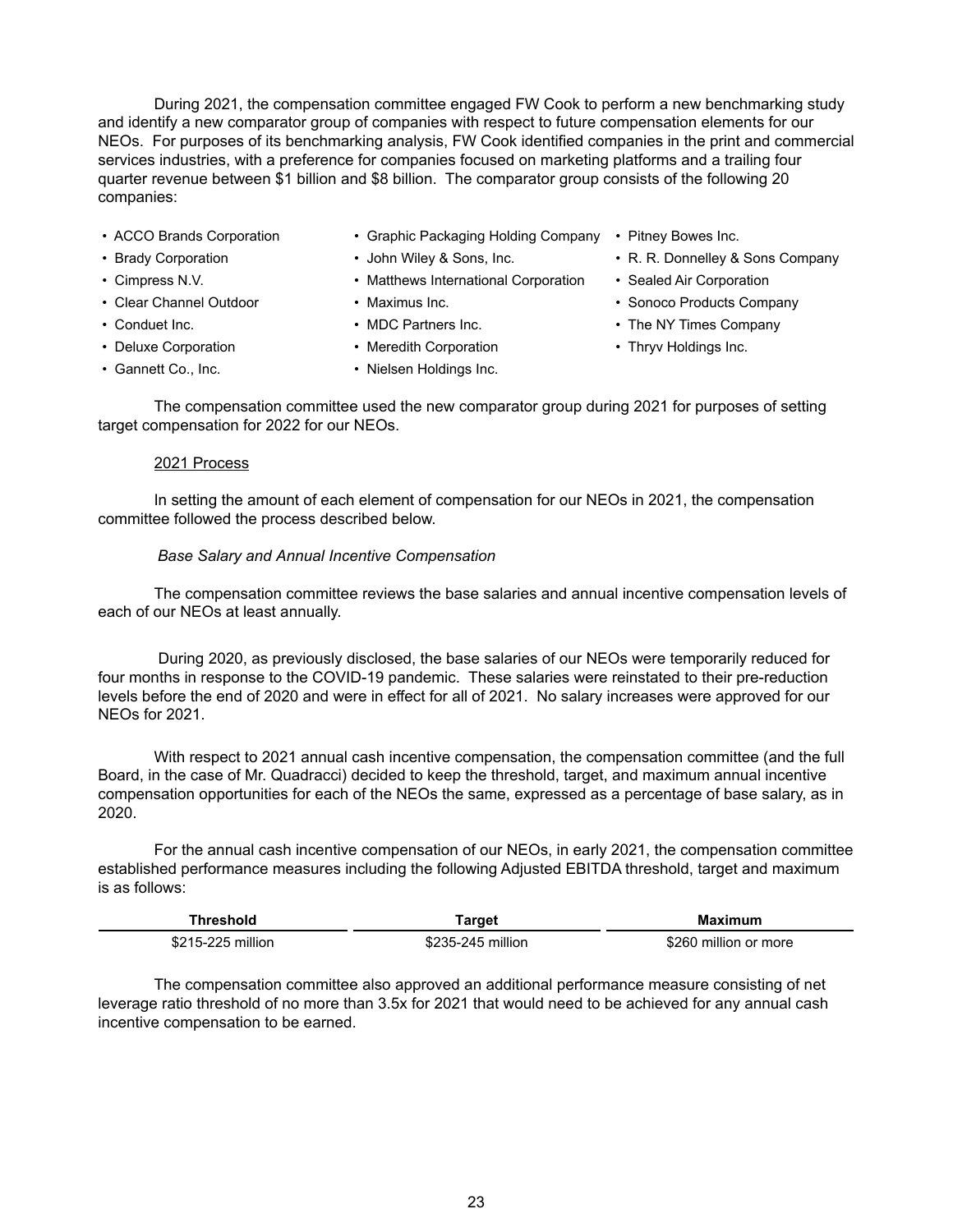During 2021, the compensation committee engaged FW Cook to perform a new benchmarking study and identify a new comparator group of companies with respect to future compensation elements for our NEOs. For purposes of its benchmarking analysis, FW Cook identified companies in the print and commercial services industries, with a preference for companies focused on marketing platforms and a trailing four quarter revenue between \$1 billion and \$8 billion. The comparator group consists of the following 20 companies:

- 
- ACCO Brands Corporation Graphic Packaging Holding Company Pitney Bowes Inc.
- 
- 
- 
- 
- 
- 
- 
- 
- Cimpress N.V. Matthews International Corporation Sealed Air Corporation
	-
	-
- Deluxe Corporation Meredith Corporation Thryv Holdings Inc.
- Gannett Co., Inc.  **Nielsen Holdings Inc.**
- 
- Brady Corporation John Wiley & Sons, Inc. R. R. Donnelley & Sons Company
	-
- Clear Channel Outdoor Maximus Inc. Clear Channel Outdoor Maximus Inc.
- Conduet Inc. • MDC Partners Inc. The NY Times Company
	-

The compensation committee used the new comparator group during 2021 for purposes of setting target compensation for 2022 for our NEOs.

## 2021 Process

In setting the amount of each element of compensation for our NEOs in 2021, the compensation committee followed the process described below.

# *Base Salary and Annual Incentive Compensation*

The compensation committee reviews the base salaries and annual incentive compensation levels of each of our NEOs at least annually.

 During 2020, as previously disclosed, the base salaries of our NEOs were temporarily reduced for four months in response to the COVID-19 pandemic. These salaries were reinstated to their pre-reduction levels before the end of 2020 and were in effect for all of 2021. No salary increases were approved for our NEOs for 2021.

With respect to 2021 annual cash incentive compensation, the compensation committee (and the full Board, in the case of Mr. Quadracci) decided to keep the threshold, target, and maximum annual incentive compensation opportunities for each of the NEOs the same, expressed as a percentage of base salary, as in 2020.

For the annual cash incentive compensation of our NEOs, in early 2021, the compensation committee established performance measures including the following Adjusted EBITDA threshold, target and maximum is as follows:

| Threshold         | <b>Farget</b>     | Maximum               |  |  |
|-------------------|-------------------|-----------------------|--|--|
| \$215-225 million | \$235-245 million | \$260 million or more |  |  |

The compensation committee also approved an additional performance measure consisting of net leverage ratio threshold of no more than 3.5x for 2021 that would need to be achieved for any annual cash incentive compensation to be earned.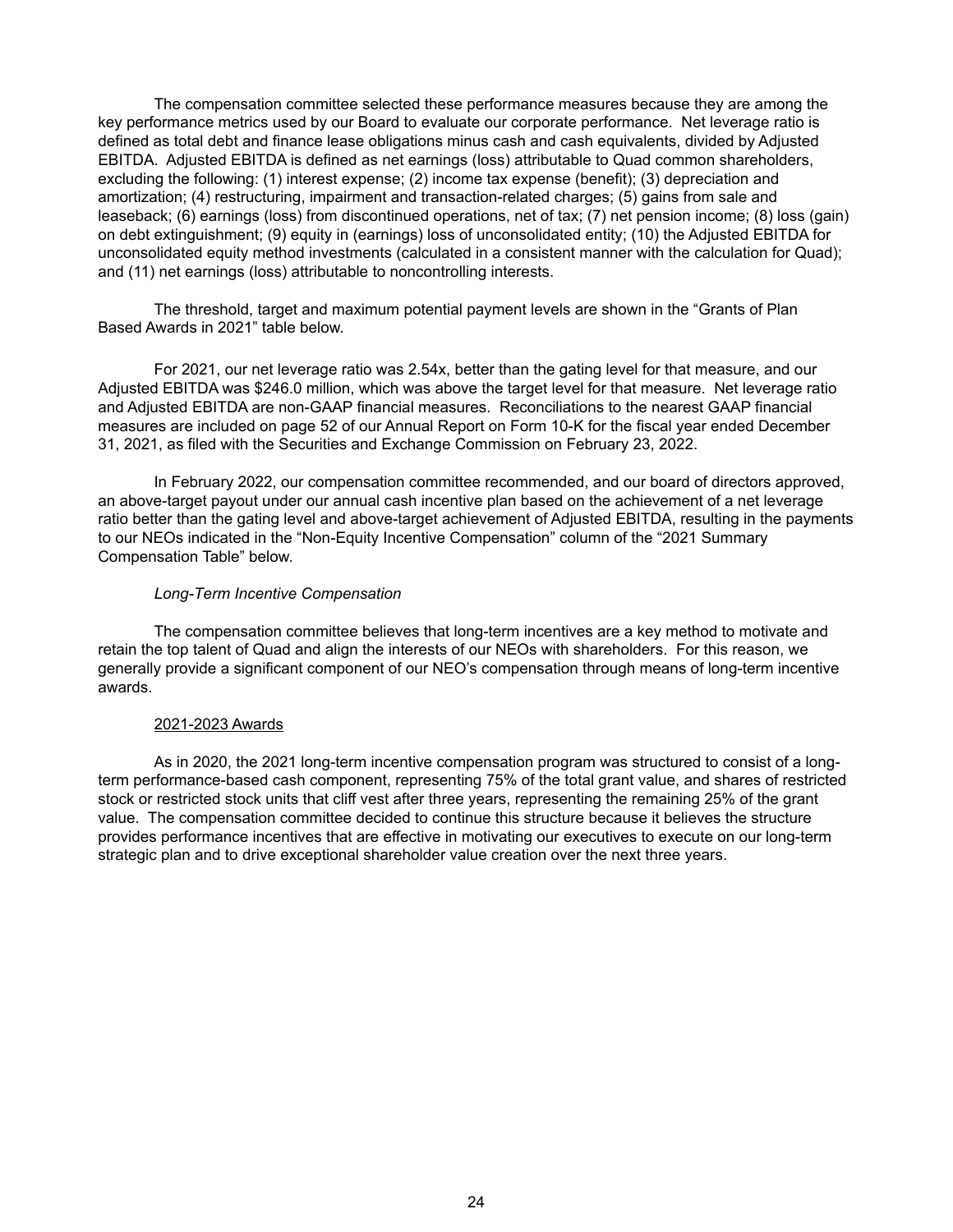The compensation committee selected these performance measures because they are among the key performance metrics used by our Board to evaluate our corporate performance. Net leverage ratio is defined as total debt and finance lease obligations minus cash and cash equivalents, divided by Adjusted EBITDA. Adjusted EBITDA is defined as net earnings (loss) attributable to Quad common shareholders, excluding the following: (1) interest expense; (2) income tax expense (benefit); (3) depreciation and amortization; (4) restructuring, impairment and transaction-related charges; (5) gains from sale and leaseback; (6) earnings (loss) from discontinued operations, net of tax; (7) net pension income; (8) loss (gain) on debt extinguishment; (9) equity in (earnings) loss of unconsolidated entity; (10) the Adjusted EBITDA for unconsolidated equity method investments (calculated in a consistent manner with the calculation for Quad); and (11) net earnings (loss) attributable to noncontrolling interests.

The threshold, target and maximum potential payment levels are shown in the "Grants of Plan Based Awards in 2021" table below.

For 2021, our net leverage ratio was 2.54x, better than the gating level for that measure, and our Adjusted EBITDA was \$246.0 million, which was above the target level for that measure. Net leverage ratio and Adjusted EBITDA are non-GAAP financial measures. Reconciliations to the nearest GAAP financial measures are included on page 52 of our Annual Report on Form 10-K for the fiscal year ended December 31, 2021, as filed with the Securities and Exchange Commission on February 23, 2022.

In February 2022, our compensation committee recommended, and our board of directors approved, an above-target payout under our annual cash incentive plan based on the achievement of a net leverage ratio better than the gating level and above-target achievement of Adjusted EBITDA, resulting in the payments to our NEOs indicated in the "Non-Equity Incentive Compensation" column of the "2021 Summary Compensation Table" below.

## *Long-Term Incentive Compensation*

The compensation committee believes that long-term incentives are a key method to motivate and retain the top talent of Quad and align the interests of our NEOs with shareholders. For this reason, we generally provide a significant component of our NEO's compensation through means of long-term incentive awards.

#### 2021-2023 Awards

As in 2020, the 2021 long-term incentive compensation program was structured to consist of a longterm performance-based cash component, representing 75% of the total grant value, and shares of restricted stock or restricted stock units that cliff vest after three years, representing the remaining 25% of the grant value. The compensation committee decided to continue this structure because it believes the structure provides performance incentives that are effective in motivating our executives to execute on our long-term strategic plan and to drive exceptional shareholder value creation over the next three years.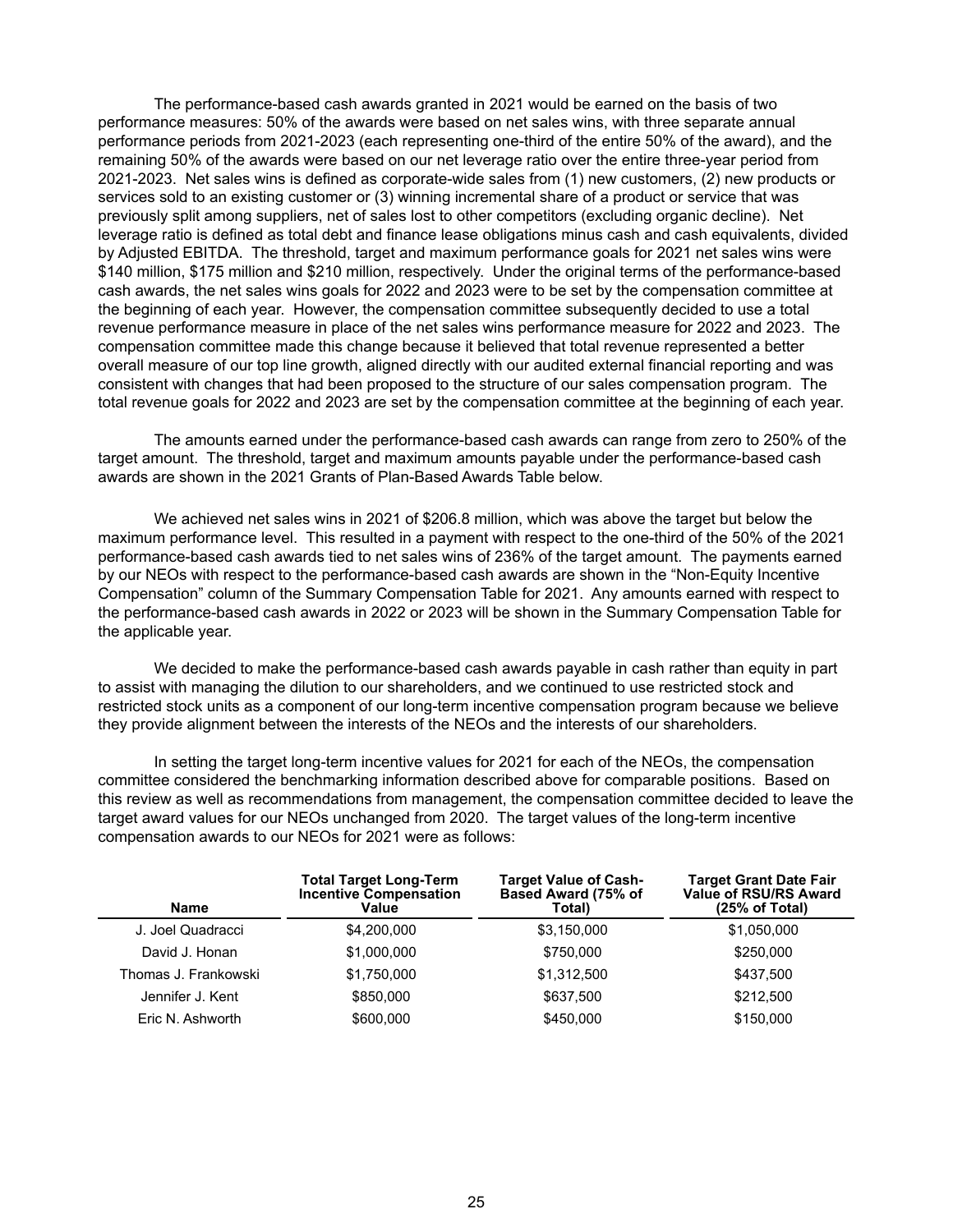The performance-based cash awards granted in 2021 would be earned on the basis of two performance measures: 50% of the awards were based on net sales wins, with three separate annual performance periods from 2021-2023 (each representing one-third of the entire 50% of the award), and the remaining 50% of the awards were based on our net leverage ratio over the entire three-year period from 2021-2023. Net sales wins is defined as corporate-wide sales from (1) new customers, (2) new products or services sold to an existing customer or (3) winning incremental share of a product or service that was previously split among suppliers, net of sales lost to other competitors (excluding organic decline). Net leverage ratio is defined as total debt and finance lease obligations minus cash and cash equivalents, divided by Adjusted EBITDA. The threshold, target and maximum performance goals for 2021 net sales wins were \$140 million, \$175 million and \$210 million, respectively. Under the original terms of the performance-based cash awards, the net sales wins goals for 2022 and 2023 were to be set by the compensation committee at the beginning of each year. However, the compensation committee subsequently decided to use a total revenue performance measure in place of the net sales wins performance measure for 2022 and 2023. The compensation committee made this change because it believed that total revenue represented a better overall measure of our top line growth, aligned directly with our audited external financial reporting and was consistent with changes that had been proposed to the structure of our sales compensation program. The total revenue goals for 2022 and 2023 are set by the compensation committee at the beginning of each year.

The amounts earned under the performance-based cash awards can range from zero to 250% of the target amount. The threshold, target and maximum amounts payable under the performance-based cash awards are shown in the 2021 Grants of Plan-Based Awards Table below.

We achieved net sales wins in 2021 of \$206.8 million, which was above the target but below the maximum performance level. This resulted in a payment with respect to the one-third of the 50% of the 2021 performance-based cash awards tied to net sales wins of 236% of the target amount. The payments earned by our NEOs with respect to the performance-based cash awards are shown in the "Non-Equity Incentive Compensation" column of the Summary Compensation Table for 2021. Any amounts earned with respect to the performance-based cash awards in 2022 or 2023 will be shown in the Summary Compensation Table for the applicable year.

We decided to make the performance-based cash awards payable in cash rather than equity in part to assist with managing the dilution to our shareholders, and we continued to use restricted stock and restricted stock units as a component of our long-term incentive compensation program because we believe they provide alignment between the interests of the NEOs and the interests of our shareholders.

In setting the target long-term incentive values for 2021 for each of the NEOs, the compensation committee considered the benchmarking information described above for comparable positions. Based on this review as well as recommendations from management, the compensation committee decided to leave the target award values for our NEOs unchanged from 2020. The target values of the long-term incentive compensation awards to our NEOs for 2021 were as follows:

| <b>Name</b>          | <b>Total Target Long-Term</b><br><b>Incentive Compensation</b><br>Value | <b>Target Value of Cash-</b><br>Based Award (75% of<br>Total) | <b>Target Grant Date Fair</b><br><b>Value of RSU/RS Award</b><br>(25% of Total) |
|----------------------|-------------------------------------------------------------------------|---------------------------------------------------------------|---------------------------------------------------------------------------------|
| J. Joel Quadracci    | \$4,200,000                                                             | \$3,150,000                                                   | \$1,050,000                                                                     |
| David J. Honan       | \$1,000,000                                                             | \$750,000                                                     | \$250,000                                                                       |
| Thomas J. Frankowski | \$1,750,000                                                             | \$1,312,500                                                   | \$437,500                                                                       |
| Jennifer J. Kent     | \$850,000                                                               | \$637,500                                                     | \$212,500                                                                       |
| Eric N. Ashworth     | \$600,000                                                               | \$450,000                                                     | \$150,000                                                                       |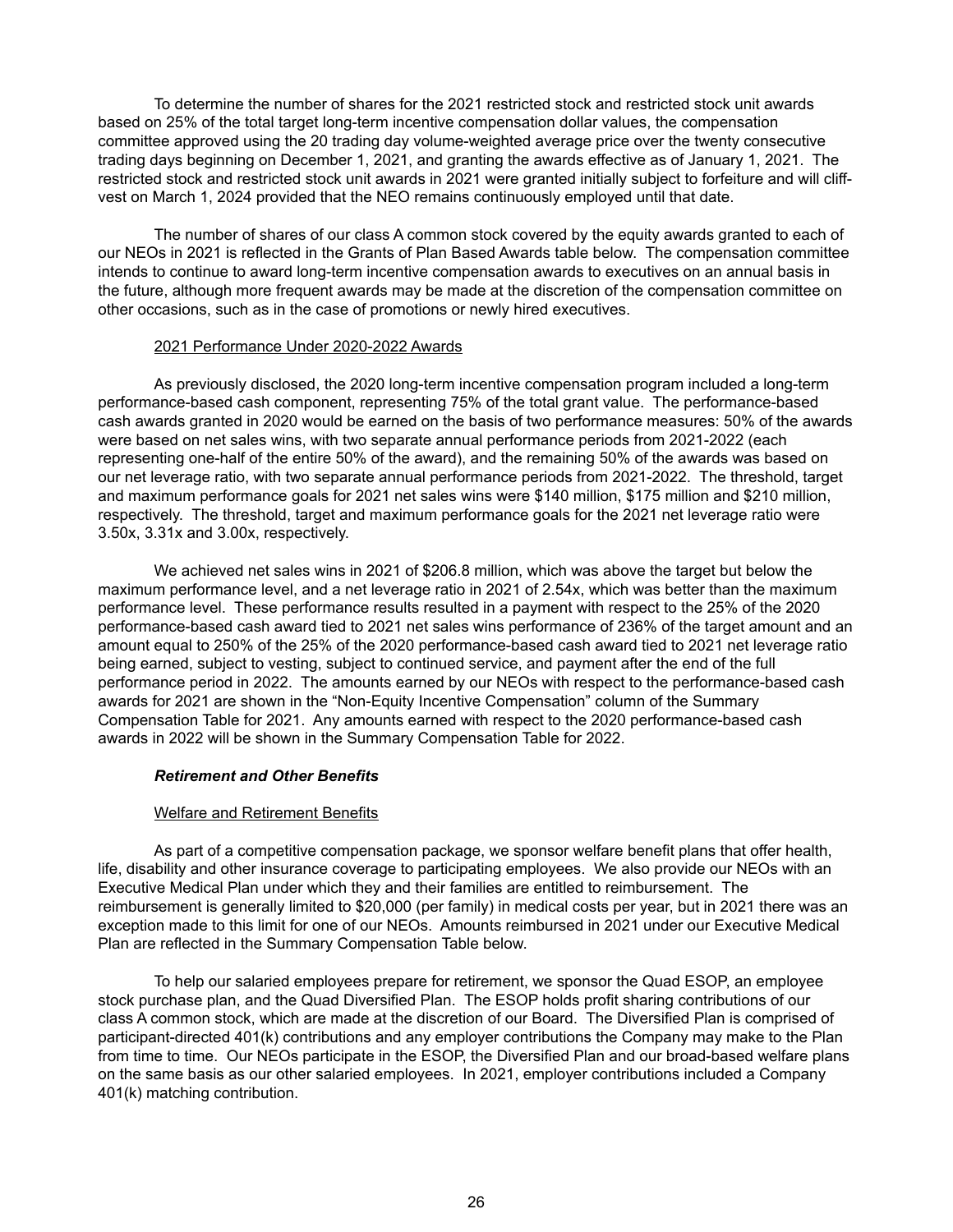To determine the number of shares for the 2021 restricted stock and restricted stock unit awards based on 25% of the total target long-term incentive compensation dollar values, the compensation committee approved using the 20 trading day volume-weighted average price over the twenty consecutive trading days beginning on December 1, 2021, and granting the awards effective as of January 1, 2021. The restricted stock and restricted stock unit awards in 2021 were granted initially subject to forfeiture and will cliffvest on March 1, 2024 provided that the NEO remains continuously employed until that date.

The number of shares of our class A common stock covered by the equity awards granted to each of our NEOs in 2021 is reflected in the Grants of Plan Based Awards table below. The compensation committee intends to continue to award long-term incentive compensation awards to executives on an annual basis in the future, although more frequent awards may be made at the discretion of the compensation committee on other occasions, such as in the case of promotions or newly hired executives.

#### 2021 Performance Under 2020-2022 Awards

As previously disclosed, the 2020 long-term incentive compensation program included a long-term performance-based cash component, representing 75% of the total grant value. The performance-based cash awards granted in 2020 would be earned on the basis of two performance measures: 50% of the awards were based on net sales wins, with two separate annual performance periods from 2021-2022 (each representing one-half of the entire 50% of the award), and the remaining 50% of the awards was based on our net leverage ratio, with two separate annual performance periods from 2021-2022. The threshold, target and maximum performance goals for 2021 net sales wins were \$140 million, \$175 million and \$210 million, respectively. The threshold, target and maximum performance goals for the 2021 net leverage ratio were 3.50x, 3.31x and 3.00x, respectively.

We achieved net sales wins in 2021 of \$206.8 million, which was above the target but below the maximum performance level, and a net leverage ratio in 2021 of 2.54x, which was better than the maximum performance level. These performance results resulted in a payment with respect to the 25% of the 2020 performance-based cash award tied to 2021 net sales wins performance of 236% of the target amount and an amount equal to 250% of the 25% of the 2020 performance-based cash award tied to 2021 net leverage ratio being earned, subject to vesting, subject to continued service, and payment after the end of the full performance period in 2022. The amounts earned by our NEOs with respect to the performance-based cash awards for 2021 are shown in the "Non-Equity Incentive Compensation" column of the Summary Compensation Table for 2021. Any amounts earned with respect to the 2020 performance-based cash awards in 2022 will be shown in the Summary Compensation Table for 2022.

## *Retirement and Other Benefits*

# Welfare and Retirement Benefits

As part of a competitive compensation package, we sponsor welfare benefit plans that offer health, life, disability and other insurance coverage to participating employees. We also provide our NEOs with an Executive Medical Plan under which they and their families are entitled to reimbursement. The reimbursement is generally limited to \$20,000 (per family) in medical costs per year, but in 2021 there was an exception made to this limit for one of our NEOs. Amounts reimbursed in 2021 under our Executive Medical Plan are reflected in the Summary Compensation Table below.

To help our salaried employees prepare for retirement, we sponsor the Quad ESOP, an employee stock purchase plan, and the Quad Diversified Plan. The ESOP holds profit sharing contributions of our class A common stock, which are made at the discretion of our Board. The Diversified Plan is comprised of participant-directed 401(k) contributions and any employer contributions the Company may make to the Plan from time to time. Our NEOs participate in the ESOP, the Diversified Plan and our broad-based welfare plans on the same basis as our other salaried employees. In 2021, employer contributions included a Company 401(k) matching contribution.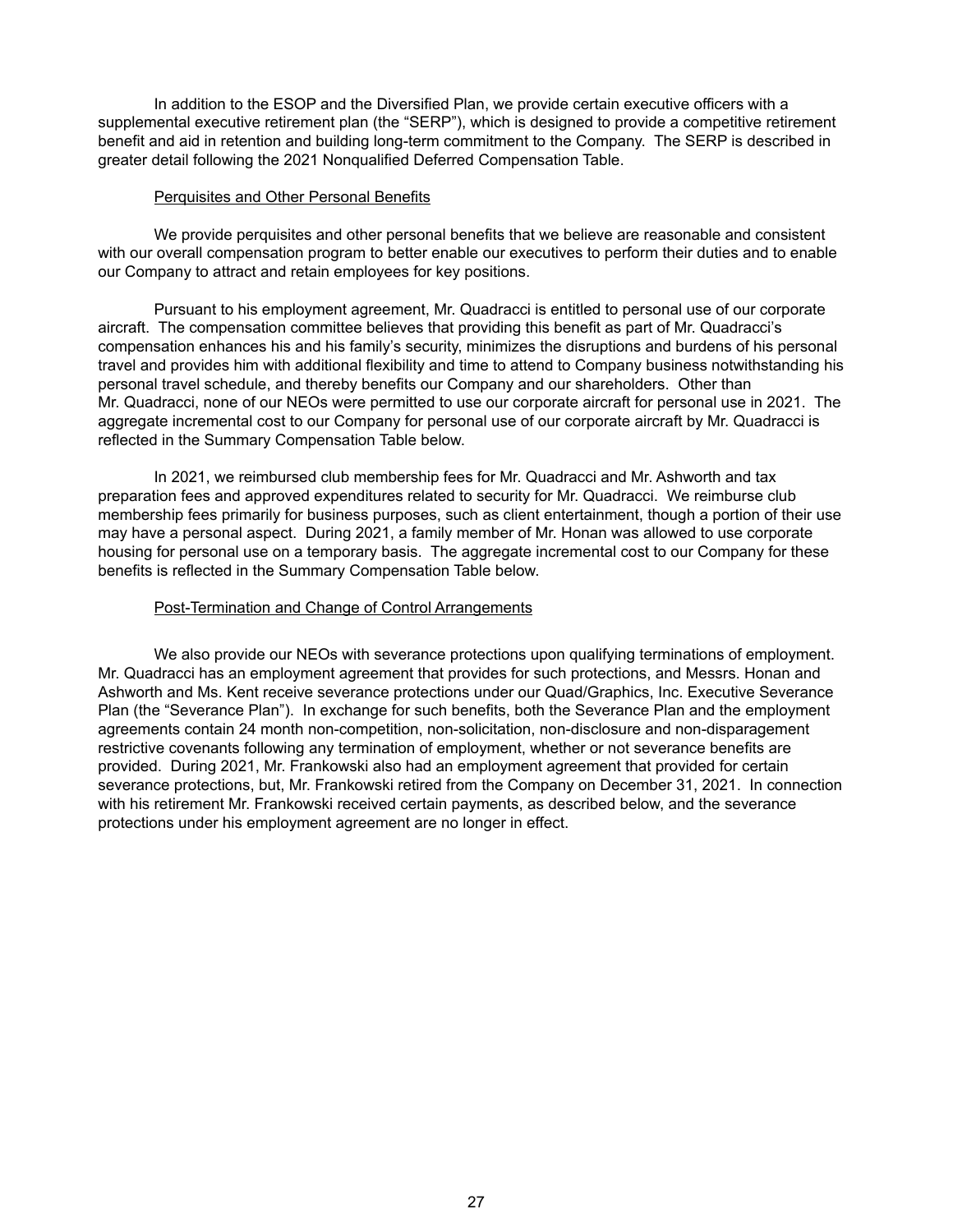In addition to the ESOP and the Diversified Plan, we provide certain executive officers with a supplemental executive retirement plan (the "SERP"), which is designed to provide a competitive retirement benefit and aid in retention and building long-term commitment to the Company. The SERP is described in greater detail following the 2021 Nonqualified Deferred Compensation Table.

## Perquisites and Other Personal Benefits

We provide perquisites and other personal benefits that we believe are reasonable and consistent with our overall compensation program to better enable our executives to perform their duties and to enable our Company to attract and retain employees for key positions.

Pursuant to his employment agreement, Mr. Quadracci is entitled to personal use of our corporate aircraft. The compensation committee believes that providing this benefit as part of Mr. Quadracci's compensation enhances his and his family's security, minimizes the disruptions and burdens of his personal travel and provides him with additional flexibility and time to attend to Company business notwithstanding his personal travel schedule, and thereby benefits our Company and our shareholders. Other than Mr. Quadracci, none of our NEOs were permitted to use our corporate aircraft for personal use in 2021. The aggregate incremental cost to our Company for personal use of our corporate aircraft by Mr. Quadracci is reflected in the Summary Compensation Table below.

In 2021, we reimbursed club membership fees for Mr. Quadracci and Mr. Ashworth and tax preparation fees and approved expenditures related to security for Mr. Quadracci. We reimburse club membership fees primarily for business purposes, such as client entertainment, though a portion of their use may have a personal aspect. During 2021, a family member of Mr. Honan was allowed to use corporate housing for personal use on a temporary basis. The aggregate incremental cost to our Company for these benefits is reflected in the Summary Compensation Table below.

#### Post-Termination and Change of Control Arrangements

We also provide our NEOs with severance protections upon qualifying terminations of employment. Mr. Quadracci has an employment agreement that provides for such protections, and Messrs. Honan and Ashworth and Ms. Kent receive severance protections under our Quad/Graphics, Inc. Executive Severance Plan (the "Severance Plan"). In exchange for such benefits, both the Severance Plan and the employment agreements contain 24 month non-competition, non-solicitation, non-disclosure and non-disparagement restrictive covenants following any termination of employment, whether or not severance benefits are provided. During 2021, Mr. Frankowski also had an employment agreement that provided for certain severance protections, but, Mr. Frankowski retired from the Company on December 31, 2021. In connection with his retirement Mr. Frankowski received certain payments, as described below, and the severance protections under his employment agreement are no longer in effect.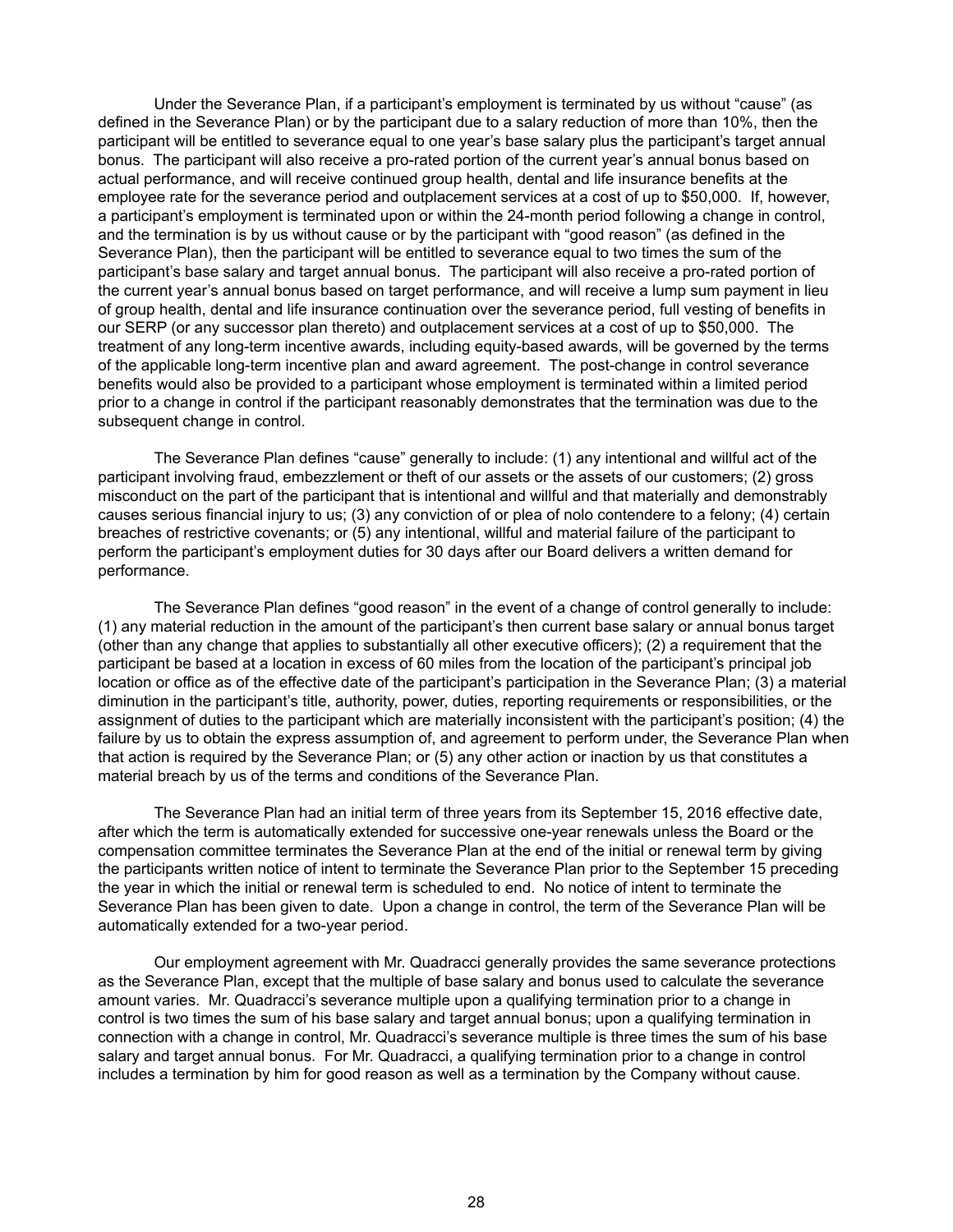Under the Severance Plan, if a participant's employment is terminated by us without "cause" (as defined in the Severance Plan) or by the participant due to a salary reduction of more than 10%, then the participant will be entitled to severance equal to one year's base salary plus the participant's target annual bonus. The participant will also receive a pro-rated portion of the current year's annual bonus based on actual performance, and will receive continued group health, dental and life insurance benefits at the employee rate for the severance period and outplacement services at a cost of up to \$50,000. If, however, a participant's employment is terminated upon or within the 24-month period following a change in control, and the termination is by us without cause or by the participant with "good reason" (as defined in the Severance Plan), then the participant will be entitled to severance equal to two times the sum of the participant's base salary and target annual bonus. The participant will also receive a pro-rated portion of the current year's annual bonus based on target performance, and will receive a lump sum payment in lieu of group health, dental and life insurance continuation over the severance period, full vesting of benefits in our SERP (or any successor plan thereto) and outplacement services at a cost of up to \$50,000. The treatment of any long-term incentive awards, including equity-based awards, will be governed by the terms of the applicable long-term incentive plan and award agreement. The post-change in control severance benefits would also be provided to a participant whose employment is terminated within a limited period prior to a change in control if the participant reasonably demonstrates that the termination was due to the subsequent change in control.

The Severance Plan defines "cause" generally to include: (1) any intentional and willful act of the participant involving fraud, embezzlement or theft of our assets or the assets of our customers; (2) gross misconduct on the part of the participant that is intentional and willful and that materially and demonstrably causes serious financial injury to us; (3) any conviction of or plea of nolo contendere to a felony; (4) certain breaches of restrictive covenants; or (5) any intentional, willful and material failure of the participant to perform the participant's employment duties for 30 days after our Board delivers a written demand for performance.

The Severance Plan defines "good reason" in the event of a change of control generally to include: (1) any material reduction in the amount of the participant's then current base salary or annual bonus target (other than any change that applies to substantially all other executive officers); (2) a requirement that the participant be based at a location in excess of 60 miles from the location of the participant's principal job location or office as of the effective date of the participant's participation in the Severance Plan; (3) a material diminution in the participant's title, authority, power, duties, reporting requirements or responsibilities, or the assignment of duties to the participant which are materially inconsistent with the participant's position; (4) the failure by us to obtain the express assumption of, and agreement to perform under, the Severance Plan when that action is required by the Severance Plan; or (5) any other action or inaction by us that constitutes a material breach by us of the terms and conditions of the Severance Plan.

The Severance Plan had an initial term of three years from its September 15, 2016 effective date, after which the term is automatically extended for successive one-year renewals unless the Board or the compensation committee terminates the Severance Plan at the end of the initial or renewal term by giving the participants written notice of intent to terminate the Severance Plan prior to the September 15 preceding the year in which the initial or renewal term is scheduled to end. No notice of intent to terminate the Severance Plan has been given to date. Upon a change in control, the term of the Severance Plan will be automatically extended for a two-year period.

Our employment agreement with Mr. Quadracci generally provides the same severance protections as the Severance Plan, except that the multiple of base salary and bonus used to calculate the severance amount varies. Mr. Quadracci's severance multiple upon a qualifying termination prior to a change in control is two times the sum of his base salary and target annual bonus; upon a qualifying termination in connection with a change in control, Mr. Quadracci's severance multiple is three times the sum of his base salary and target annual bonus. For Mr. Quadracci, a qualifying termination prior to a change in control includes a termination by him for good reason as well as a termination by the Company without cause.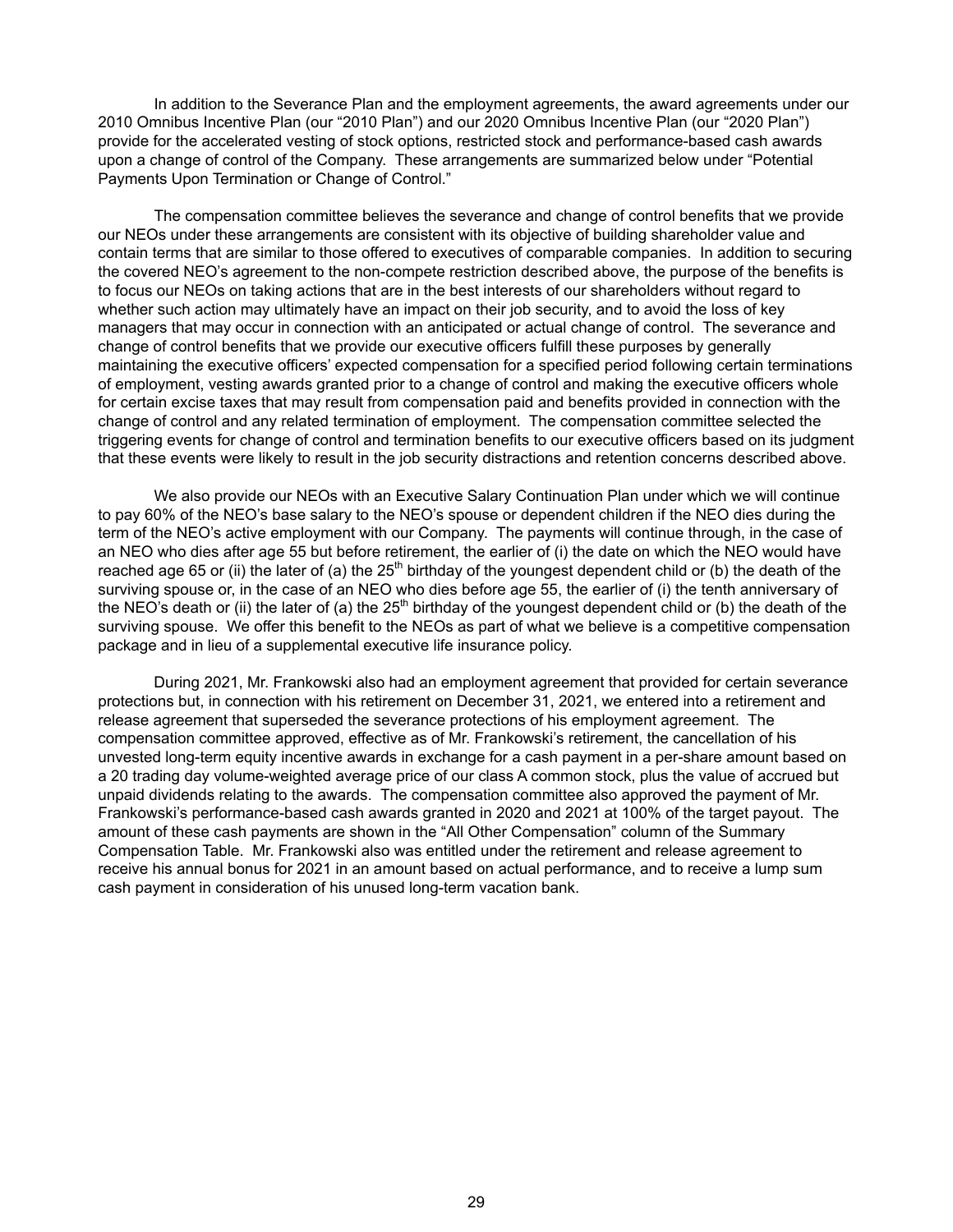In addition to the Severance Plan and the employment agreements, the award agreements under our 2010 Omnibus Incentive Plan (our "2010 Plan") and our 2020 Omnibus Incentive Plan (our "2020 Plan") provide for the accelerated vesting of stock options, restricted stock and performance-based cash awards upon a change of control of the Company. These arrangements are summarized below under "Potential Payments Upon Termination or Change of Control."

The compensation committee believes the severance and change of control benefits that we provide our NEOs under these arrangements are consistent with its objective of building shareholder value and contain terms that are similar to those offered to executives of comparable companies. In addition to securing the covered NEO's agreement to the non-compete restriction described above, the purpose of the benefits is to focus our NEOs on taking actions that are in the best interests of our shareholders without regard to whether such action may ultimately have an impact on their job security, and to avoid the loss of key managers that may occur in connection with an anticipated or actual change of control. The severance and change of control benefits that we provide our executive officers fulfill these purposes by generally maintaining the executive officers' expected compensation for a specified period following certain terminations of employment, vesting awards granted prior to a change of control and making the executive officers whole for certain excise taxes that may result from compensation paid and benefits provided in connection with the change of control and any related termination of employment. The compensation committee selected the triggering events for change of control and termination benefits to our executive officers based on its judgment that these events were likely to result in the job security distractions and retention concerns described above.

We also provide our NEOs with an Executive Salary Continuation Plan under which we will continue to pay 60% of the NEO's base salary to the NEO's spouse or dependent children if the NEO dies during the term of the NEO's active employment with our Company. The payments will continue through, in the case of an NEO who dies after age 55 but before retirement, the earlier of (i) the date on which the NEO would have reached age 65 or (ii) the later of (a) the  $25<sup>th</sup>$  birthday of the youngest dependent child or (b) the death of the surviving spouse or, in the case of an NEO who dies before age 55, the earlier of (i) the tenth anniversary of the NEO's death or (ii) the later of (a) the  $25<sup>th</sup>$  birthday of the youngest dependent child or (b) the death of the surviving spouse. We offer this benefit to the NEOs as part of what we believe is a competitive compensation package and in lieu of a supplemental executive life insurance policy.

During 2021, Mr. Frankowski also had an employment agreement that provided for certain severance protections but, in connection with his retirement on December 31, 2021, we entered into a retirement and release agreement that superseded the severance protections of his employment agreement. The compensation committee approved, effective as of Mr. Frankowski's retirement, the cancellation of his unvested long-term equity incentive awards in exchange for a cash payment in a per-share amount based on a 20 trading day volume-weighted average price of our class A common stock, plus the value of accrued but unpaid dividends relating to the awards. The compensation committee also approved the payment of Mr. Frankowski's performance-based cash awards granted in 2020 and 2021 at 100% of the target payout. The amount of these cash payments are shown in the "All Other Compensation" column of the Summary Compensation Table. Mr. Frankowski also was entitled under the retirement and release agreement to receive his annual bonus for 2021 in an amount based on actual performance, and to receive a lump sum cash payment in consideration of his unused long-term vacation bank.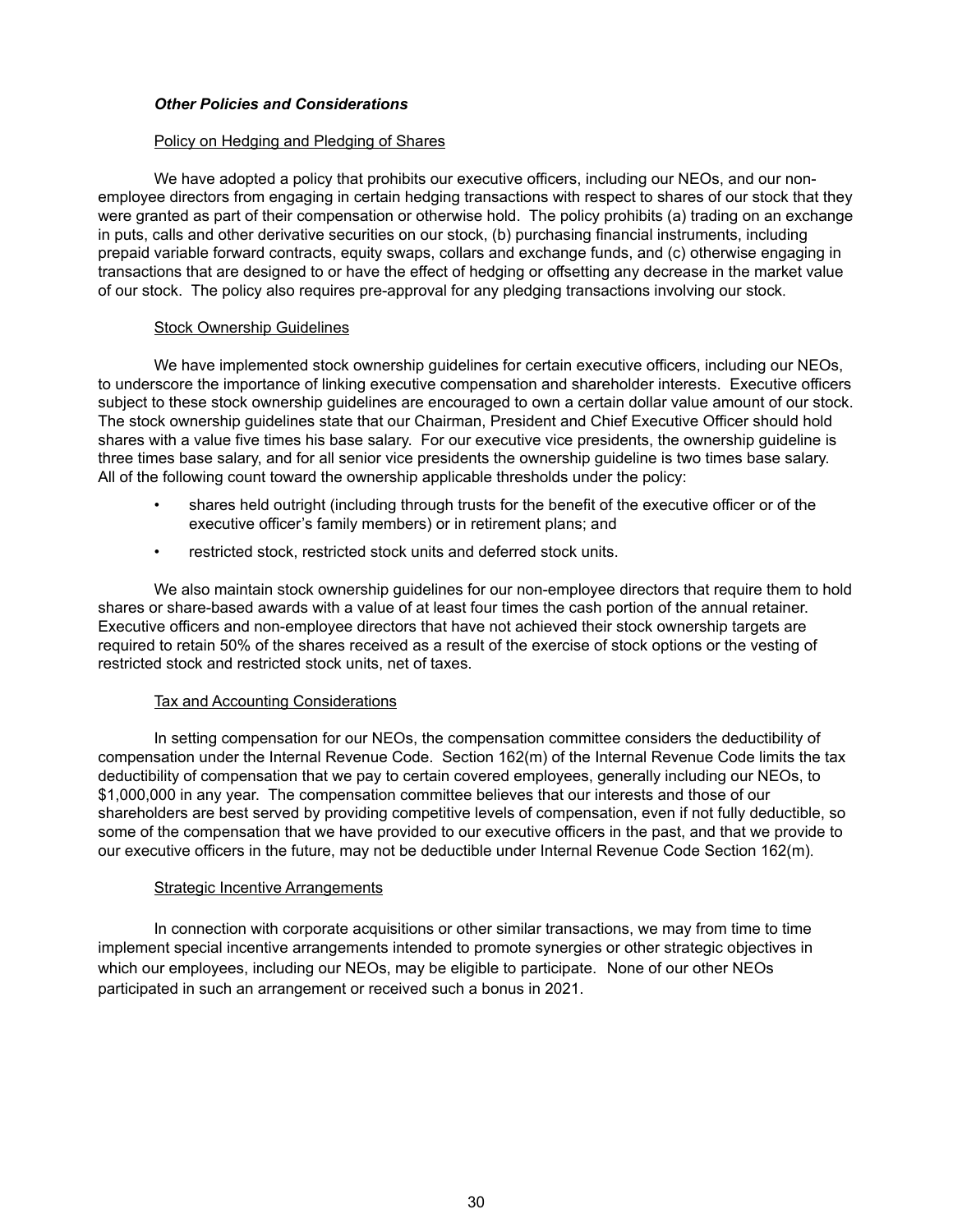## *Other Policies and Considerations*

## Policy on Hedging and Pledging of Shares

We have adopted a policy that prohibits our executive officers, including our NEOs, and our nonemployee directors from engaging in certain hedging transactions with respect to shares of our stock that they were granted as part of their compensation or otherwise hold. The policy prohibits (a) trading on an exchange in puts, calls and other derivative securities on our stock, (b) purchasing financial instruments, including prepaid variable forward contracts, equity swaps, collars and exchange funds, and (c) otherwise engaging in transactions that are designed to or have the effect of hedging or offsetting any decrease in the market value of our stock. The policy also requires pre-approval for any pledging transactions involving our stock.

## Stock Ownership Guidelines

We have implemented stock ownership guidelines for certain executive officers, including our NEOs, to underscore the importance of linking executive compensation and shareholder interests. Executive officers subject to these stock ownership guidelines are encouraged to own a certain dollar value amount of our stock. The stock ownership guidelines state that our Chairman, President and Chief Executive Officer should hold shares with a value five times his base salary. For our executive vice presidents, the ownership guideline is three times base salary, and for all senior vice presidents the ownership guideline is two times base salary. All of the following count toward the ownership applicable thresholds under the policy:

- shares held outright (including through trusts for the benefit of the executive officer or of the executive officer's family members) or in retirement plans; and
- restricted stock, restricted stock units and deferred stock units.

We also maintain stock ownership guidelines for our non-employee directors that require them to hold shares or share-based awards with a value of at least four times the cash portion of the annual retainer. Executive officers and non-employee directors that have not achieved their stock ownership targets are required to retain 50% of the shares received as a result of the exercise of stock options or the vesting of restricted stock and restricted stock units, net of taxes.

## Tax and Accounting Considerations

In setting compensation for our NEOs, the compensation committee considers the deductibility of compensation under the Internal Revenue Code. Section 162(m) of the Internal Revenue Code limits the tax deductibility of compensation that we pay to certain covered employees, generally including our NEOs, to \$1,000,000 in any year. The compensation committee believes that our interests and those of our shareholders are best served by providing competitive levels of compensation, even if not fully deductible, so some of the compensation that we have provided to our executive officers in the past, and that we provide to our executive officers in the future, may not be deductible under Internal Revenue Code Section 162(m).

## **Strategic Incentive Arrangements**

In connection with corporate acquisitions or other similar transactions, we may from time to time implement special incentive arrangements intended to promote synergies or other strategic objectives in which our employees, including our NEOs, may be eligible to participate. None of our other NEOs participated in such an arrangement or received such a bonus in 2021.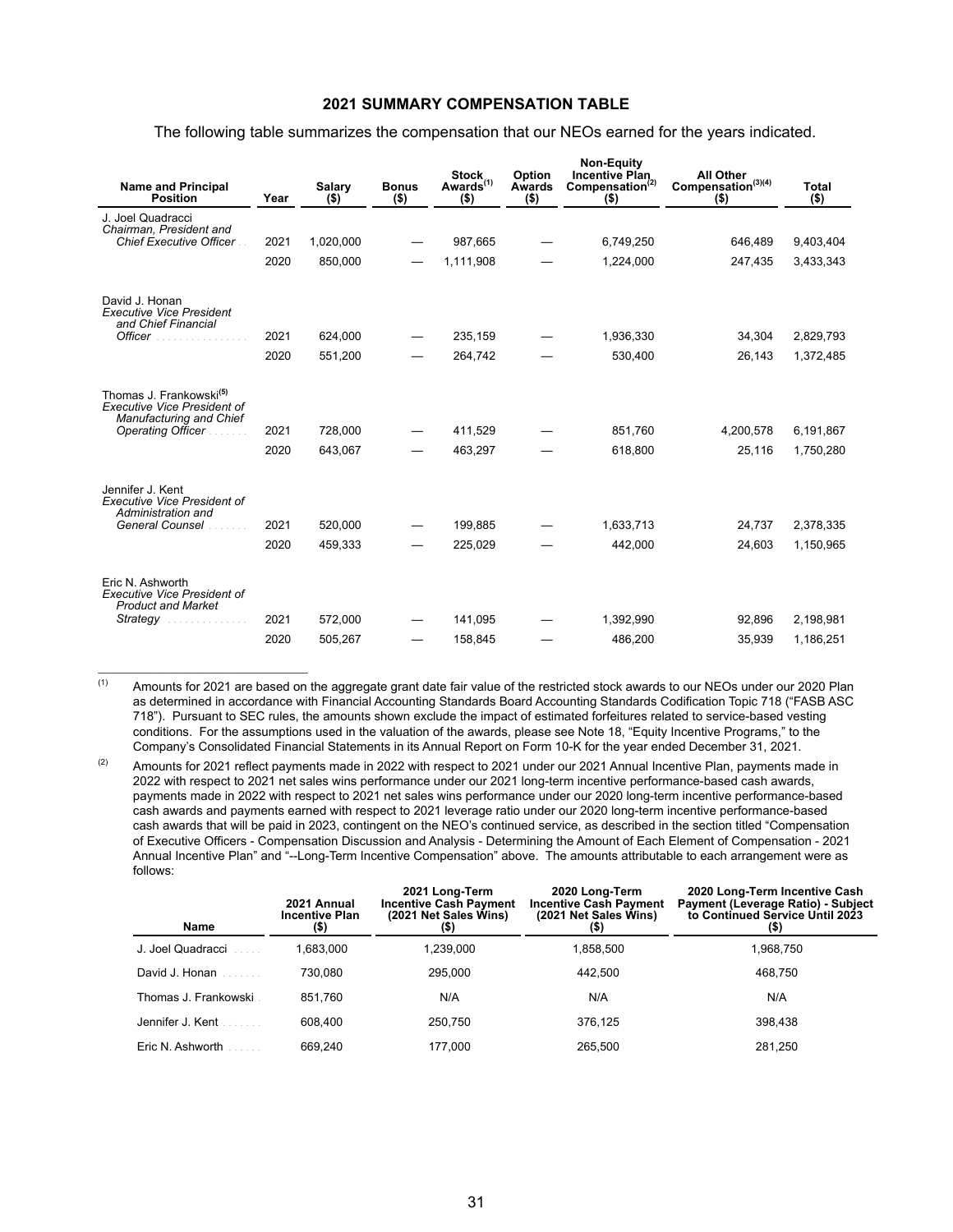## **2021 SUMMARY COMPENSATION TABLE**

The following table summarizes the compensation that our NEOs earned for the years indicated.

| <b>Name and Principal</b><br><b>Position</b>                                                         | Year | Salary<br>$($ \$) | <b>Bonus</b><br>$($ \$) | <b>Stock</b><br>Awards <sup>(1)</sup><br>$($ \$) | Option<br>Awards<br>$($ \$) | <b>Non-Equity</b><br><b>Incentive Plan</b><br>Compensation <sup>(2)</sup><br>$($ \$) | <b>All Other</b><br>Compensation <sup>(3)(4)</sup><br>$($ \$) | Total<br>$($ \$) |
|------------------------------------------------------------------------------------------------------|------|-------------------|-------------------------|--------------------------------------------------|-----------------------------|--------------------------------------------------------------------------------------|---------------------------------------------------------------|------------------|
| J. Joel Quadracci<br>Chairman, President and                                                         |      |                   |                         |                                                  |                             |                                                                                      |                                                               |                  |
| <b>Chief Executive Officer</b>                                                                       | 2021 | 1,020,000         |                         | 987,665                                          |                             | 6,749,250                                                                            | 646,489                                                       | 9,403,404        |
|                                                                                                      | 2020 | 850,000           |                         | 1,111,908                                        |                             | 1,224,000                                                                            | 247,435                                                       | 3,433,343        |
| David J. Honan<br><b>Executive Vice President</b><br>and Chief Financial                             |      |                   |                         |                                                  |                             |                                                                                      |                                                               |                  |
| <b>Officer</b>                                                                                       | 2021 | 624,000           |                         | 235,159                                          |                             | 1,936,330                                                                            | 34,304                                                        | 2,829,793        |
|                                                                                                      | 2020 | 551,200           |                         | 264,742                                          |                             | 530,400                                                                              | 26,143                                                        | 1,372,485        |
| Thomas J. Frankowski <sup>(5)</sup><br><b>Executive Vice President of</b><br>Manufacturing and Chief |      |                   |                         |                                                  |                             |                                                                                      |                                                               |                  |
| Operating Officer.                                                                                   | 2021 | 728,000           |                         | 411,529                                          |                             | 851,760                                                                              | 4,200,578                                                     | 6,191,867        |
|                                                                                                      | 2020 | 643,067           |                         | 463,297                                          |                             | 618,800                                                                              | 25,116                                                        | 1,750,280        |
| Jennifer J. Kent<br><b>Executive Vice President of</b><br>Administration and                         |      |                   |                         |                                                  |                             |                                                                                      |                                                               |                  |
| General Counsel                                                                                      | 2021 | 520,000           |                         | 199,885                                          |                             | 1,633,713                                                                            | 24,737                                                        | 2,378,335        |
|                                                                                                      | 2020 | 459,333           |                         | 225,029                                          |                             | 442,000                                                                              | 24,603                                                        | 1,150,965        |
| Eric N. Ashworth<br><b>Executive Vice President of</b><br><b>Product and Market</b>                  |      |                   |                         |                                                  |                             |                                                                                      |                                                               |                  |
| Strategy                                                                                             | 2021 | 572,000           |                         | 141,095                                          |                             | 1,392,990                                                                            | 92,896                                                        | 2,198,981        |
|                                                                                                      | 2020 | 505,267           |                         | 158,845                                          |                             | 486,200                                                                              | 35,939                                                        | 1,186,251        |

 $(1)$  Amounts for 2021 are based on the aggregate grant date fair value of the restricted stock awards to our NEOs under our 2020 Plan as determined in accordance with Financial Accounting Standards Board Accounting Standards Codification Topic 718 ("FASB ASC 718"). Pursuant to SEC rules, the amounts shown exclude the impact of estimated forfeitures related to service-based vesting conditions. For the assumptions used in the valuation of the awards, please see Note 18, "Equity Incentive Programs," to the Company's Consolidated Financial Statements in its Annual Report on Form 10-K for the year ended December 31, 2021.

 $(2)$  Amounts for 2021 reflect payments made in 2022 with respect to 2021 under our 2021 Annual Incentive Plan, payments made in 2022 with respect to 2021 net sales wins performance under our 2021 long-term incentive performance-based cash awards, payments made in 2022 with respect to 2021 net sales wins performance under our 2020 long-term incentive performance-based cash awards and payments earned with respect to 2021 leverage ratio under our 2020 long-term incentive performance-based cash awards that will be paid in 2023, contingent on the NEO's continued service, as described in the section titled "Compensation of Executive Officers - Compensation Discussion and Analysis - Determining the Amount of Each Element of Compensation - 2021 Annual Incentive Plan" and "--Long-Term Incentive Compensation" above. The amounts attributable to each arrangement were as follows:

| <b>Name</b>          | 2021 Annual<br><b>Incentive Plan</b><br>$($ \$) | 2021 Long-Term<br><b>Incentive Cash Payment</b><br>(2021 Net Sales Wins)<br>(5) | 2020 Long-Term<br><b>Incentive Cash Payment</b><br>(2021 Net Sales Wins)<br>(5) | 2020 Long-Term Incentive Cash<br><b>Payment (Leverage Ratio) - Subject</b><br>to Continued Service Until 2023<br>(\$) |
|----------------------|-------------------------------------------------|---------------------------------------------------------------------------------|---------------------------------------------------------------------------------|-----------------------------------------------------------------------------------------------------------------------|
| J. Joel Quadracci    | .683,000                                        | 1,239,000                                                                       | 1,858,500                                                                       | 1,968,750                                                                                                             |
| David J. Honan       | 730.080                                         | 295.000                                                                         | 442.500                                                                         | 468.750                                                                                                               |
| Thomas J. Frankowski | 851.760                                         | N/A                                                                             | N/A                                                                             | N/A                                                                                                                   |
| Jennifer J. Kent     | 608.400                                         | 250.750                                                                         | 376.125                                                                         | 398.438                                                                                                               |
| Eric N. Ashworth     | 669.240                                         | 177.000                                                                         | 265.500                                                                         | 281,250                                                                                                               |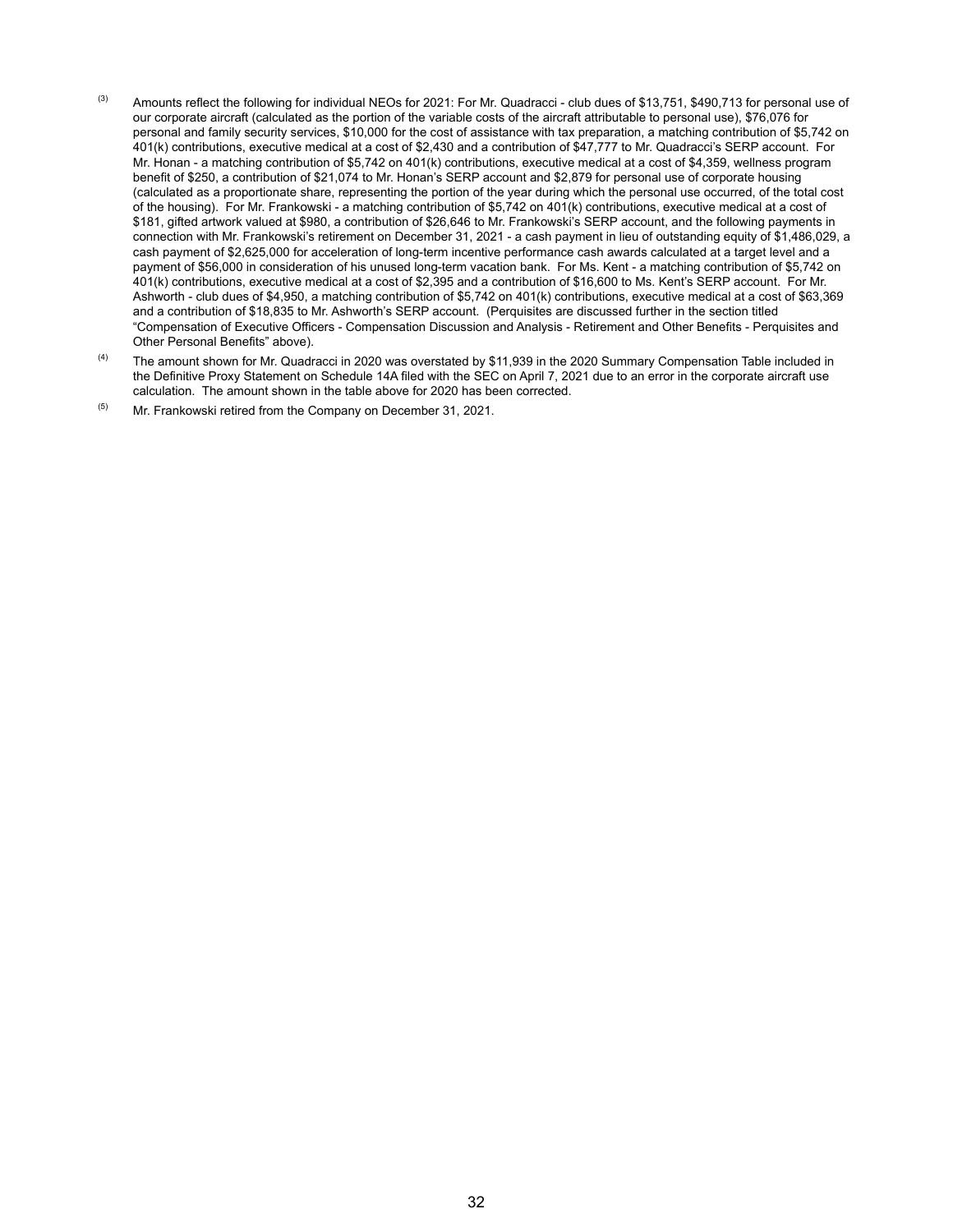- $^{(3)}$  Amounts reflect the following for individual NEOs for 2021: For Mr. Quadracci club dues of \$13,751, \$490,713 for personal use of our corporate aircraft (calculated as the portion of the variable costs of the aircraft attributable to personal use), \$76,076 for personal and family security services, \$10,000 for the cost of assistance with tax preparation, a matching contribution of \$5,742 on 401(k) contributions, executive medical at a cost of \$2,430 and a contribution of \$47,777 to Mr. Quadracci's SERP account. For Mr. Honan - a matching contribution of \$5,742 on 401(k) contributions, executive medical at a cost of \$4,359, wellness program benefit of \$250, a contribution of \$21,074 to Mr. Honan's SERP account and \$2,879 for personal use of corporate housing (calculated as a proportionate share, representing the portion of the year during which the personal use occurred, of the total cost of the housing). For Mr. Frankowski - a matching contribution of \$5,742 on 401(k) contributions, executive medical at a cost of \$181, gifted artwork valued at \$980, a contribution of \$26,646 to Mr. Frankowski's SERP account, and the following payments in connection with Mr. Frankowski's retirement on December 31, 2021 - a cash payment in lieu of outstanding equity of \$1,486,029, a cash payment of \$2,625,000 for acceleration of long-term incentive performance cash awards calculated at a target level and a payment of \$56,000 in consideration of his unused long-term vacation bank. For Ms. Kent - a matching contribution of \$5,742 on 401(k) contributions, executive medical at a cost of \$2,395 and a contribution of \$16,600 to Ms. Kent's SERP account. For Mr. Ashworth - club dues of \$4,950, a matching contribution of \$5,742 on 401(k) contributions, executive medical at a cost of \$63,369 and a contribution of \$18,835 to Mr. Ashworth's SERP account. (Perquisites are discussed further in the section titled "Compensation of Executive Officers - Compensation Discussion and Analysis - Retirement and Other Benefits - Perquisites and Other Personal Benefits" above).
- <sup>(4)</sup> The amount shown for Mr. Quadracci in 2020 was overstated by \$11,939 in the 2020 Summary Compensation Table included in the Definitive Proxy Statement on Schedule 14A filed with the SEC on April 7, 2021 due to an error in the corporate aircraft use calculation. The amount shown in the table above for 2020 has been corrected.
- $(5)$  Mr. Frankowski retired from the Company on December 31, 2021.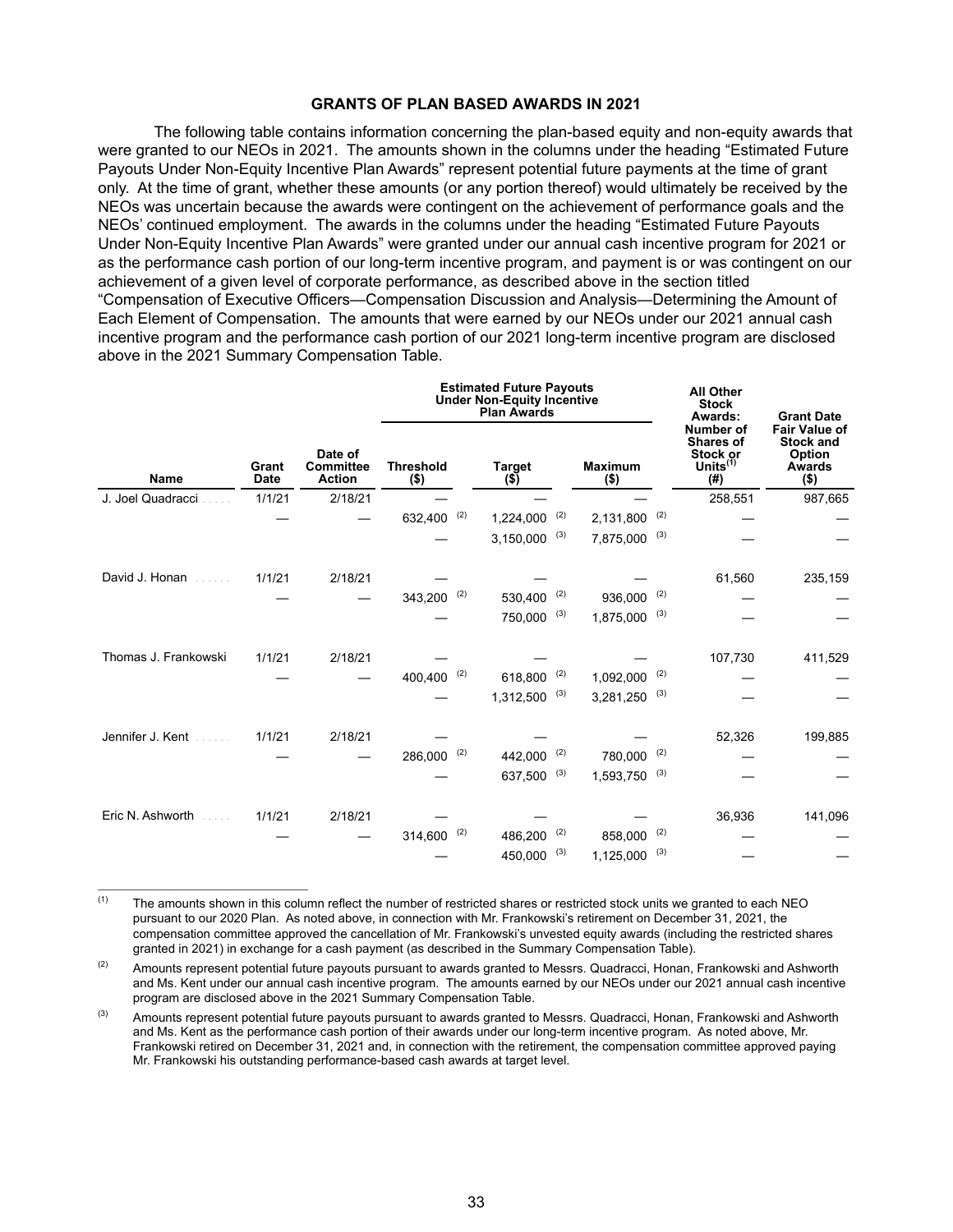## **GRANTS OF PLAN BASED AWARDS IN 2021**

The following table contains information concerning the plan-based equity and non-equity awards that were granted to our NEOs in 2021. The amounts shown in the columns under the heading "Estimated Future Payouts Under Non-Equity Incentive Plan Awards" represent potential future payments at the time of grant only. At the time of grant, whether these amounts (or any portion thereof) would ultimately be received by the NEOs was uncertain because the awards were contingent on the achievement of performance goals and the NEOs' continued employment. The awards in the columns under the heading "Estimated Future Payouts Under Non-Equity Incentive Plan Awards" were granted under our annual cash incentive program for 2021 or as the performance cash portion of our long-term incentive program, and payment is or was contingent on our achievement of a given level of corporate performance, as described above in the section titled "Compensation of Executive Officers—Compensation Discussion and Analysis—Determining the Amount of Each Element of Compensation. The amounts that were earned by our NEOs under our 2021 annual cash incentive program and the performance cash portion of our 2021 long-term incentive program are disclosed above in the 2021 Summary Compensation Table.

|                      |                      |                                              | <b>Estimated Future Payouts</b><br><b>Under Non-Equity Incentive</b><br><b>Plan Awards</b> |     |                          |     |                           |     | <b>All Other</b><br><b>Stock</b><br>Awards:              | <b>Grant Date</b>                                                       |
|----------------------|----------------------|----------------------------------------------|--------------------------------------------------------------------------------------------|-----|--------------------------|-----|---------------------------|-----|----------------------------------------------------------|-------------------------------------------------------------------------|
| <b>Name</b>          | Grant<br><b>Date</b> | Date of<br><b>Committee</b><br><b>Action</b> | <b>Threshold</b><br>$($ \$)                                                                |     | <b>Target</b><br>$($ \$) |     | <b>Maximum</b><br>$($ \$) |     | Number of<br>Shares of<br>Stock or<br>Units $(1)$<br>(#) | <b>Fair Value of</b><br><b>Stock and</b><br>Option<br>Awards<br>$($ \$) |
| J. Joel Quadracci    | 1/1/21               | 2/18/21                                      |                                                                                            |     |                          |     |                           |     | 258,551                                                  | 987,665                                                                 |
|                      |                      |                                              | $632,400$ <sup>(2)</sup>                                                                   |     | 1,224,000                | (2) | 2,131,800                 | (2) |                                                          |                                                                         |
|                      |                      |                                              |                                                                                            |     | 3,150,000                | (3) | 7,875,000                 | (3) |                                                          |                                                                         |
| David J. Honan       | 1/1/21               | 2/18/21                                      |                                                                                            |     |                          |     |                           |     | 61,560                                                   | 235,159                                                                 |
|                      |                      |                                              | $343,200$ (2)                                                                              |     | 530,400                  | (2) | 936,000                   | (2) |                                                          |                                                                         |
|                      |                      |                                              |                                                                                            |     | 750,000                  | (3) | 1,875,000                 | (3) |                                                          |                                                                         |
| Thomas J. Frankowski | 1/1/21               | 2/18/21                                      |                                                                                            |     |                          |     |                           |     | 107,730                                                  | 411,529                                                                 |
|                      |                      |                                              | $400,400$ <sup>(2)</sup>                                                                   |     | 618,800                  | (2) | 1,092,000                 | (2) |                                                          |                                                                         |
|                      |                      |                                              |                                                                                            |     | 1,312,500                | (3) | 3,281,250                 | (3) |                                                          |                                                                         |
| Jennifer J. Kent     | 1/1/21               | 2/18/21                                      |                                                                                            |     |                          |     |                           |     | 52,326                                                   | 199,885                                                                 |
|                      |                      |                                              | 286,000                                                                                    | (2) | 442,000                  | (2) | 780,000                   | (2) |                                                          |                                                                         |
|                      |                      |                                              |                                                                                            |     | 637,500                  | (3) | 1,593,750                 | (3) |                                                          |                                                                         |
| Eric N. Ashworth     | 1/1/21               | 2/18/21                                      |                                                                                            |     |                          |     |                           |     | 36,936                                                   | 141,096                                                                 |
|                      |                      |                                              | 314,600                                                                                    | (2) | 486,200                  | (2) | 858,000                   | (2) |                                                          |                                                                         |
|                      |                      |                                              |                                                                                            |     | 450,000                  | (3) | 1,125,000                 | (3) |                                                          |                                                                         |

 $(1)$  The amounts shown in this column reflect the number of restricted shares or restricted stock units we granted to each NEO pursuant to our 2020 Plan. As noted above, in connection with Mr. Frankowski's retirement on December 31, 2021, the compensation committee approved the cancellation of Mr. Frankowski's unvested equity awards (including the restricted shares granted in 2021) in exchange for a cash payment (as described in the Summary Compensation Table).

<sup>(2)</sup> Amounts represent potential future payouts pursuant to awards granted to Messrs. Quadracci, Honan, Frankowski and Ashworth and Ms. Kent under our annual cash incentive program. The amounts earned by our NEOs under our 2021 annual cash incentive program are disclosed above in the 2021 Summary Compensation Table.

<sup>(3)</sup> Amounts represent potential future payouts pursuant to awards granted to Messrs. Quadracci, Honan, Frankowski and Ashworth and Ms. Kent as the performance cash portion of their awards under our long-term incentive program. As noted above, Mr. Frankowski retired on December 31, 2021 and, in connection with the retirement, the compensation committee approved paying Mr. Frankowski his outstanding performance-based cash awards at target level.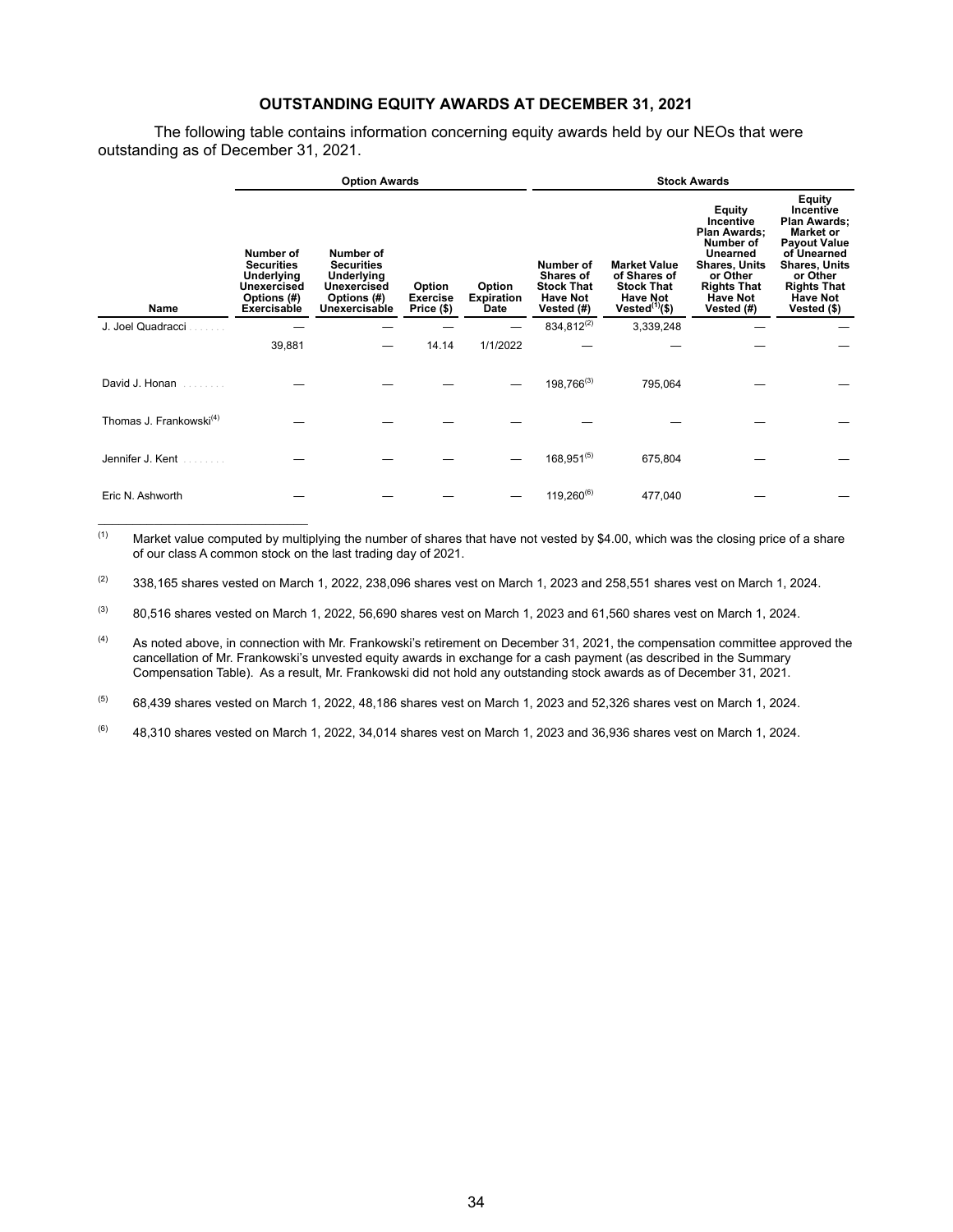## **OUTSTANDING EQUITY AWARDS AT DECEMBER 31, 2021**

The following table contains information concerning equity awards held by our NEOs that were outstanding as of December 31, 2021.

|                                     |                                                                                                  | <b>Option Awards</b>                                                                        |                                         |                                     | <b>Stock Awards</b>                                                          |                                                                                                           |                                                                                                                                                         |                                                                                                                                                                                           |  |
|-------------------------------------|--------------------------------------------------------------------------------------------------|---------------------------------------------------------------------------------------------|-----------------------------------------|-------------------------------------|------------------------------------------------------------------------------|-----------------------------------------------------------------------------------------------------------|---------------------------------------------------------------------------------------------------------------------------------------------------------|-------------------------------------------------------------------------------------------------------------------------------------------------------------------------------------------|--|
| Name                                | Number of<br><b>Securities</b><br>Underlying<br><b>Unexercised</b><br>Options (#)<br>Exercisable | Number of<br><b>Securities</b><br>Underlying<br>Unexercised<br>Options (#)<br>Unexercisable | Option<br><b>Exercise</b><br>Price (\$) | Option<br><b>Expiration</b><br>Date | Number of<br>Shares of<br><b>Stock That</b><br><b>Have Not</b><br>Vested (#) | <b>Market Value</b><br>of Shares of<br><b>Stock That</b><br><b>Have Not</b><br>Vested <sup>(1)</sup> (\$) | Equity<br>Incentive<br>Plan Awards:<br>Number of<br>Unearned<br><b>Shares, Units</b><br>or Other<br><b>Rights That</b><br><b>Have Not</b><br>Vested (#) | Equity<br>Incentive<br>Plan Awards;<br><b>Market or</b><br><b>Payout Value</b><br>of Unearned<br><b>Shares, Units</b><br>or Other<br><b>Rights That</b><br><b>Have Not</b><br>Vested (\$) |  |
| J. Joel Quadracci                   |                                                                                                  |                                                                                             |                                         |                                     | 834,812(2)                                                                   | 3,339,248                                                                                                 |                                                                                                                                                         |                                                                                                                                                                                           |  |
|                                     | 39,881                                                                                           |                                                                                             | 14.14                                   | 1/1/2022                            |                                                                              |                                                                                                           |                                                                                                                                                         |                                                                                                                                                                                           |  |
| David J. Honan                      |                                                                                                  |                                                                                             |                                         |                                     | $198,766^{(3)}$                                                              | 795,064                                                                                                   |                                                                                                                                                         |                                                                                                                                                                                           |  |
| Thomas J. Frankowski <sup>(4)</sup> |                                                                                                  |                                                                                             |                                         |                                     |                                                                              |                                                                                                           |                                                                                                                                                         |                                                                                                                                                                                           |  |
| Jennifer J. Kent                    |                                                                                                  |                                                                                             |                                         |                                     | $168,951^{(5)}$                                                              | 675,804                                                                                                   |                                                                                                                                                         |                                                                                                                                                                                           |  |
| Eric N. Ashworth                    |                                                                                                  |                                                                                             |                                         |                                     | $119,260^{(6)}$                                                              | 477,040                                                                                                   |                                                                                                                                                         |                                                                                                                                                                                           |  |

 $(1)$  Market value computed by multiplying the number of shares that have not vested by \$4.00, which was the closing price of a share of our class A common stock on the last trading day of 2021.

 $(2)$  338,165 shares vested on March 1, 2022, 238,096 shares vest on March 1, 2023 and 258,551 shares vest on March 1, 2024.

 $^{(3)}$  80,516 shares vested on March 1, 2022, 56,690 shares vest on March 1, 2023 and 61,560 shares vest on March 1, 2024.

<sup>(4)</sup> As noted above, in connection with Mr. Frankowski's retirement on December 31, 2021, the compensation committee approved the cancellation of Mr. Frankowski's unvested equity awards in exchange for a cash payment (as described in the Summary Compensation Table). As a result, Mr. Frankowski did not hold any outstanding stock awards as of December 31, 2021.

 $^{(5)}$  68,439 shares vested on March 1, 2022, 48,186 shares vest on March 1, 2023 and 52,326 shares vest on March 1, 2024.

 $(6)$  48,310 shares vested on March 1, 2022, 34,014 shares vest on March 1, 2023 and 36,936 shares vest on March 1, 2024.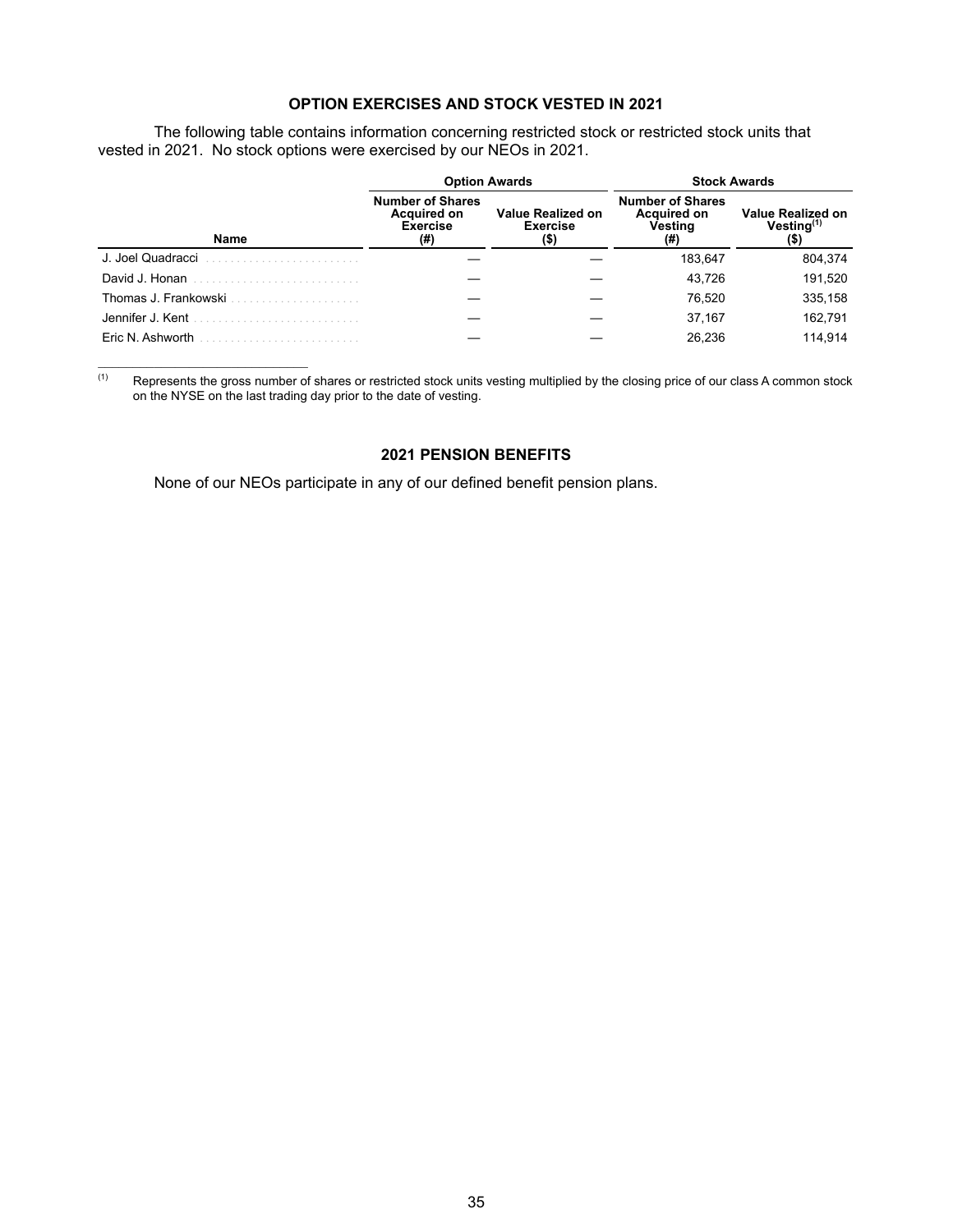# **OPTION EXERCISES AND STOCK VESTED IN 2021**

The following table contains information concerning restricted stock or restricted stock units that vested in 2021. No stock options were exercised by our NEOs in 2021.

|                      |                                                                         | <b>Option Awards</b>                                | <b>Stock Awards</b>                                      |                                              |  |  |
|----------------------|-------------------------------------------------------------------------|-----------------------------------------------------|----------------------------------------------------------|----------------------------------------------|--|--|
| Name                 | <b>Number of Shares</b><br><b>Acquired on</b><br><b>Exercise</b><br>(#) | <b>Value Realized on</b><br><b>Exercise</b><br>(\$) | <b>Number of Shares</b><br>Acquired on<br>Vesting<br>(#) | <b>Value Realized on</b><br>$V$ esting $(1)$ |  |  |
| J. Joel Quadracci    |                                                                         |                                                     | 183.647                                                  | 804,374                                      |  |  |
| David J. Honan       |                                                                         |                                                     | 43.726                                                   | 191,520                                      |  |  |
| Thomas J. Frankowski |                                                                         |                                                     | 76.520                                                   | 335,158                                      |  |  |
| Jennifer J. Kent     |                                                                         |                                                     | 37,167                                                   | 162.791                                      |  |  |
| Eric N. Ashworth     |                                                                         |                                                     | 26.236                                                   | 114.914                                      |  |  |

 $(1)$  Represents the gross number of shares or restricted stock units vesting multiplied by the closing price of our class A common stock on the NYSE on the last trading day prior to the date of vesting.

# **2021 PENSION BENEFITS**

None of our NEOs participate in any of our defined benefit pension plans.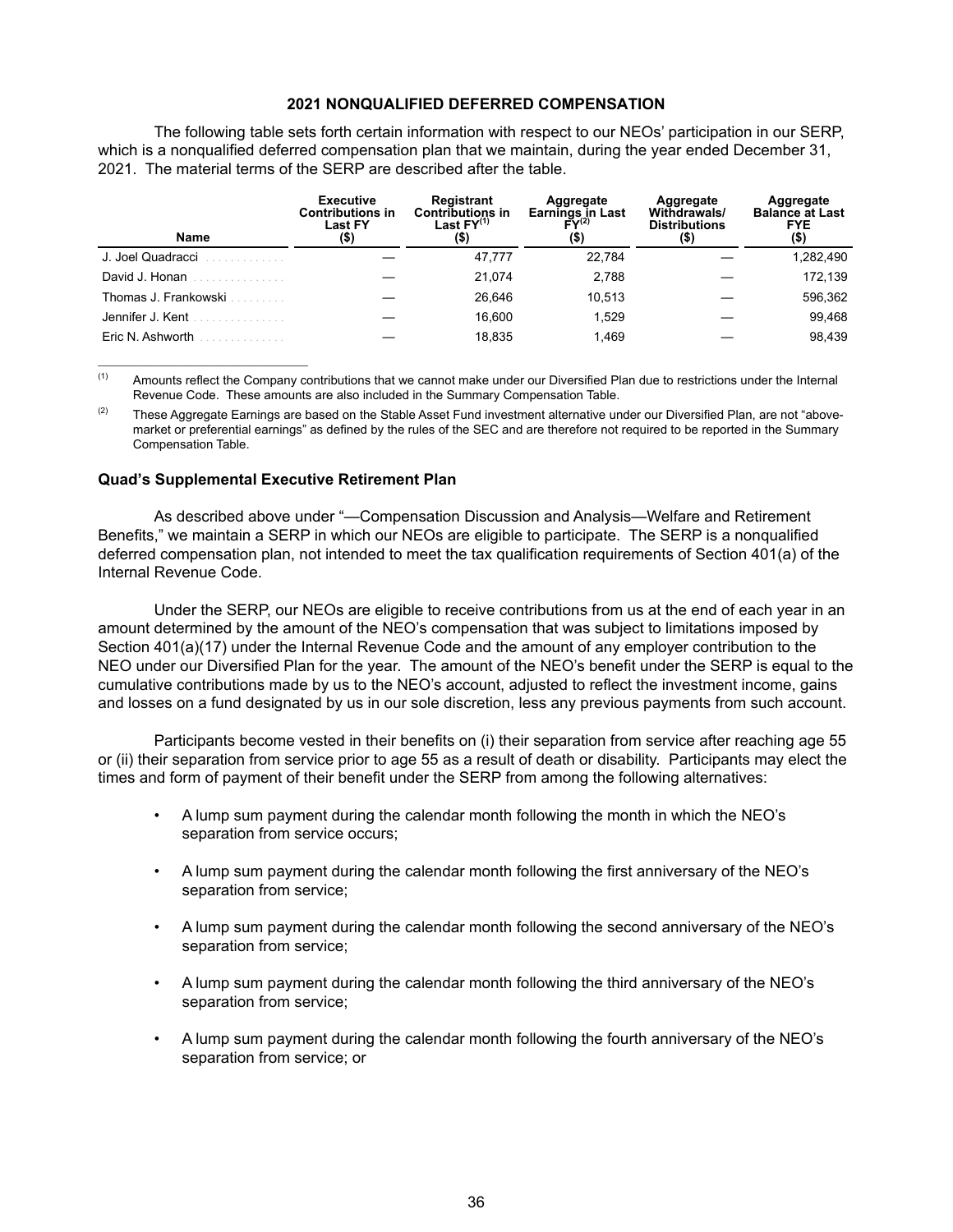#### **2021 NONQUALIFIED DEFERRED COMPENSATION**

The following table sets forth certain information with respect to our NEOs' participation in our SERP, which is a nonqualified deferred compensation plan that we maintain, during the year ended December 31, 2021. The material terms of the SERP are described after the table.

| <b>Name</b>            | <b>Executive</b><br><b>Contributions in</b><br><b>Last FY</b><br>(\$) | Registrant<br><b>Contributions in</b><br>Last $FY^{(1)}$<br>(\$) | Aggregate<br><b>Earnings in Last</b><br>$FY^{(2)}$<br>(\$) | Aggregate<br>Withdrawals/<br><b>Distributions</b><br>$($ \$) | Aggregate<br><b>Balance at Last</b><br><b>FYE</b><br>(\$) |
|------------------------|-----------------------------------------------------------------------|------------------------------------------------------------------|------------------------------------------------------------|--------------------------------------------------------------|-----------------------------------------------------------|
| J. Joel Quadracci<br>. |                                                                       | 47,777                                                           | 22,784                                                     |                                                              | 1,282,490                                                 |
| David J. Honan         |                                                                       | 21.074                                                           | 2.788                                                      |                                                              | 172.139                                                   |
| Thomas J. Frankowski   |                                                                       | 26.646                                                           | 10.513                                                     |                                                              | 596,362                                                   |
| Jennifer J. Kent<br>.  |                                                                       | 16.600                                                           | 1,529                                                      |                                                              | 99.468                                                    |
| Eric N. Ashworth       |                                                                       | 18.835                                                           | 1.469                                                      |                                                              | 98.439                                                    |

(1) Amounts reflect the Company contributions that we cannot make under our Diversified Plan due to restrictions under the Internal Revenue Code. These amounts are also included in the Summary Compensation Table.

 $(2)$  These Aggregate Earnings are based on the Stable Asset Fund investment alternative under our Diversified Plan, are not "abovemarket or preferential earnings" as defined by the rules of the SEC and are therefore not required to be reported in the Summary Compensation Table.

#### **Quad's Supplemental Executive Retirement Plan**

As described above under "—Compensation Discussion and Analysis—Welfare and Retirement Benefits," we maintain a SERP in which our NEOs are eligible to participate. The SERP is a nonqualified deferred compensation plan, not intended to meet the tax qualification requirements of Section 401(a) of the Internal Revenue Code.

Under the SERP, our NEOs are eligible to receive contributions from us at the end of each year in an amount determined by the amount of the NEO's compensation that was subject to limitations imposed by Section 401(a)(17) under the Internal Revenue Code and the amount of any employer contribution to the NEO under our Diversified Plan for the year. The amount of the NEO's benefit under the SERP is equal to the cumulative contributions made by us to the NEO's account, adjusted to reflect the investment income, gains and losses on a fund designated by us in our sole discretion, less any previous payments from such account.

Participants become vested in their benefits on (i) their separation from service after reaching age 55 or (ii) their separation from service prior to age 55 as a result of death or disability. Participants may elect the times and form of payment of their benefit under the SERP from among the following alternatives:

- A lump sum payment during the calendar month following the month in which the NEO's separation from service occurs;
- A lump sum payment during the calendar month following the first anniversary of the NEO's separation from service;
- A lump sum payment during the calendar month following the second anniversary of the NEO's separation from service;
- A lump sum payment during the calendar month following the third anniversary of the NEO's separation from service;
- A lump sum payment during the calendar month following the fourth anniversary of the NEO's separation from service; or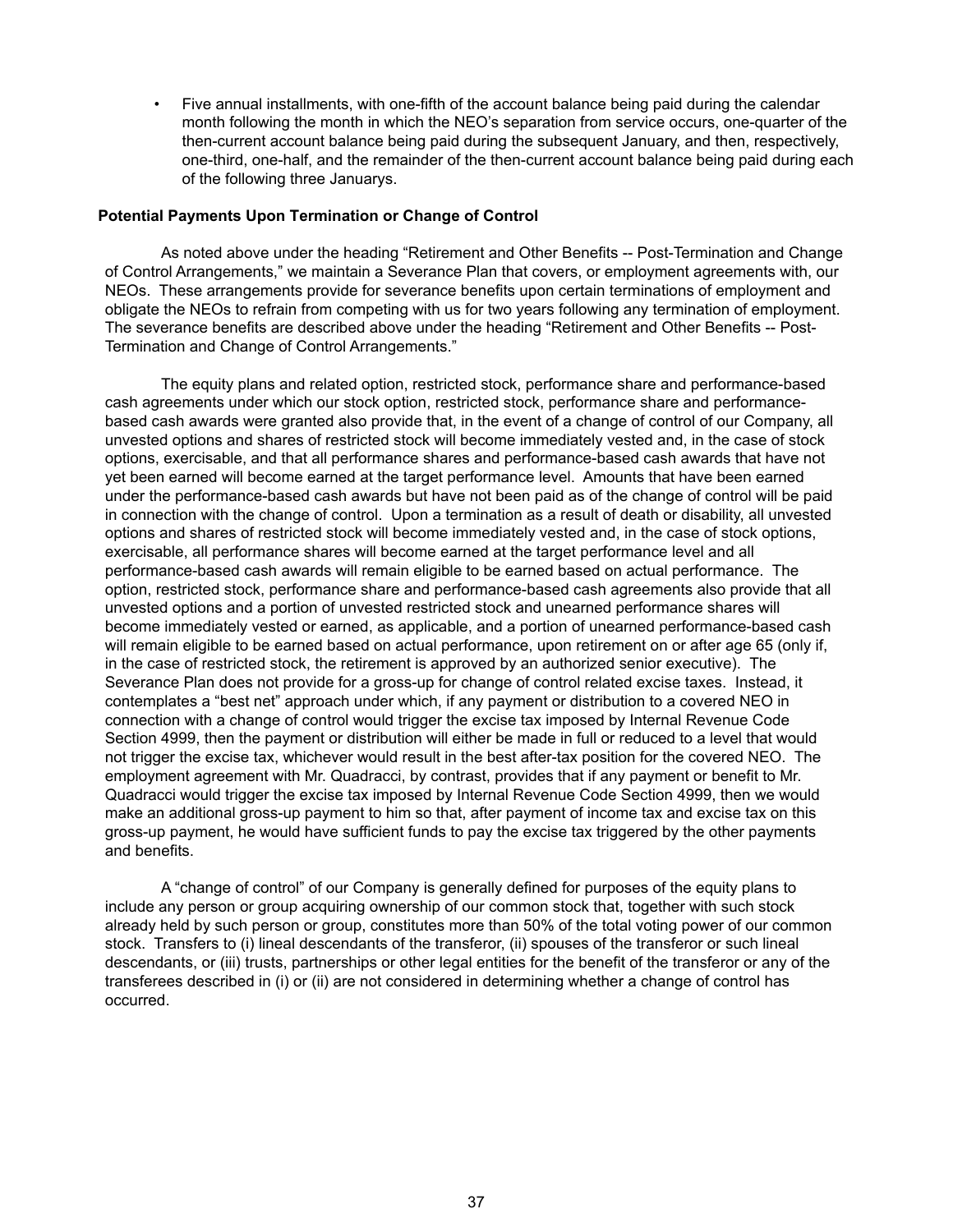• Five annual installments, with one-fifth of the account balance being paid during the calendar month following the month in which the NEO's separation from service occurs, one-quarter of the then-current account balance being paid during the subsequent January, and then, respectively, one-third, one-half, and the remainder of the then-current account balance being paid during each of the following three Januarys.

#### **Potential Payments Upon Termination or Change of Control**

As noted above under the heading "Retirement and Other Benefits -- Post-Termination and Change of Control Arrangements," we maintain a Severance Plan that covers, or employment agreements with, our NEOs. These arrangements provide for severance benefits upon certain terminations of employment and obligate the NEOs to refrain from competing with us for two years following any termination of employment. The severance benefits are described above under the heading "Retirement and Other Benefits -- Post-Termination and Change of Control Arrangements."

The equity plans and related option, restricted stock, performance share and performance-based cash agreements under which our stock option, restricted stock, performance share and performancebased cash awards were granted also provide that, in the event of a change of control of our Company, all unvested options and shares of restricted stock will become immediately vested and, in the case of stock options, exercisable, and that all performance shares and performance-based cash awards that have not yet been earned will become earned at the target performance level. Amounts that have been earned under the performance-based cash awards but have not been paid as of the change of control will be paid in connection with the change of control. Upon a termination as a result of death or disability, all unvested options and shares of restricted stock will become immediately vested and, in the case of stock options, exercisable, all performance shares will become earned at the target performance level and all performance-based cash awards will remain eligible to be earned based on actual performance. The option, restricted stock, performance share and performance-based cash agreements also provide that all unvested options and a portion of unvested restricted stock and unearned performance shares will become immediately vested or earned, as applicable, and a portion of unearned performance-based cash will remain eligible to be earned based on actual performance, upon retirement on or after age 65 (only if, in the case of restricted stock, the retirement is approved by an authorized senior executive). The Severance Plan does not provide for a gross-up for change of control related excise taxes. Instead, it contemplates a "best net" approach under which, if any payment or distribution to a covered NEO in connection with a change of control would trigger the excise tax imposed by Internal Revenue Code Section 4999, then the payment or distribution will either be made in full or reduced to a level that would not trigger the excise tax, whichever would result in the best after-tax position for the covered NEO. The employment agreement with Mr. Quadracci, by contrast, provides that if any payment or benefit to Mr. Quadracci would trigger the excise tax imposed by Internal Revenue Code Section 4999, then we would make an additional gross-up payment to him so that, after payment of income tax and excise tax on this gross-up payment, he would have sufficient funds to pay the excise tax triggered by the other payments and benefits.

A "change of control" of our Company is generally defined for purposes of the equity plans to include any person or group acquiring ownership of our common stock that, together with such stock already held by such person or group, constitutes more than 50% of the total voting power of our common stock. Transfers to (i) lineal descendants of the transferor, (ii) spouses of the transferor or such lineal descendants, or (iii) trusts, partnerships or other legal entities for the benefit of the transferor or any of the transferees described in (i) or (ii) are not considered in determining whether a change of control has occurred.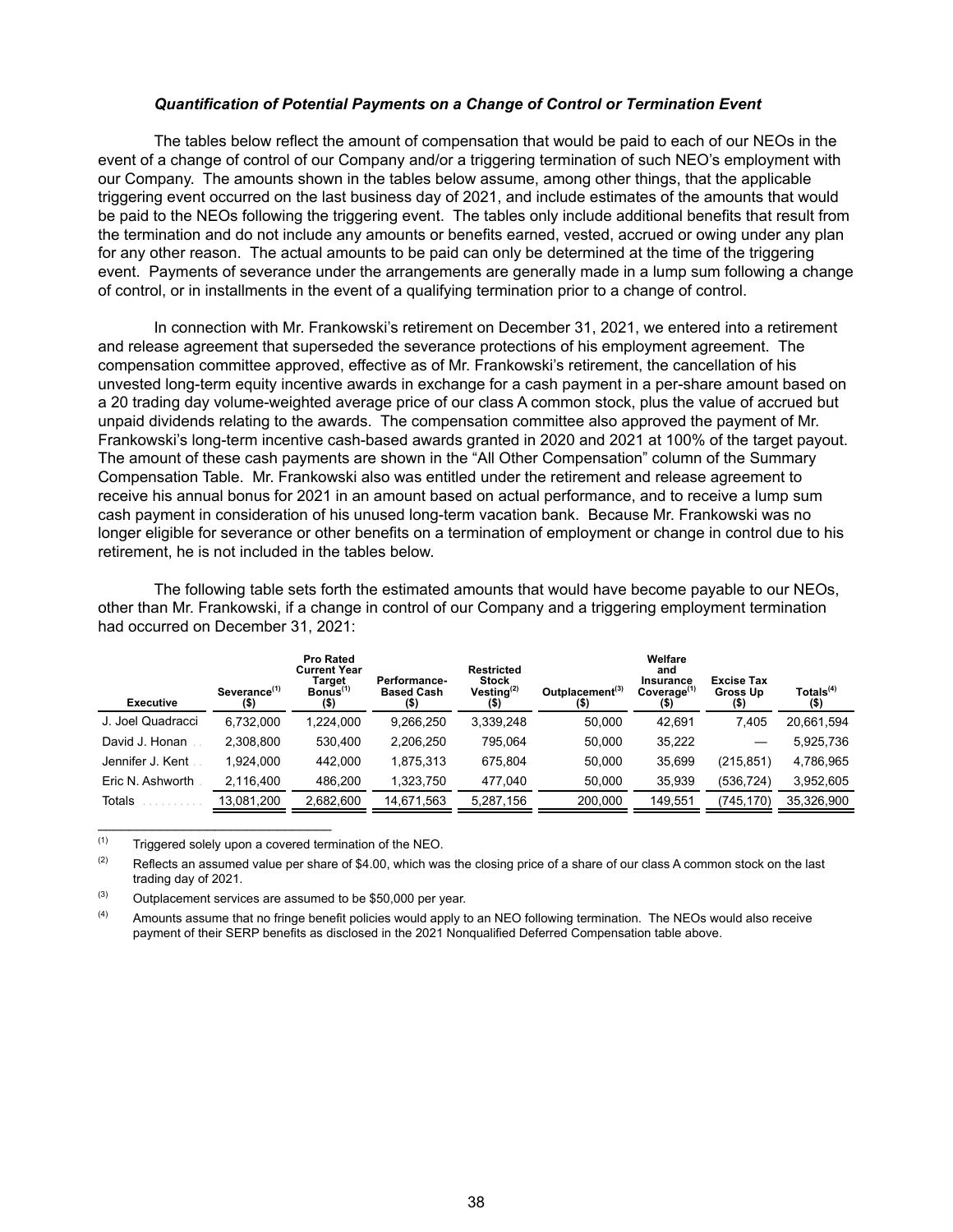#### *Quantification of Potential Payments on a Change of Control or Termination Event*

The tables below reflect the amount of compensation that would be paid to each of our NEOs in the event of a change of control of our Company and/or a triggering termination of such NEO's employment with our Company. The amounts shown in the tables below assume, among other things, that the applicable triggering event occurred on the last business day of 2021, and include estimates of the amounts that would be paid to the NEOs following the triggering event. The tables only include additional benefits that result from the termination and do not include any amounts or benefits earned, vested, accrued or owing under any plan for any other reason. The actual amounts to be paid can only be determined at the time of the triggering event. Payments of severance under the arrangements are generally made in a lump sum following a change of control, or in installments in the event of a qualifying termination prior to a change of control.

In connection with Mr. Frankowski's retirement on December 31, 2021, we entered into a retirement and release agreement that superseded the severance protections of his employment agreement. The compensation committee approved, effective as of Mr. Frankowski's retirement, the cancellation of his unvested long-term equity incentive awards in exchange for a cash payment in a per-share amount based on a 20 trading day volume-weighted average price of our class A common stock, plus the value of accrued but unpaid dividends relating to the awards. The compensation committee also approved the payment of Mr. Frankowski's long-term incentive cash-based awards granted in 2020 and 2021 at 100% of the target payout. The amount of these cash payments are shown in the "All Other Compensation" column of the Summary Compensation Table. Mr. Frankowski also was entitled under the retirement and release agreement to receive his annual bonus for 2021 in an amount based on actual performance, and to receive a lump sum cash payment in consideration of his unused long-term vacation bank. Because Mr. Frankowski was no longer eligible for severance or other benefits on a termination of employment or change in control due to his retirement, he is not included in the tables below.

The following table sets forth the estimated amounts that would have become payable to our NEOs, other than Mr. Frankowski, if a change in control of our Company and a triggering employment termination had occurred on December 31, 2021:

| <b>Executive</b>  | Severance <sup>(1)</sup><br>$($ \$) | <b>Pro Rated</b><br><b>Current Year</b><br>Target<br>$B$ onus $(1)$<br>(\$) | <b>Performance-</b><br><b>Based Cash</b> | <b>Restricted</b><br>Stock<br>Vesting $(2)$<br>(\$) | Outplacement <sup>(3)</sup><br>$($ \$) | Welfare<br>and<br>Insurance<br>Coverage <sup>(1)</sup><br>(5) | <b>Excise Tax</b><br>Gross Up<br>(\$) | Totals <sup>(4)</sup><br>$($ \$) |
|-------------------|-------------------------------------|-----------------------------------------------------------------------------|------------------------------------------|-----------------------------------------------------|----------------------------------------|---------------------------------------------------------------|---------------------------------------|----------------------------------|
| J. Joel Quadracci | 6,732,000                           | 1.224.000                                                                   | 9,266,250                                | 3,339,248                                           | 50.000                                 | 42,691                                                        | 7.405                                 | 20,661,594                       |
| David J. Honan    | 2.308.800                           | 530.400                                                                     | 2,206,250                                | 795.064                                             | 50.000                                 | 35,222                                                        |                                       | 5,925,736                        |
| Jennifer J. Kent  | 1.924.000                           | 442.000                                                                     | 1.875.313                                | 675.804                                             | 50.000                                 | 35.699                                                        | (215, 851)                            | 4,786,965                        |
| Eric N. Ashworth  | 2.116.400                           | 486.200                                                                     | 1,323,750                                | 477.040                                             | 50,000                                 | 35,939                                                        | (536, 724)                            | 3,952,605                        |
| <b>Totals</b>     | 13,081,200                          | 2,682,600                                                                   | 14,671,563                               | 5,287,156                                           | 200,000                                | 149,551                                                       | (745,170)                             | 35,326,900                       |

 $(1)$  Triggered solely upon a covered termination of the NEO.

 $\mathcal{L}_\text{max}$  , which is a set of the set of the set of the set of the set of the set of the set of the set of the set of the set of the set of the set of the set of the set of the set of the set of the set of the set of

 $(2)$  Reflects an assumed value per share of \$4.00, which was the closing price of a share of our class A common stock on the last trading day of 2021.

 $(3)$  Outplacement services are assumed to be \$50,000 per year.

(4) Amounts assume that no fringe benefit policies would apply to an NEO following termination. The NEOs would also receive payment of their SERP benefits as disclosed in the 2021 Nonqualified Deferred Compensation table above.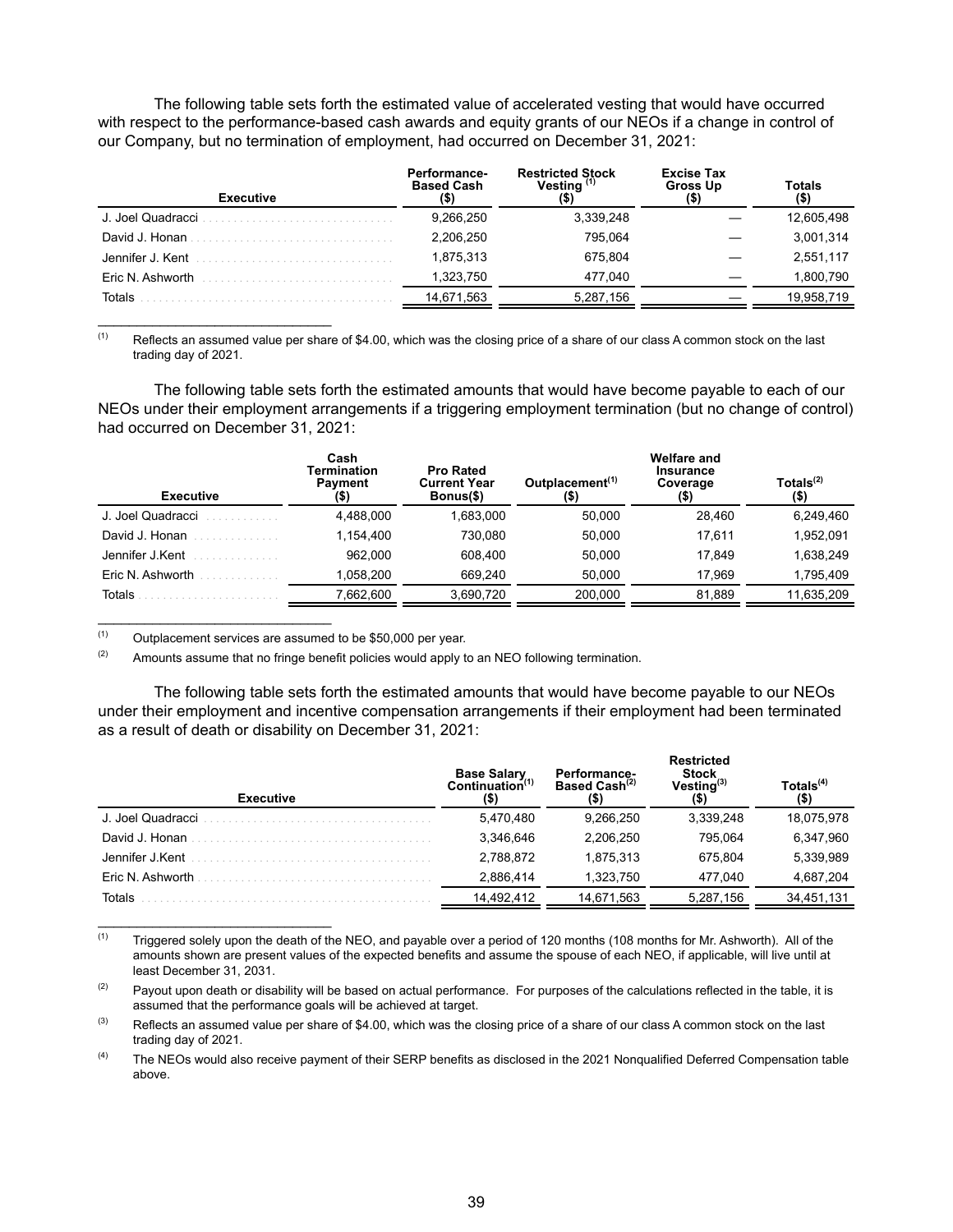The following table sets forth the estimated value of accelerated vesting that would have occurred with respect to the performance-based cash awards and equity grants of our NEOs if a change in control of our Company, but no termination of employment, had occurred on December 31, 2021:

| <b>Executive</b>  | Performance-<br><b>Based Cash</b> | <b>Restricted Stock</b><br>Vesting (1) | <b>Excise Tax</b><br><b>Gross Up</b> | Totals<br>(\$) |
|-------------------|-----------------------------------|----------------------------------------|--------------------------------------|----------------|
| J. Joel Quadracci | 9.266.250                         | 3,339,248                              |                                      | 12,605,498     |
| David J. Honan    | 2.206.250                         | 795.064                                |                                      | 3,001,314      |
| Jennifer J. Kent  | 1.875.313                         | 675.804                                |                                      | 2,551,117      |
| Eric N. Ashworth  | 1.323.750                         | 477.040                                |                                      | 1,800,790      |
| Totals            | 14,671,563                        | 5,287,156                              |                                      | 19,958,719     |

 $(1)$  Reflects an assumed value per share of \$4.00, which was the closing price of a share of our class A common stock on the last trading day of 2021.

The following table sets forth the estimated amounts that would have become payable to each of our NEOs under their employment arrangements if a triggering employment termination (but no change of control) had occurred on December 31, 2021:

| <b>Executive</b>  | Cash<br>Termination<br><b>Payment</b><br>(\$) | <b>Pro Rated</b><br><b>Current Year</b><br>Bonus(\$) | Outplacement <sup>(1)</sup><br>(\$) | Welfare and<br>Insurance<br>Coverage<br>(\$) | Totals <sup>(2)</sup><br>(\$) |
|-------------------|-----------------------------------------------|------------------------------------------------------|-------------------------------------|----------------------------------------------|-------------------------------|
| J. Joel Quadracci | 4,488,000                                     | 1.683.000                                            | 50.000                              | 28.460                                       | 6.249.460                     |
| David J. Honan    | 1.154.400                                     | 730.080                                              | 50,000                              | 17.611                                       | 1,952,091                     |
| Jennifer J.Kent   | 962.000                                       | 608,400                                              | 50,000                              | 17.849                                       | 1,638,249                     |
| Eric N. Ashworth  | 1.058.200                                     | 669.240                                              | 50.000                              | 17.969                                       | 1.795.409                     |
| Totals            | 7,662,600                                     | 3,690,720                                            | 200,000                             | 81,889                                       | 11,635,209                    |

 $(1)$  Outplacement services are assumed to be \$50,000 per year.

 $\mathcal{L}_\text{max}$  , which is a set of the set of the set of the set of the set of the set of the set of the set of the set of the set of the set of the set of the set of the set of the set of the set of the set of the set of

 $\mathcal{L}_\text{max}$  , which is a set of the set of the set of the set of the set of the set of the set of the set of the set of the set of the set of the set of the set of the set of the set of the set of the set of the set of

 $\mathcal{L}_\text{max}$  and  $\mathcal{L}_\text{max}$  and  $\mathcal{L}_\text{max}$  and  $\mathcal{L}_\text{max}$ 

 $(2)$  Amounts assume that no fringe benefit policies would apply to an NEO following termination.

The following table sets forth the estimated amounts that would have become payable to our NEOs under their employment and incentive compensation arrangements if their employment had been terminated as a result of death or disability on December 31, 2021:

| <b>Executive</b>  | <b>Base Salary</b><br>Continuation <sup>(1)</sup><br>(\$) | <b>Performance-</b><br>Based Cash <sup>(2)</sup> | <b>Restricted</b><br><b>Stock</b><br>$V$ esting $^{(3)}$ | Totals $(4)$<br>(\$) |
|-------------------|-----------------------------------------------------------|--------------------------------------------------|----------------------------------------------------------|----------------------|
| J. Joel Quadracci | 5,470,480                                                 | 9,266,250                                        | 3,339,248                                                | 18,075,978           |
| David J. Honan    | 3.346.646                                                 | 2.206.250                                        | 795.064                                                  | 6,347,960            |
| Jennifer J.Kent   | 2,788,872                                                 | 1.875.313                                        | 675.804                                                  | 5,339,989            |
| Eric N. Ashworth  | 2.886.414                                                 | 1.323.750                                        | 477.040                                                  | 4,687,204            |
| Totals            | 14,492,412                                                | 14,671,563                                       | 5,287,156                                                | 34,451,131           |

 $(1)$  Triggered solely upon the death of the NEO, and payable over a period of 120 months (108 months for Mr. Ashworth). All of the amounts shown are present values of the expected benefits and assume the spouse of each NEO, if applicable, will live until at least December 31, 2031.

<sup>&</sup>lt;sup>(2)</sup> Payout upon death or disability will be based on actual performance. For purposes of the calculations reflected in the table, it is assumed that the performance goals will be achieved at target.

 $(3)$  Reflects an assumed value per share of \$4.00, which was the closing price of a share of our class A common stock on the last trading day of 2021.

<sup>&</sup>lt;sup>(4)</sup> The NEOs would also receive payment of their SERP benefits as disclosed in the 2021 Nonqualified Deferred Compensation table above.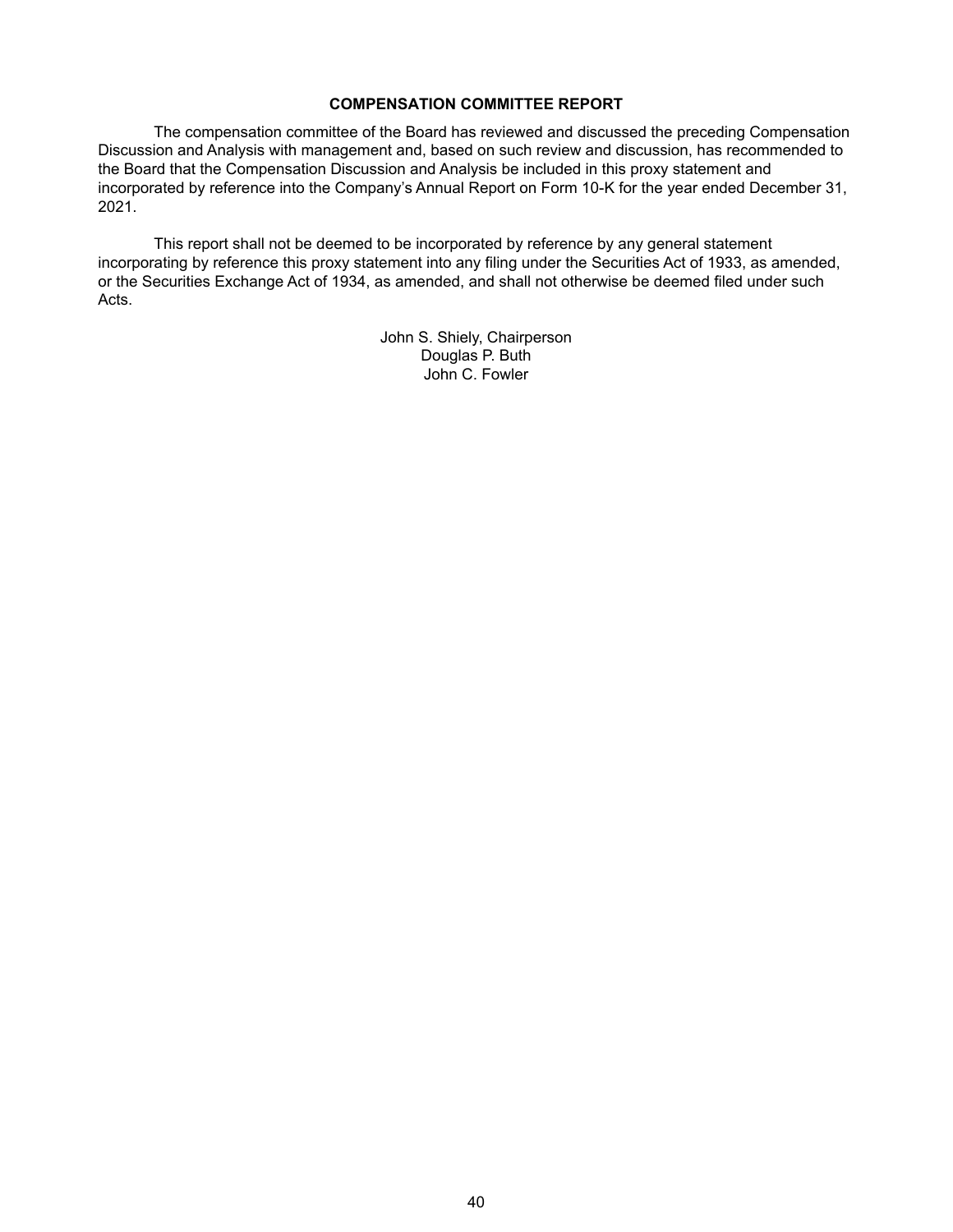## **COMPENSATION COMMITTEE REPORT**

The compensation committee of the Board has reviewed and discussed the preceding Compensation Discussion and Analysis with management and, based on such review and discussion, has recommended to the Board that the Compensation Discussion and Analysis be included in this proxy statement and incorporated by reference into the Company's Annual Report on Form 10-K for the year ended December 31, 2021.

This report shall not be deemed to be incorporated by reference by any general statement incorporating by reference this proxy statement into any filing under the Securities Act of 1933, as amended, or the Securities Exchange Act of 1934, as amended, and shall not otherwise be deemed filed under such Acts.

> John S. Shiely, Chairperson Douglas P. Buth John C. Fowler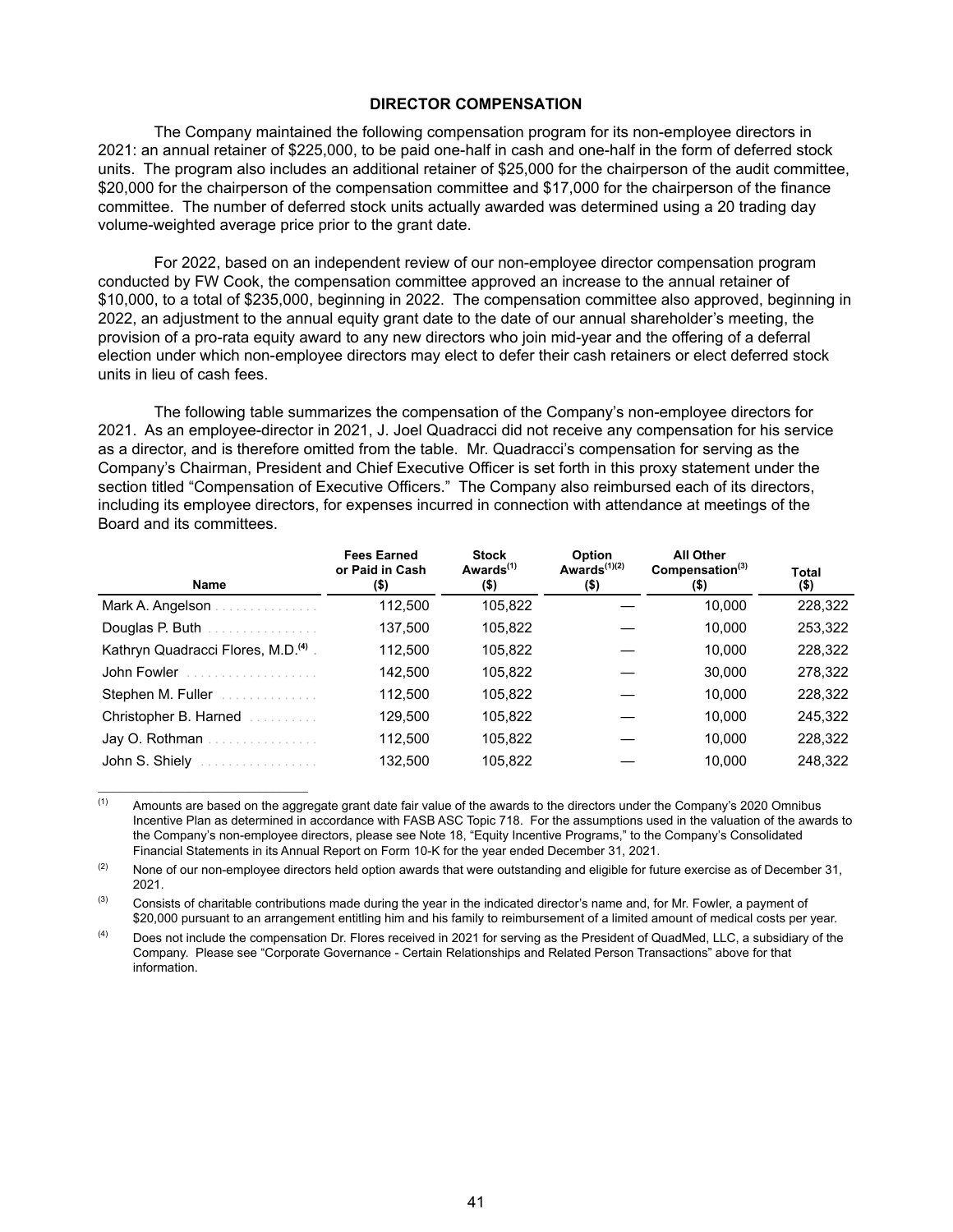## **DIRECTOR COMPENSATION**

The Company maintained the following compensation program for its non-employee directors in 2021: an annual retainer of \$225,000, to be paid one-half in cash and one-half in the form of deferred stock units. The program also includes an additional retainer of \$25,000 for the chairperson of the audit committee, \$20,000 for the chairperson of the compensation committee and \$17,000 for the chairperson of the finance committee. The number of deferred stock units actually awarded was determined using a 20 trading day volume-weighted average price prior to the grant date.

For 2022, based on an independent review of our non-employee director compensation program conducted by FW Cook, the compensation committee approved an increase to the annual retainer of \$10,000, to a total of \$235,000, beginning in 2022. The compensation committee also approved, beginning in 2022, an adjustment to the annual equity grant date to the date of our annual shareholder's meeting, the provision of a pro-rata equity award to any new directors who join mid-year and the offering of a deferral election under which non-employee directors may elect to defer their cash retainers or elect deferred stock units in lieu of cash fees.

The following table summarizes the compensation of the Company's non-employee directors for 2021. As an employee-director in 2021, J. Joel Quadracci did not receive any compensation for his service as a director, and is therefore omitted from the table. Mr. Quadracci's compensation for serving as the Company's Chairman, President and Chief Executive Officer is set forth in this proxy statement under the section titled "Compensation of Executive Officers." The Company also reimbursed each of its directors, including its employee directors, for expenses incurred in connection with attendance at meetings of the Board and its committees.

| <b>Name</b>                                                                                                                                                                                                                          | <b>Fees Earned</b><br>or Paid in Cash<br>$($ \$) | <b>Stock</b><br>Awards <sup>(1)</sup><br>$($ \$) | Option<br>Awards $(1)(2)$<br>$($ \$) | <b>All Other</b><br>Compensation $(3)$<br>$($ \$) | Total<br>$($ \$) |
|--------------------------------------------------------------------------------------------------------------------------------------------------------------------------------------------------------------------------------------|--------------------------------------------------|--------------------------------------------------|--------------------------------------|---------------------------------------------------|------------------|
| Mark A. Angelson.<br>and a straight and a straight                                                                                                                                                                                   | 112,500                                          | 105,822                                          |                                      | 10,000                                            | 228,322          |
| Douglas P. Buth <b>Superintendent Property</b>                                                                                                                                                                                       | 137,500                                          | 105,822                                          |                                      | 10,000                                            | 253,322          |
| Kathryn Quadracci Flores, M.D. <sup>(4)</sup> .                                                                                                                                                                                      | 112,500                                          | 105,822                                          |                                      | 10.000                                            | 228,322          |
| John Fowler <i>Communication</i>                                                                                                                                                                                                     | 142,500                                          | 105,822                                          |                                      | 30,000                                            | 278,322          |
| Stephen M. Fuller                                                                                                                                                                                                                    | 112,500                                          | 105,822                                          |                                      | 10,000                                            | 228,322          |
| Christopher B. Harned <b>Christopher B.</b>                                                                                                                                                                                          | 129,500                                          | 105,822                                          |                                      | 10,000                                            | 245,322          |
| Jay O. Rothman                                                                                                                                                                                                                       | 112,500                                          | 105,822                                          |                                      | 10.000                                            | 228,322          |
| John S. Shiely <b>Committee Committee Street Street Street Street Street Street Street Street Street Street Street Street Street Street Street Street Street Street Street Street Street Street Street Street Street Street Stre</b> | 132,500                                          | 105,822                                          |                                      | 10.000                                            | 248,322          |

 $(1)$  Amounts are based on the aggregate grant date fair value of the awards to the directors under the Company's 2020 Omnibus Incentive Plan as determined in accordance with FASB ASC Topic 718. For the assumptions used in the valuation of the awards to the Company's non-employee directors, please see Note 18, "Equity Incentive Programs," to the Company's Consolidated Financial Statements in its Annual Report on Form 10-K for the year ended December 31, 2021.

(2) None of our non-employee directors held option awards that were outstanding and eligible for future exercise as of December 31, 2021.

 $(3)$  Consists of charitable contributions made during the year in the indicated director's name and, for Mr. Fowler, a payment of \$20,000 pursuant to an arrangement entitling him and his family to reimbursement of a limited amount of medical costs per year.

(4) Does not include the compensation Dr. Flores received in 2021 for serving as the President of QuadMed, LLC, a subsidiary of the Company. Please see "Corporate Governance - Certain Relationships and Related Person Transactions" above for that information.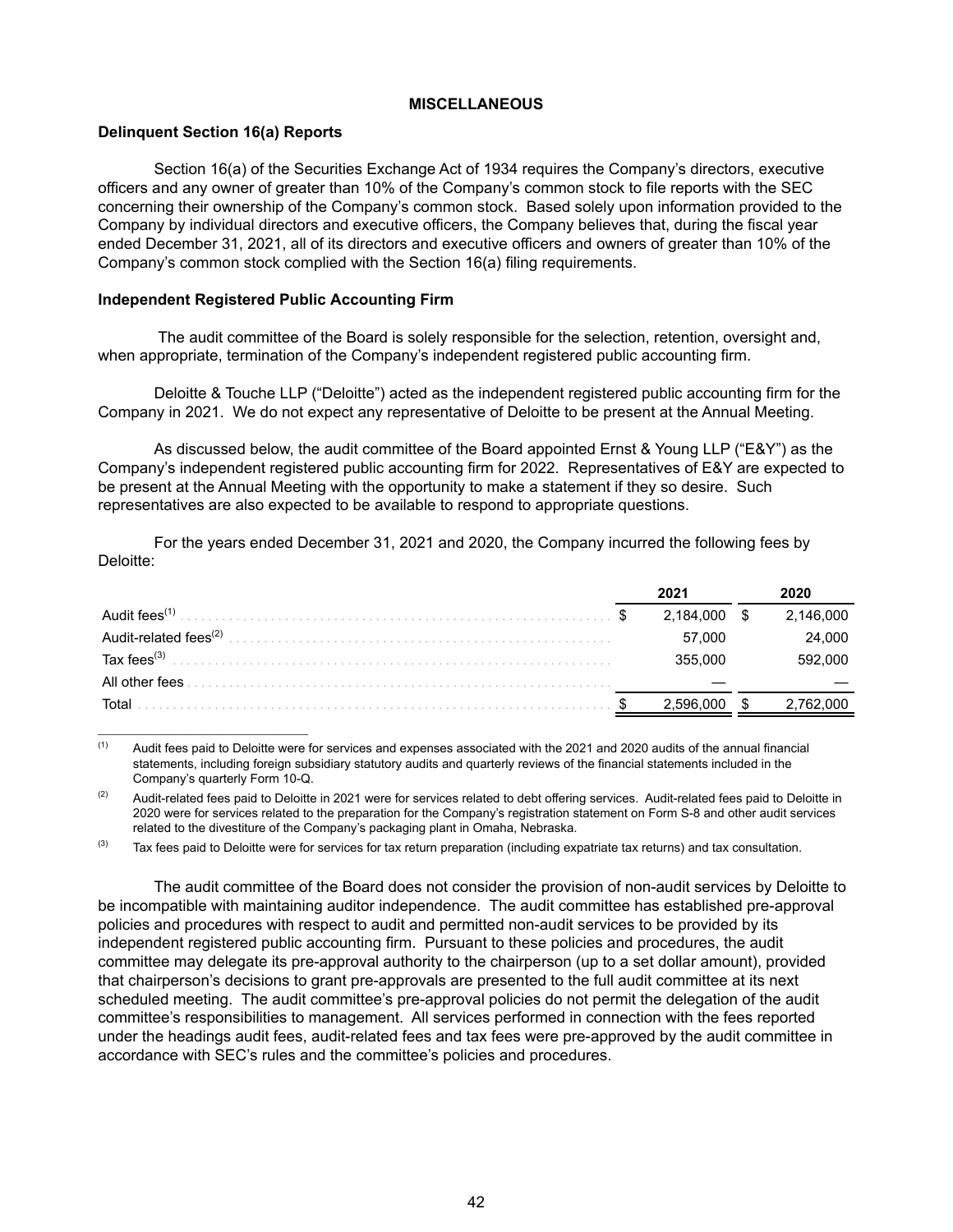## **MISCELLANEOUS**

## **Delinquent Section 16(a) Reports**

Section 16(a) of the Securities Exchange Act of 1934 requires the Company's directors, executive officers and any owner of greater than 10% of the Company's common stock to file reports with the SEC concerning their ownership of the Company's common stock. Based solely upon information provided to the Company by individual directors and executive officers, the Company believes that, during the fiscal year ended December 31, 2021, all of its directors and executive officers and owners of greater than 10% of the Company's common stock complied with the Section 16(a) filing requirements.

## **Independent Registered Public Accounting Firm**

 The audit committee of the Board is solely responsible for the selection, retention, oversight and, when appropriate, termination of the Company's independent registered public accounting firm.

Deloitte & Touche LLP ("Deloitte") acted as the independent registered public accounting firm for the Company in 2021. We do not expect any representative of Deloitte to be present at the Annual Meeting.

As discussed below, the audit committee of the Board appointed Ernst & Young LLP ("E&Y") as the Company's independent registered public accounting firm for 2022. Representatives of E&Y are expected to be present at the Annual Meeting with the opportunity to make a statement if they so desire. Such representatives are also expected to be available to respond to appropriate questions.

For the years ended December 31, 2021 and 2020, the Company incurred the following fees by Deloitte:

| Audit fees <sup><math>(1)</math></sup> | 2,184,000 | 2,146,000 |
|----------------------------------------|-----------|-----------|
| Audit-related fees <sup>(2)</sup>      | 57,000    | 24,000    |
| Tax fees $^{(3)}$                      | 355.000   | 592,000   |
| All other fees                         |           |           |
| Total                                  |           |           |

 $(1)$  Audit fees paid to Deloitte were for services and expenses associated with the 2021 and 2020 audits of the annual financial statements, including foreign subsidiary statutory audits and quarterly reviews of the financial statements included in the Company's quarterly Form 10-Q.

 $(2)$  Audit-related fees paid to Deloitte in 2021 were for services related to debt offering services. Audit-related fees paid to Deloitte in 2020 were for services related to the preparation for the Company's registration statement on Form S-8 and other audit services related to the divestiture of the Company's packaging plant in Omaha, Nebraska.

 $(3)$  Tax fees paid to Deloitte were for services for tax return preparation (including expatriate tax returns) and tax consultation.

The audit committee of the Board does not consider the provision of non-audit services by Deloitte to be incompatible with maintaining auditor independence. The audit committee has established pre-approval policies and procedures with respect to audit and permitted non-audit services to be provided by its independent registered public accounting firm. Pursuant to these policies and procedures, the audit committee may delegate its pre-approval authority to the chairperson (up to a set dollar amount), provided that chairperson's decisions to grant pre-approvals are presented to the full audit committee at its next scheduled meeting. The audit committee's pre-approval policies do not permit the delegation of the audit committee's responsibilities to management. All services performed in connection with the fees reported under the headings audit fees, audit-related fees and tax fees were pre-approved by the audit committee in accordance with SEC's rules and the committee's policies and procedures.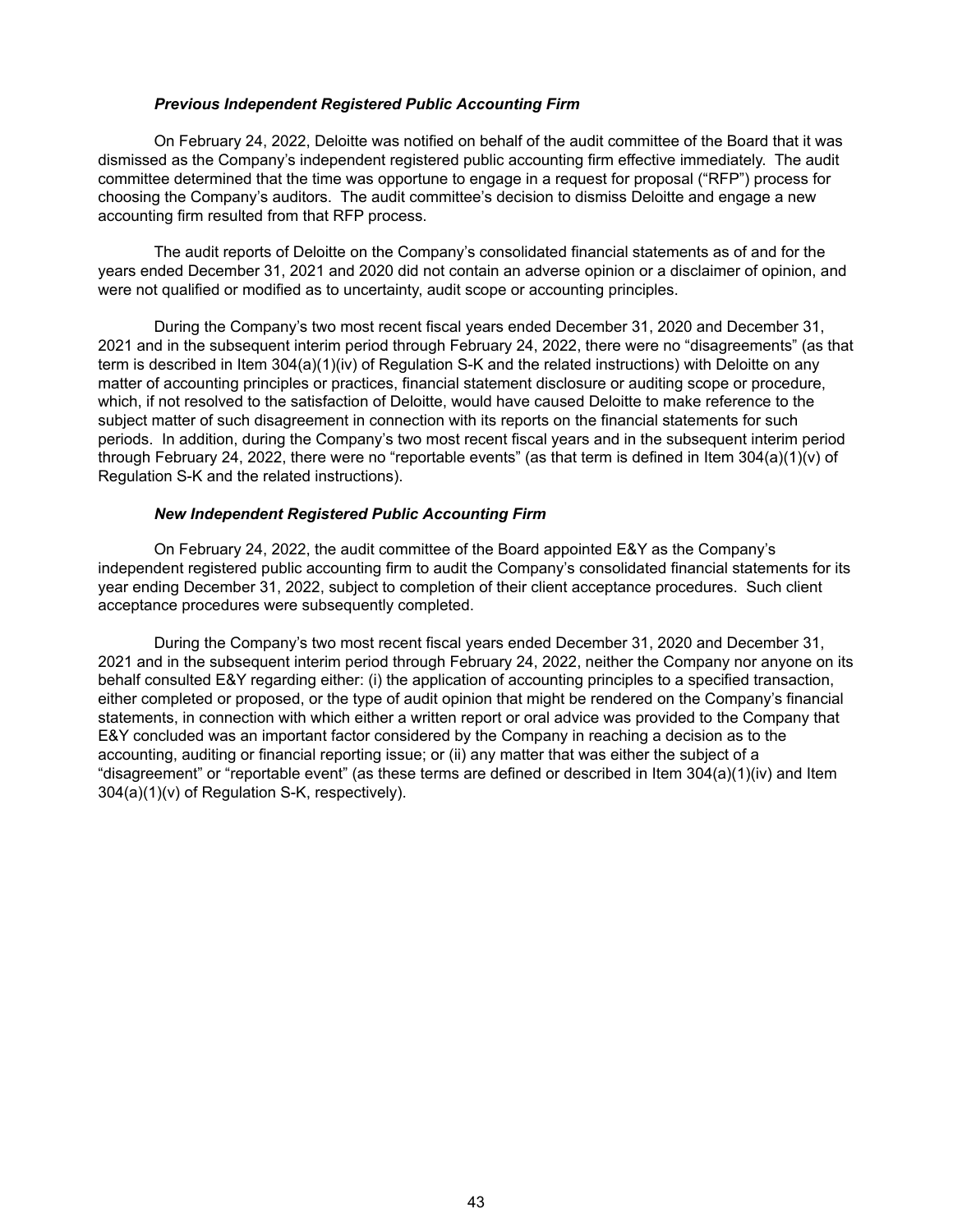## *Previous Independent Registered Public Accounting Firm*

On February 24, 2022, Deloitte was notified on behalf of the audit committee of the Board that it was dismissed as the Company's independent registered public accounting firm effective immediately. The audit committee determined that the time was opportune to engage in a request for proposal ("RFP") process for choosing the Company's auditors. The audit committee's decision to dismiss Deloitte and engage a new accounting firm resulted from that RFP process.

The audit reports of Deloitte on the Company's consolidated financial statements as of and for the years ended December 31, 2021 and 2020 did not contain an adverse opinion or a disclaimer of opinion, and were not qualified or modified as to uncertainty, audit scope or accounting principles.

During the Company's two most recent fiscal years ended December 31, 2020 and December 31, 2021 and in the subsequent interim period through February 24, 2022, there were no "disagreements" (as that term is described in Item 304(a)(1)(iv) of Regulation S-K and the related instructions) with Deloitte on any matter of accounting principles or practices, financial statement disclosure or auditing scope or procedure, which, if not resolved to the satisfaction of Deloitte, would have caused Deloitte to make reference to the subject matter of such disagreement in connection with its reports on the financial statements for such periods. In addition, during the Company's two most recent fiscal years and in the subsequent interim period through February 24, 2022, there were no "reportable events" (as that term is defined in Item 304(a)(1)(v) of Regulation S-K and the related instructions).

#### *New Independent Registered Public Accounting Firm*

On February 24, 2022, the audit committee of the Board appointed E&Y as the Company's independent registered public accounting firm to audit the Company's consolidated financial statements for its year ending December 31, 2022, subject to completion of their client acceptance procedures. Such client acceptance procedures were subsequently completed.

During the Company's two most recent fiscal years ended December 31, 2020 and December 31, 2021 and in the subsequent interim period through February 24, 2022, neither the Company nor anyone on its behalf consulted E&Y regarding either: (i) the application of accounting principles to a specified transaction, either completed or proposed, or the type of audit opinion that might be rendered on the Company's financial statements, in connection with which either a written report or oral advice was provided to the Company that E&Y concluded was an important factor considered by the Company in reaching a decision as to the accounting, auditing or financial reporting issue; or (ii) any matter that was either the subject of a "disagreement" or "reportable event" (as these terms are defined or described in Item 304(a)(1)(iv) and Item 304(a)(1)(v) of Regulation S-K, respectively).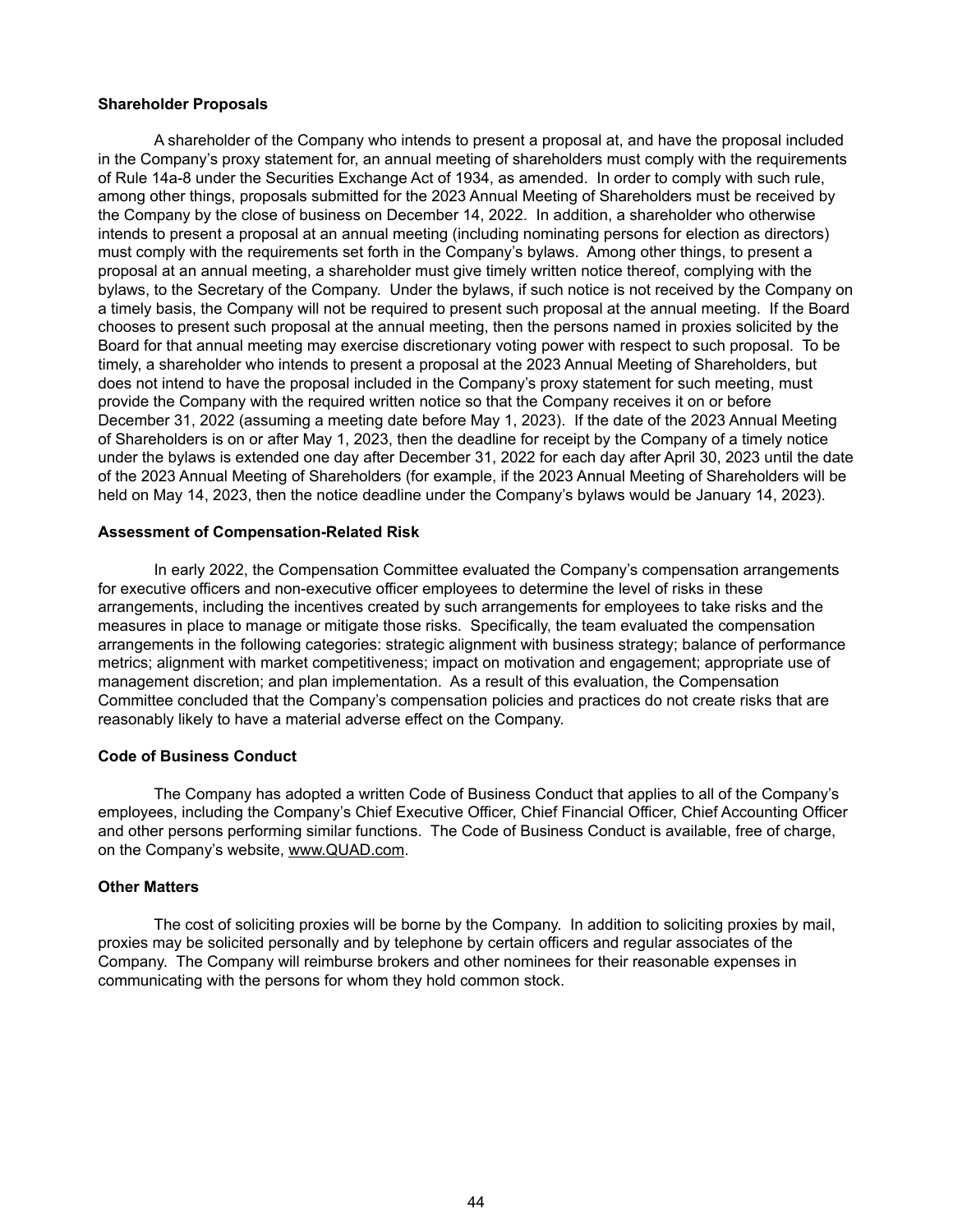#### **Shareholder Proposals**

A shareholder of the Company who intends to present a proposal at, and have the proposal included in the Company's proxy statement for, an annual meeting of shareholders must comply with the requirements of Rule 14a-8 under the Securities Exchange Act of 1934, as amended. In order to comply with such rule, among other things, proposals submitted for the 2023 Annual Meeting of Shareholders must be received by the Company by the close of business on December 14, 2022. In addition, a shareholder who otherwise intends to present a proposal at an annual meeting (including nominating persons for election as directors) must comply with the requirements set forth in the Company's bylaws. Among other things, to present a proposal at an annual meeting, a shareholder must give timely written notice thereof, complying with the bylaws, to the Secretary of the Company. Under the bylaws, if such notice is not received by the Company on a timely basis, the Company will not be required to present such proposal at the annual meeting. If the Board chooses to present such proposal at the annual meeting, then the persons named in proxies solicited by the Board for that annual meeting may exercise discretionary voting power with respect to such proposal. To be timely, a shareholder who intends to present a proposal at the 2023 Annual Meeting of Shareholders, but does not intend to have the proposal included in the Company's proxy statement for such meeting, must provide the Company with the required written notice so that the Company receives it on or before December 31, 2022 (assuming a meeting date before May 1, 2023). If the date of the 2023 Annual Meeting of Shareholders is on or after May 1, 2023, then the deadline for receipt by the Company of a timely notice under the bylaws is extended one day after December 31, 2022 for each day after April 30, 2023 until the date of the 2023 Annual Meeting of Shareholders (for example, if the 2023 Annual Meeting of Shareholders will be held on May 14, 2023, then the notice deadline under the Company's bylaws would be January 14, 2023).

#### **Assessment of Compensation-Related Risk**

In early 2022, the Compensation Committee evaluated the Company's compensation arrangements for executive officers and non-executive officer employees to determine the level of risks in these arrangements, including the incentives created by such arrangements for employees to take risks and the measures in place to manage or mitigate those risks. Specifically, the team evaluated the compensation arrangements in the following categories: strategic alignment with business strategy; balance of performance metrics; alignment with market competitiveness; impact on motivation and engagement; appropriate use of management discretion; and plan implementation. As a result of this evaluation, the Compensation Committee concluded that the Company's compensation policies and practices do not create risks that are reasonably likely to have a material adverse effect on the Company.

## **Code of Business Conduct**

The Company has adopted a written Code of Business Conduct that applies to all of the Company's employees, including the Company's Chief Executive Officer, Chief Financial Officer, Chief Accounting Officer and other persons performing similar functions. The Code of Business Conduct is available, free of charge, on the Company's website, www.QUAD.com.

#### **Other Matters**

The cost of soliciting proxies will be borne by the Company. In addition to soliciting proxies by mail, proxies may be solicited personally and by telephone by certain officers and regular associates of the Company. The Company will reimburse brokers and other nominees for their reasonable expenses in communicating with the persons for whom they hold common stock.